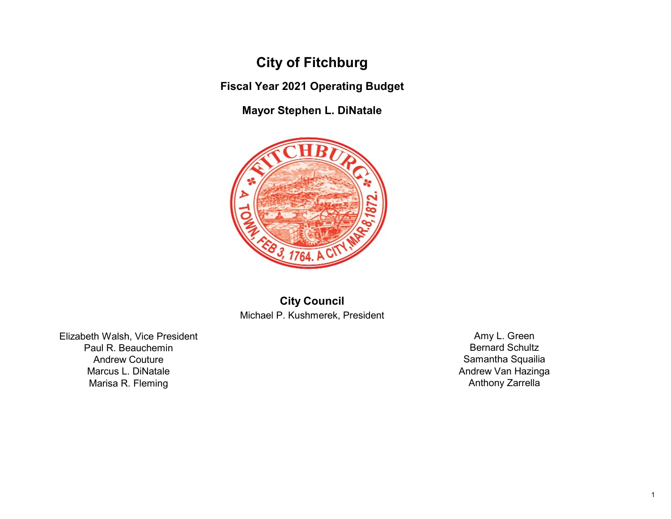## City of Fitchburg

Fiscal Year 2021 Operating Budget

Mayor Stephen L. DiNatale



City Council Michael P. Kushmerek, President

Elizabeth Walsh, Vice President Paul R. Beauchemin Andrew Couture Marcus L. DiNatale Marisa R. Fleming

Amy L. Green Bernard Schultz Samantha Squailia Andrew Van Hazinga Anthony Zarrella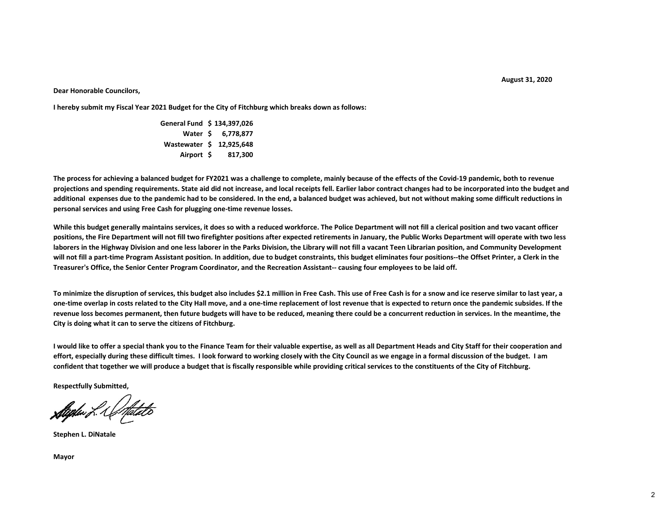August 31, 2020

## Dear Honorable Councilors,

I hereby submit my Fiscal Year 2021 Budget for the City of Fitchburg which breaks down as follows:

General Fund \$ 134,397,026 Water \$ 6,778,877 Wastewater \$ 12,925,648 Airport \$ 817,300

The process for achieving a balanced budget for FY2021 was a challenge to complete, mainly because of the effects of the Covid-19 pandemic, both to revenue projections and spending requirements. State aid did not increase, and local receipts fell. Earlier labor contract changes had to be incorporated into the budget and additional expenses due to the pandemic had to be considered. In the end, a balanced budget was achieved, but not without making some difficult reductions in personal services and using Free Cash for plugging one-time revenue losses.

While this budget generally maintains services, it does so with a reduced workforce. The Police Department will not fill a clerical position and two vacant officer positions, the Fire Department will not fill two firefighter positions after expected retirements in January, the Public Works Department will operate with two less laborers in the Highway Division and one less laborer in the Parks Division, the Library will not fill a vacant Teen Librarian position, and Community Development will not fill a part-time Program Assistant position. In addition, due to budget constraints, this budget eliminates four positions--the Offset Printer, a Clerk in the Treasurer's Office, the Senior Center Program Coordinator, and the Recreation Assistant-- causing four employees to be laid off.

To minimize the disruption of services, this budget also includes \$2.1 million in Free Cash. This use of Free Cash is for a snow and ice reserve similar to last year, a one-time overlap in costs related to the City Hall move, and a one-time replacement of lost revenue that is expected to return once the pandemic subsides. If the revenue loss becomes permanent, then future budgets will have to be reduced, meaning there could be a concurrent reduction in services. In the meantime, the City is doing what it can to serve the citizens of Fitchburg.

I would like to offer a special thank you to the Finance Team for their valuable expertise, as well as all Department Heads and City Staff for their cooperation and effort, especially during these difficult times. I look forward to working closely with the City Council as we engage in a formal discussion of the budget. I am confident that together we will produce a budget that is fiscally responsible while providing critical services to the constituents of the City of Fitchburg.

Respectfully Submitted,

**Stighter L. Unfatato** 

Stephen L. DiNatale

Mayor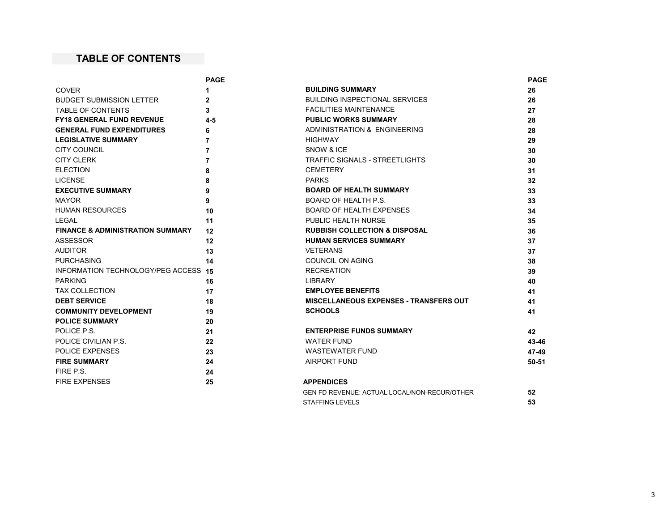## TABLE OF CONTENTS

|                                             | <b>PAGE</b>    |                                                     | <b>PAGE</b> |
|---------------------------------------------|----------------|-----------------------------------------------------|-------------|
| <b>COVER</b>                                |                | <b>BUILDING SUMMARY</b>                             | 26          |
| <b>BUDGET SUBMISSION LETTER</b>             | $\mathbf{2}$   | <b>BUILDING INSPECTIONAL SERVICES</b>               | 26          |
| <b>TABLE OF CONTENTS</b>                    | 3              | <b>FACILITIES MAINTENANCE</b>                       | 27          |
| <b>FY18 GENERAL FUND REVENUE</b>            | $4 - 5$        | <b>PUBLIC WORKS SUMMARY</b>                         | 28          |
| <b>GENERAL FUND EXPENDITURES</b>            | 6              | ADMINISTRATION & ENGINEERING                        | 28          |
| <b>LEGISLATIVE SUMMARY</b>                  | $\overline{7}$ | <b>HIGHWAY</b>                                      | 29          |
| <b>CITY COUNCIL</b>                         | 7              | SNOW & ICE                                          | 30          |
| <b>CITY CLERK</b>                           | 7              | <b>TRAFFIC SIGNALS - STREETLIGHTS</b>               | 30          |
| <b>ELECTION</b>                             | 8              | <b>CEMETERY</b>                                     | 31          |
| <b>LICENSE</b>                              | 8              | <b>PARKS</b>                                        | 32          |
| <b>EXECUTIVE SUMMARY</b>                    | 9              | <b>BOARD OF HEALTH SUMMARY</b>                      | 33          |
| <b>MAYOR</b>                                | 9              | BOARD OF HEALTH P.S.                                | 33          |
| <b>HUMAN RESOURCES</b>                      | 10             | <b>BOARD OF HEALTH EXPENSES</b>                     | 34          |
| LEGAL                                       | 11             | <b>PUBLIC HEALTH NURSE</b>                          | 35          |
| <b>FINANCE &amp; ADMINISTRATION SUMMARY</b> | 12             | <b>RUBBISH COLLECTION &amp; DISPOSAL</b>            | 36          |
| <b>ASSESSOR</b>                             | 12             | <b>HUMAN SERVICES SUMMARY</b>                       | 37          |
| <b>AUDITOR</b>                              | 13             | <b>VETERANS</b>                                     | 37          |
| <b>PURCHASING</b>                           | 14             | COUNCIL ON AGING                                    | 38          |
| INFORMATION TECHNOLOGY/PEG ACCESS           | 15             | <b>RECREATION</b>                                   | 39          |
| <b>PARKING</b>                              | 16             | LIBRARY                                             | 40          |
| <b>TAX COLLECTION</b>                       | 17             | <b>EMPLOYEE BENEFITS</b>                            | 41          |
| <b>DEBT SERVICE</b>                         | 18             | <b>MISCELLANEOUS EXPENSES - TRANSFERS OUT</b>       | 41          |
| <b>COMMUNITY DEVELOPMENT</b>                | 19             | <b>SCHOOLS</b>                                      | 41          |
| <b>POLICE SUMMARY</b>                       | 20             |                                                     |             |
| POLICE P.S.                                 | 21             | <b>ENTERPRISE FUNDS SUMMARY</b>                     | 42          |
| POLICE CIVILIAN P.S.                        | 22             | <b>WATER FUND</b>                                   | 43-46       |
| POLICE EXPENSES                             | 23             | <b>WASTEWATER FUND</b>                              | 47-49       |
| <b>FIRE SUMMARY</b>                         | 24             | <b>AIRPORT FUND</b>                                 | $50 - 51$   |
| FIRE P.S.                                   | 24             |                                                     |             |
| <b>FIRE EXPENSES</b>                        | 25             | <b>APPENDICES</b>                                   |             |
|                                             |                | <b>GEN FD REVENUE: ACTUAL LOCAL/NON-RECUR/OTHER</b> | 52          |

STAFFING LEVELS 53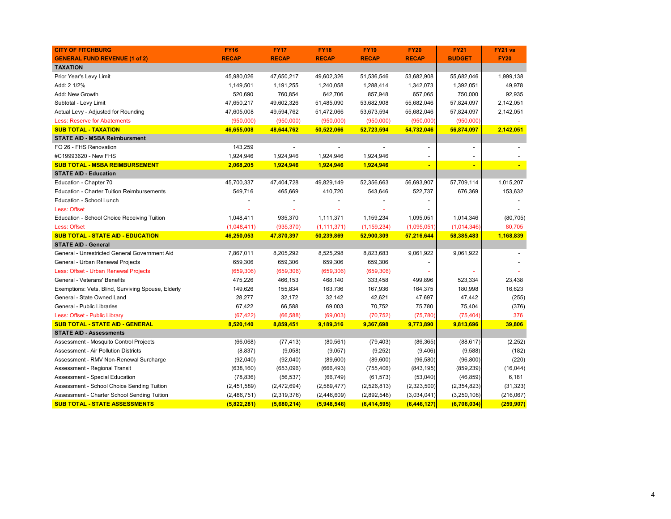| <b>CITY OF FITCHBURG</b>                           | <b>FY16</b>  | <b>FY17</b>  | <b>FY18</b>    | <b>FY19</b>   | <b>FY20</b>    | <b>FY21</b>   | FY21 vs     |
|----------------------------------------------------|--------------|--------------|----------------|---------------|----------------|---------------|-------------|
| <b>GENERAL FUND REVENUE (1 of 2)</b>               | <b>RECAP</b> | <b>RECAP</b> | <b>RECAP</b>   | <b>RECAP</b>  | <b>RECAP</b>   | <b>BUDGET</b> | <b>FY20</b> |
| <b>TAXATION</b>                                    |              |              |                |               |                |               |             |
| Prior Year's Levy Limit                            | 45,980,026   | 47,650,217   | 49,602,326     | 51,536,546    | 53,682,908     | 55,682,046    | 1,999,138   |
| Add: 2 1/2%                                        | 1,149,501    | 1,191,255    | 1,240,058      | 1,288,414     | 1,342,073      | 1,392,051     | 49,978      |
| Add: New Growth                                    | 520,690      | 760,854      | 642,706        | 857,948       | 657,065        | 750,000       | 92,935      |
| Subtotal - Levy Limit                              | 47,650,217   | 49,602,326   | 51,485,090     | 53,682,908    | 55,682,046     | 57,824,097    | 2,142,051   |
| Actual Levy - Adjusted for Rounding                | 47,605,008   | 49,594,762   | 51,472,066     | 53,673,594    | 55,682,046     | 57,824,097    | 2,142,051   |
| <b>Less: Reserve for Abatements</b>                | (950,000)    | (950,000)    | (950,000)      | (950,000)     | (950,000)      | (950,000)     |             |
| <b>SUB TOTAL - TAXATION</b>                        | 46,655,008   | 48,644,762   | 50,522,066     | 52,723,594    | 54,732,046     | 56,874,097    | 2,142,051   |
| <b>STATE AID - MSBA Reimbursment</b>               |              |              |                |               |                |               |             |
| FO 26 - FHS Renovation                             | 143,259      |              | $\blacksquare$ |               | $\overline{a}$ | $\sim$        |             |
| #C19993620 - New FHS                               | 1,924,946    | 1,924,946    | 1,924,946      | 1,924,946     |                |               |             |
| <b>SUB TOTAL - MSBA REIMBURSEMENT</b>              | 2,068,205    | 1,924,946    | 1,924,946      | 1,924,946     |                |               |             |
| <b>STATE AID - Education</b>                       |              |              |                |               |                |               |             |
| Education - Chapter 70                             | 45,700,337   | 47,404,728   | 49,829,149     | 52,356,663    | 56,693,907     | 57,709,114    | 1,015,207   |
| <b>Education - Charter Tuition Reimbursements</b>  | 549,716      | 465,669      | 410,720        | 543,646       | 522,737        | 676,369       | 153,632     |
| Education - School Lunch                           |              |              |                |               |                |               |             |
| Less: Offset                                       |              |              |                |               |                |               |             |
| Education - School Choice Receiving Tuition        | 1,048,411    | 935,370      | 1,111,371      | 1,159,234     | 1,095,051      | 1,014,346     | (80, 705)   |
| Less: Offset                                       | (1,048,411)  | (935, 370)   | (1, 111, 371)  | (1, 159, 234) | (1,095,051)    | (1,014,346)   | 80,705      |
| <b>SUB TOTAL - STATE AID - EDUCATION</b>           | 46,250,053   | 47,870,397   | 50,239,869     | 52,900,309    | 57,216,644     | 58,385,483    | 1,168,839   |
| <b>STATE AID - General</b>                         |              |              |                |               |                |               |             |
| General - Unrestricted General Government Aid      | 7,867,011    | 8,205,292    | 8,525,298      | 8,823,683     | 9,061,922      | 9,061,922     |             |
| General - Urban Renewal Projects                   | 659,306      | 659,306      | 659,306        | 659,306       |                |               |             |
| Less: Offset - Urban Renewal Projects              | (659, 306)   | (659, 306)   | (659, 306)     | (659, 306)    |                |               |             |
| General - Veterans' Benefits                       | 475,226      | 466,153      | 468,140        | 333,458       | 499,896        | 523,334       | 23,438      |
| Exemptions: Vets, Blind, Surviving Spouse, Elderly | 149,626      | 155,834      | 163,736        | 167,936       | 164,375        | 180,998       | 16,623      |
| General - State Owned Land                         | 28,277       | 32,172       | 32,142         | 42,621        | 47,697         | 47,442        | (255)       |
| General - Public Libraries                         | 67,422       | 66,588       | 69,003         | 70,752        | 75,780         | 75,404        | (376)       |
| Less: Offset - Public Library                      | (67, 422)    | (66, 588)    | (69,003)       | (70, 752)     | (75, 780)      | (75, 404)     | 376         |
| <b>SUB TOTAL - STATE AID - GENERAL</b>             | 8,520,140    | 8,859,451    | 9,189,316      | 9,367,698     | 9,773,890      | 9,813,696     | 39,806      |
| <b>STATE AID - Assessments</b>                     |              |              |                |               |                |               |             |
| Assessment - Mosquito Control Projects             | (66,068)     | (77, 413)    | (80, 561)      | (79, 403)     | (86, 365)      | (88, 617)     | (2, 252)    |
| Assessment - Air Pollution Districts               | (8, 837)     | (9,058)      | (9,057)        | (9,252)       | (9,406)        | (9,588)       | (182)       |
| Assessment - RMV Non-Renewal Surcharge             | (92,040)     | (92,040)     | (89,600)       | (89,600)      | (96, 580)      | (96, 800)     | (220)       |
| Assessment - Regional Transit                      | (638, 160)   | (653,096)    | (666, 493)     | (755, 406)    | (843, 195)     | (859, 239)    | (16,044)    |
| Assessment - Special Education                     | (78, 836)    | (56, 537)    | (66, 749)      | (61, 573)     | (53,040)       | (46, 859)     | 6,181       |
| Assessment - School Choice Sending Tuition         | (2,451,589)  | (2,472,694)  | (2,589,477)    | (2,526,813)   | (2,323,500)    | (2,354,823)   | (31, 323)   |
| Assessment - Charter School Sending Tuition        | (2,486,751)  | (2,319,376)  | (2,446,609)    | (2,892,548)   | (3,034,041)    | (3,250,108)   | (216,067)   |
| <b>SUB TOTAL - STATE ASSESSMENTS</b>               | (5,822,281)  | (5,680,214)  | (5,948,546)    | (6,414,595)   | (6,446,127)    | (6,706,034)   | (259, 907)  |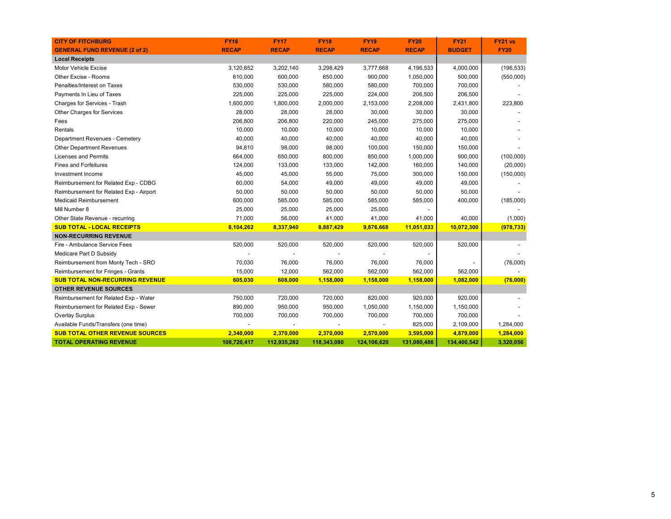| <b>CITY OF FITCHBURG</b>                | <b>FY16</b>  | <b>FY17</b>  | <b>FY18</b>  | <b>FY19</b>  | <b>FY20</b>  | <b>FY21</b>   | FY21 vs     |
|-----------------------------------------|--------------|--------------|--------------|--------------|--------------|---------------|-------------|
| <b>GENERAL FUND REVENUE (2 of 2)</b>    | <b>RECAP</b> | <b>RECAP</b> | <b>RECAP</b> | <b>RECAP</b> | <b>RECAP</b> | <b>BUDGET</b> | <b>FY20</b> |
| <b>Local Receipts</b>                   |              |              |              |              |              |               |             |
| Motor Vehicle Excise                    | 3,120,652    | 3,202,140    | 3,298,429    | 3,777,668    | 4,196,533    | 4,000,000     | (196, 533)  |
| Other Excise - Rooms                    | 610,000      | 600,000      | 650,000      | 900,000      | 1,050,000    | 500,000       | (550,000)   |
| Penalties/Interest on Taxes             | 530,000      | 530,000      | 580,000      | 580,000      | 700,000      | 700,000       |             |
| Payments In Lieu of Taxes               | 225,000      | 225,000      | 225,000      | 224,000      | 206,500      | 206,500       |             |
| Charges for Services - Trash            | 1,600,000    | 1,800,000    | 2,000,000    | 2,153,000    | 2,208,000    | 2,431,800     | 223,800     |
| Other Charges for Services              | 28,000       | 28,000       | 28,000       | 30,000       | 30,000       | 30,000        |             |
| Fees                                    | 206,800      | 206,800      | 220,000      | 245,000      | 275,000      | 275,000       |             |
| Rentals                                 | 10,000       | 10,000       | 10,000       | 10,000       | 10,000       | 10,000        |             |
| Department Revenues - Cemetery          | 40,000       | 40,000       | 40,000       | 40,000       | 40,000       | 40,000        |             |
| Other Department Revenues               | 94,810       | 98,000       | 98,000       | 100,000      | 150,000      | 150,000       |             |
| Licenses and Permits                    | 664,000      | 650,000      | 800,000      | 850,000      | 1,000,000    | 900,000       | (100,000)   |
| <b>Fines and Forfeitures</b>            | 124,000      | 133,000      | 133,000      | 142,000      | 160,000      | 140,000       | (20,000)    |
| Investment Income                       | 45,000       | 45,000       | 55,000       | 75,000       | 300,000      | 150,000       | (150,000)   |
| Reimbursement for Related Exp - CDBG    | 60,000       | 54,000       | 49,000       | 49,000       | 49,000       | 49,000        |             |
| Reimbursement for Related Exp - Airport | 50,000       | 50,000       | 50,000       | 50,000       | 50,000       | 50,000        |             |
| <b>Medicaid Reimbursement</b>           | 600,000      | 585,000      | 585,000      | 585,000      | 585,000      | 400,000       | (185,000)   |
| Mill Number 8                           | 25,000       | 25,000       | 25,000       | 25,000       |              |               |             |
| Other State Revenue - recurring         | 71,000       | 56,000       | 41,000       | 41,000       | 41,000       | 40,000        | (1,000)     |
| <b>SUB TOTAL - LOCAL RECEIPTS</b>       | 8,104,262    | 8,337,940    | 8,887,429    | 9,876,668    | 11,051,033   | 10,072,300    | (978, 733)  |
| <b>NON-RECURRING REVENUE</b>            |              |              |              |              |              |               |             |
| Fire - Ambulance Service Fees           | 520,000      | 520,000      | 520,000      | 520,000      | 520,000      | 520,000       |             |
| Medicare Part D Subsidy                 |              |              |              |              |              |               |             |
| Reimbursement from Monty Tech - SRO     | 70,030       | 76,000       | 76,000       | 76,000       | 76,000       |               | (76,000)    |
| Reimbursement for Fringes - Grants      | 15,000       | 12,000       | 562,000      | 562,000      | 562,000      | 562,000       |             |
| <b>SUB TOTAL NON-RECURRING REVENUE</b>  | 605,030      | 608,000      | 1,158,000    | 1,158,000    | 1,158,000    | 1,082,000     | (76,000)    |
| <b>OTHER REVENUE SOURCES</b>            |              |              |              |              |              |               |             |
| Reimbursement for Related Exp - Water   | 750,000      | 720,000      | 720,000      | 820,000      | 920,000      | 920,000       |             |
| Reimbursement for Related Exp - Sewer   | 890,000      | 950,000      | 950,000      | 1,050,000    | 1,150,000    | 1,150,000     |             |
| <b>Overlay Surplus</b>                  | 700,000      | 700,000      | 700,000      | 700,000      | 700,000      | 700,000       |             |
| Available Funds/Transfers (one time)    |              |              |              |              | 825,000      | 2,109,000     | 1,284,000   |
| <b>SUB TOTAL OTHER REVENUE SOURCES</b>  | 2,340,000    | 2,370,000    | 2,370,000    | 2,570,000    | 3,595,000    | 4,879,000     | 1,284,000   |
| <b>TOTAL OPERATING REVENUE</b>          | 108,720,417  | 112,935,282  | 118,343,080  | 124,106,620  | 131,080,486  | 134,400,542   | 3,320,056   |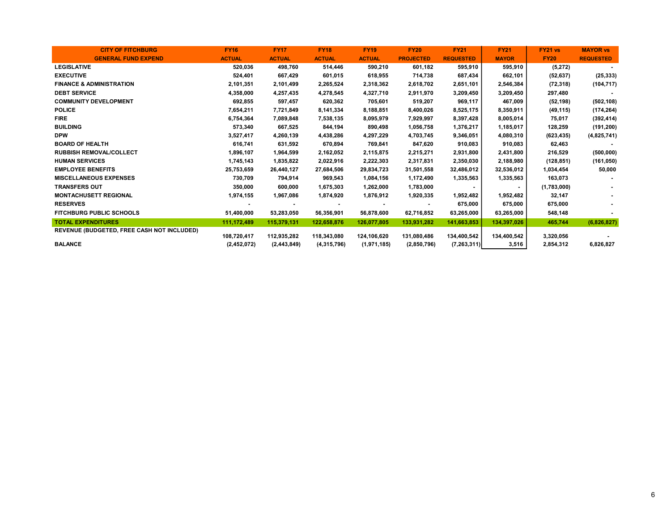| <b>CITY OF FITCHBURG</b>                          | <b>FY16</b>   | <b>FY17</b>   | <b>FY18</b>   | <b>FY19</b>    | <b>FY20</b>              | <b>FY21</b>      | <b>FY21</b>  | <b>FY21 vs</b> | <b>MAYOR vs</b>  |
|---------------------------------------------------|---------------|---------------|---------------|----------------|--------------------------|------------------|--------------|----------------|------------------|
| <b>GENERAL FUND EXPEND</b>                        | <b>ACTUAL</b> | <b>ACTUAL</b> | <b>ACTUAL</b> | <b>ACTUAL</b>  | <b>PROJECTED</b>         | <b>REQUESTED</b> | <b>MAYOR</b> | <b>FY20</b>    | <b>REQUESTED</b> |
| <b>LEGISLATIVE</b>                                | 520,036       | 498,760       | 514,446       | 590,210        | 601,182                  | 595,910          | 595,910      | (5, 272)       |                  |
| <b>EXECUTIVE</b>                                  | 524,401       | 667,429       | 601,015       | 618,955        | 714,738                  | 687,434          | 662,101      | (52, 637)      | (25, 333)        |
| <b>FINANCE &amp; ADMINISTRATION</b>               | 2,101,351     | 2,101,499     | 2,265,524     | 2,318,362      | 2,618,702                | 2,651,101        | 2,546,384    | (72, 318)      | (104, 717)       |
| <b>DEBT SERVICE</b>                               | 4,358,000     | 4,257,435     | 4,278,545     | 4,327,710      | 2,911,970                | 3,209,450        | 3,209,450    | 297,480        |                  |
| <b>COMMUNITY DEVELOPMENT</b>                      | 692,855       | 597,457       | 620,362       | 705,601        | 519,207                  | 969,117          | 467,009      | (52, 198)      | (502, 108)       |
| <b>POLICE</b>                                     | 7,654,211     | 7,721,849     | 8,141,334     | 8,188,851      | 8,400,026                | 8,525,175        | 8,350,911    | (49, 115)      | (174, 264)       |
| <b>FIRE</b>                                       | 6,754,364     | 7,089,848     | 7,538,135     | 8,095,979      | 7,929,997                | 8,397,428        | 8,005,014    | 75,017         | (392, 414)       |
| <b>BUILDING</b>                                   | 573,340       | 667,525       | 844,194       | 890,498        | 1,056,758                | 1,376,217        | 1,185,017    | 128,259        | (191, 200)       |
| <b>DPW</b>                                        | 3,527,417     | 4,260,139     | 4,438,286     | 4,297,229      | 4,703,745                | 9,346,051        | 4,080,310    | (623, 435)     | (4,825,741)      |
| <b>BOARD OF HEALTH</b>                            | 616,741       | 631,592       | 670,894       | 769,841        | 847,620                  | 910,083          | 910,083      | 62,463         |                  |
| <b>RUBBISH REMOVAL/COLLECT</b>                    | 1,896,107     | 1,964,599     | 2,162,052     | 2,115,875      | 2,215,271                | 2,931,800        | 2,431,800    | 216,529        | (500,000)        |
| <b>HUMAN SERVICES</b>                             | 1,745,143     | 1,835,822     | 2,022,916     | 2,222,303      | 2,317,831                | 2,350,030        | 2,188,980    | (128, 851)     | (161, 050)       |
| <b>EMPLOYEE BENEFITS</b>                          | 25,753,659    | 26,440,127    | 27,684,506    | 29,834,723     | 31,501,558               | 32,486,012       | 32,536,012   | 1,034,454      | 50,000           |
| <b>MISCELLANEOUS EXPENSES</b>                     | 730,709       | 794,914       | 969,543       | 1,084,156      | 1,172,490                | 1,335,563        | 1,335,563    | 163,073        |                  |
| <b>TRANSFERS OUT</b>                              | 350,000       | 600,000       | 1,675,303     | 1,262,000      | 1,783,000                |                  |              | (1,783,000)    |                  |
| <b>MONTACHUSETT REGIONAL</b>                      | 1,974,155     | 1,967,086     | 1,874,920     | 1,876,912      | 1,920,335                | 1,952,482        | 1,952,482    | 32,147         |                  |
| <b>RESERVES</b>                                   |               |               |               | $\blacksquare$ | $\overline{\phantom{a}}$ | 675,000          | 675,000      | 675,000        |                  |
| <b>FITCHBURG PUBLIC SCHOOLS</b>                   | 51,400,000    | 53,283,050    | 56,356,901    | 56,878,600     | 62,716,852               | 63,265,000       | 63,265,000   | 548,148        |                  |
| <b>TOTAL EXPENDITURES</b>                         | 111,172,489   | 115,379,131   | 122,658,876   | 126,077,805    | 133,931,282              | 141,663,853      | 134,397,026  | 465,744        | (6,826,827)      |
| <b>REVENUE (BUDGETED, FREE CASH NOT INCLUDED)</b> | 108,720,417   | 112,935,282   | 118,343,080   | 124,106,620    | 131,080,486              | 134,400,542      | 134,400,542  | 3,320,056      |                  |
| <b>BALANCE</b>                                    | (2,452,072)   | (2, 443, 849) | (4,315,796)   | (1,971,185)    | (2,850,796)              | (7, 263, 311)    | 3,516        | 2,854,312      | 6,826,827        |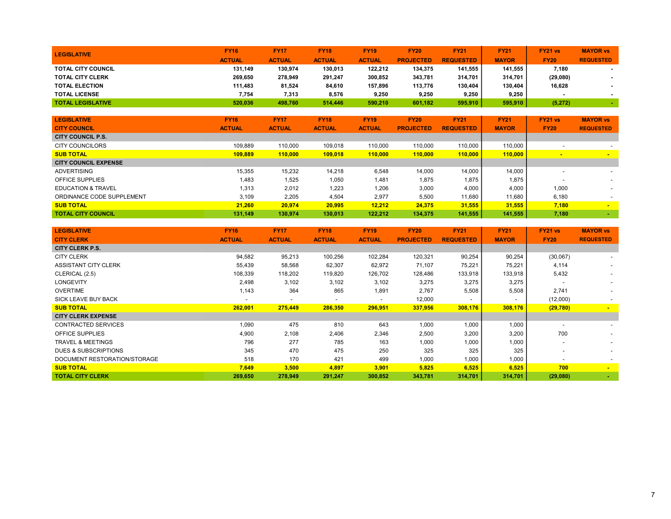| <b>LEGISLATIVE</b>        | <b>FY16</b>   | <b>FY17</b>   | <b>FY18</b>   | <b>FY19</b>   | <b>FY20</b>      | <b>FY21</b>      | <b>FY21</b>  | FY21 vs     | <b>MAYOR vs</b>          |
|---------------------------|---------------|---------------|---------------|---------------|------------------|------------------|--------------|-------------|--------------------------|
|                           | <b>ACTUAL</b> | <b>ACTUAL</b> | <b>ACTUAL</b> | <b>ACTUAL</b> | <b>PROJECTED</b> | <b>REQUESTED</b> | <b>MAYOR</b> | <b>FY20</b> | <b>REQUESTED</b>         |
| <b>TOTAL CITY COUNCIL</b> | 131.149       | 130.974       | 130.013       | 122.212       | 134.375          | 141.555          | 141.555      | 7.180       | $\overline{\phantom{a}}$ |
| <b>TOTAL CITY CLERK</b>   | 269.650       | 278,949       | 291.247       | 300.852       | 343.781          | 314.701          | 314.701      | (29,080)    | $\sim$                   |
| <b>TOTAL ELECTION</b>     | 111,483       | 81,524        | 84,610        | 157,896       | 113,776          | 130.404          | 130.404      | 16,628      |                          |
| <b>TOTAL LICENSE</b>      | 7,754         | 7,313         | 8,576         | 9,250         | 9,250            | 9,250            | 9,250        |             |                          |
| <b>TOTAL LEGISLATIVE</b>  | 520.036       | 498,760       | 514.446       | 590.210       | 601,182          | 595,910          | 595,910      | (5, 272)    |                          |
|                           |               |               |               |               |                  |                  |              |             |                          |

| <b>LEGISLATIVE</b>            | <b>FY16</b>   | <b>FY17</b>   | <b>FY18</b>   | <b>FY19</b>   | <b>FY20</b>      | <b>FY21</b>      | <b>FY21</b>  | FY21 vs                  | <b>MAYOR vs</b>          |
|-------------------------------|---------------|---------------|---------------|---------------|------------------|------------------|--------------|--------------------------|--------------------------|
| <b>CITY COUNCIL</b>           | <b>ACTUAL</b> | <b>ACTUAL</b> | <b>ACTUAL</b> | <b>ACTUAL</b> | <b>PROJECTED</b> | <b>REQUESTED</b> | <b>MAYOR</b> | <b>FY20</b>              | <b>REQUESTED</b>         |
| CITY COUNCIL P.S.             |               |               |               |               |                  |                  |              |                          |                          |
| <b>CITY COUNCILORS</b>        | 109,889       | 110.000       | 109,018       | 110.000       | 110.000          | 110.000          | 110.000      | $\overline{\phantom{a}}$ |                          |
| <b>SUB TOTAL</b>              | 109,889       | 110.000       | 109.018       | 110,000       | 110.000          | 110.000          | 110,000      |                          |                          |
| <b>CITY COUNCIL EXPENSE</b>   |               |               |               |               |                  |                  |              |                          |                          |
| <b>ADVERTISING</b>            | 15,355        | 15,232        | 14,218        | 6,548         | 14,000           | 14,000           | 14.000       | -                        |                          |
| OFFICE SUPPLIES               | 1,483         | 1,525         | 1,050         | 1,481         | 1,875            | 1.875            | 1.875        |                          |                          |
| <b>EDUCATION &amp; TRAVEL</b> | 1,313         | 2,012         | 1,223         | 1,206         | 3,000            | 4,000            | 4.000        | 1,000                    |                          |
| ORDINANCE CODE SUPPLEMENT     | 3.109         | 2,205         | 4,504         | 2,977         | 5,500            | 11,680           | 11.680       | 6,180                    | $\overline{\phantom{0}}$ |
| <b>SUB TOTAL</b>              | 21.260        | 20.974        | 20,995        | 12.212        | 24,375           | 31,555           | 31.555       | 7,180                    | $\sim$                   |
| <b>TOTAL CITY COUNCIL</b>     | 131.149       | 130.974       | 130.013       | 122.212       | 134.375          | 141,555          | 141,555      | 7,180                    |                          |

| <b>LEGISLATIVE</b><br><b>CITY CLERK</b> | <b>FY16</b><br><b>ACTUAL</b> | <b>FY17</b><br><b>ACTUAL</b> | <b>FY18</b><br><b>ACTUAL</b> | <b>FY19</b><br><b>ACTUAL</b> | <b>FY20</b><br><b>PROJECTED</b> | <b>FY21</b><br><b>REQUESTED</b> | <b>FY21</b><br><b>MAYOR</b> | <b>FY21 vs</b><br><b>FY20</b> | <b>MAYOR vs</b><br><b>REQUESTED</b> |
|-----------------------------------------|------------------------------|------------------------------|------------------------------|------------------------------|---------------------------------|---------------------------------|-----------------------------|-------------------------------|-------------------------------------|
| <b>CITY CLERK P.S.</b>                  |                              |                              |                              |                              |                                 |                                 |                             |                               |                                     |
| <b>CITY CLERK</b>                       | 94,582                       | 95,213                       | 100,256                      | 102,284                      | 120,321                         | 90,254                          | 90,254                      | (30,067)                      |                                     |
| <b>ASSISTANT CITY CLERK</b>             | 55,439                       | 58,568                       | 62,307                       | 62,972                       | 71,107                          | 75,221                          | 75,221                      | 4,114                         | $\sim$                              |
| CLERICAL (2.5)                          | 108,339                      | 118,202                      | 119,820                      | 126,702                      | 128,486                         | 133,918                         | 133,918                     | 5,432                         |                                     |
| LONGEVITY                               | 2,498                        | 3,102                        | 3,102                        | 3,102                        | 3,275                           | 3,275                           | 3,275                       |                               |                                     |
| <b>OVERTIME</b>                         | 1,143                        | 364                          | 865                          | 1,891                        | 2,767                           | 5,508                           | 5,508                       | 2,741                         |                                     |
| SICK LEAVE BUY BACK                     | $\overline{\phantom{a}}$     | $\overline{\phantom{a}}$     | $\overline{\phantom{0}}$     | $\overline{\phantom{a}}$     | 12,000                          | $\overline{\phantom{a}}$        |                             | (12,000)                      |                                     |
| <b>SUB TOTAL</b>                        | 262,001                      | 275,449                      | 286,350                      | 296,951                      | 337,956                         | 308,176                         | 308,176                     | (29, 780)                     | $\sim$                              |
| <b>CITY CLERK EXPENSE</b>               |                              |                              |                              |                              |                                 |                                 |                             |                               |                                     |
| <b>CONTRACTED SERVICES</b>              | 1,090                        | 475                          | 810                          | 643                          | 1,000                           | 1,000                           | 1,000                       | $\,$                          |                                     |
| <b>OFFICE SUPPLIES</b>                  | 4,900                        | 2,108                        | 2,406                        | 2,346                        | 2,500                           | 3,200                           | 3,200                       | 700                           |                                     |
| <b>TRAVEL &amp; MEETINGS</b>            | 796                          | 277                          | 785                          | 163                          | 1,000                           | 1,000                           | 1,000                       | $\overline{\phantom{0}}$      |                                     |
| <b>DUES &amp; SUBSCRIPTIONS</b>         | 345                          | 470                          | 475                          | 250                          | 325                             | 325                             | 325                         | $\overline{\phantom{0}}$      |                                     |
| DOCUMENT RESTORATION/STORAGE            | 518                          | 170                          | 421                          | 499                          | 1,000                           | 1,000                           | 1,000                       | $\overline{\phantom{0}}$      | $\sim$                              |
| <b>SUB TOTAL</b>                        | 7,649                        | 3,500                        | 4,897                        | 3,901                        | 5,825                           | 6,525                           | 6,525                       | 700                           | $\blacksquare$                      |
| <b>TOTAL CITY CLERK</b>                 | 269,650                      | 278,949                      | 291,247                      | 300,852                      | 343,781                         | 314,701                         | 314,701                     | (29,080)                      |                                     |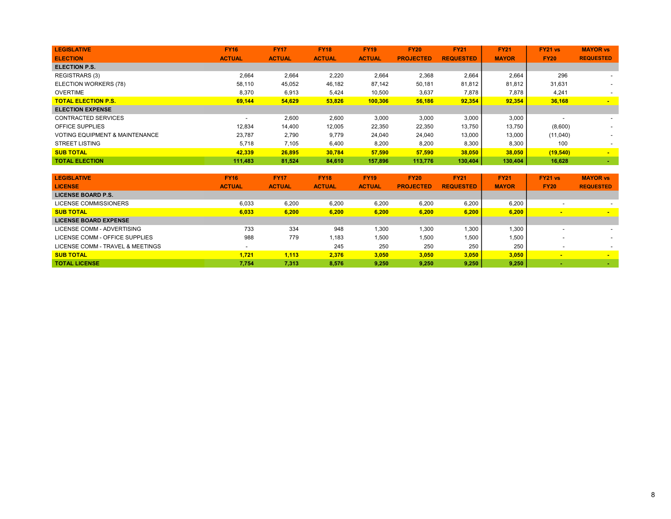| <b>LEGISLATIVE</b>                        | <b>FY16</b>   | <b>FY17</b>   | <b>FY18</b>   | <b>FY19</b>   | <b>FY20</b>      | <b>FY21</b>      | <b>FY21</b>  | FY21 vs     | <b>MAYOR vs</b>  |
|-------------------------------------------|---------------|---------------|---------------|---------------|------------------|------------------|--------------|-------------|------------------|
| <b>ELECTION</b>                           | <b>ACTUAL</b> | <b>ACTUAL</b> | <b>ACTUAL</b> | <b>ACTUAL</b> | <b>PROJECTED</b> | <b>REQUESTED</b> | <b>MAYOR</b> | <b>FY20</b> | <b>REQUESTED</b> |
| <b>ELECTION P.S.</b>                      |               |               |               |               |                  |                  |              |             |                  |
| <b>REGISTRARS (3)</b>                     | 2,664         | 2,664         | 2,220         | 2,664         | 2,368            | 2,664            | 2,664        | 296         |                  |
| ELECTION WORKERS (78)                     | 58,110        | 45,052        | 46,182        | 87,142        | 50,181           | 81,812           | 81,812       | 31,631      |                  |
| <b>OVERTIME</b>                           | 8.370         | 6,913         | 5,424         | 10,500        | 3,637            | 7,878            | 7,878        | 4,241       |                  |
| <b>TOTAL ELECTION P.S.</b>                | 69,144        | 54,629        | 53,826        | 100,306       | 56,186           | 92,354           | 92,354       | 36,168      | <b>Contract</b>  |
| <b>ELECTION EXPENSE</b>                   |               |               |               |               |                  |                  |              |             |                  |
| CONTRACTED SERVICES                       | <b>.</b>      | 2,600         | 2,600         | 3,000         | 3,000            | 3,000            | 3,000        |             |                  |
| <b>OFFICE SUPPLIES</b>                    | 12,834        | 14,400        | 12,005        | 22,350        | 22,350           | 13,750           | 13,750       | (8,600)     |                  |
| <b>VOTING EQUIPMENT &amp; MAINTENANCE</b> | 23.787        | 2,790         | 9,779         | 24,040        | 24,040           | 13,000           | 13,000       | (11,040)    |                  |
| <b>STREET LISTING</b>                     | 5.718         | 7,105         | 6,400         | 8,200         | 8,200            | 8,300            | 8,300        | 100         |                  |
| <b>SUB TOTAL</b>                          | 42,339        | 26,895        | 30,784        | 57,590        | 57,590           | 38,050           | 38,050       | (19, 540)   | $\sim$           |
| <b>TOTAL ELECTION</b>                     | 111.483       | 81,524        | 84.610        | 157.896       | 113.776          | 130,404          | 130.404      | 16,628      |                  |

| <b>LEGISLATIVE</b>               | <b>FY16</b>   | <b>FY17</b>   | <b>FY18</b>   | <b>FY19</b>   | <b>FY20</b>      | <b>FY21</b>      | <b>FY21</b>  | FY21 vs        | <b>MAYOR vs</b>  |
|----------------------------------|---------------|---------------|---------------|---------------|------------------|------------------|--------------|----------------|------------------|
| <b>LICENSE</b>                   | <b>ACTUAL</b> | <b>ACTUAL</b> | <b>ACTUAL</b> | <b>ACTUAL</b> | <b>PROJECTED</b> | <b>REQUESTED</b> | <b>MAYOR</b> | <b>FY20</b>    | <b>REQUESTED</b> |
| <b>LICENSE BOARD P.S.</b>        |               |               |               |               |                  |                  |              |                |                  |
| LICENSE COMMISSIONERS            | 6.033         | 6.200         | 6,200         | 6.200         | 6.200            | 6.200            | 6.200        |                |                  |
| <b>SUB TOTAL</b>                 | 6.033         | 6.200         | 6.200         | 6.200         | 6.200            | 6.200            | 6.200        | $\blacksquare$ | $\blacksquare$   |
| <b>LICENSE BOARD EXPENSE</b>     |               |               |               |               |                  |                  |              |                |                  |
| LICENSE COMM - ADVERTISING       | 733           | 334           | 948           | 1,300         | 1,300            | 1.300            | 1.300        |                |                  |
| LICENSE COMM - OFFICE SUPPLIES   | 988           | 779           | 1.183         | 1.500         | 1.500            | 1.500            | 1.500        |                |                  |
| LICENSE COMM - TRAVEL & MEETINGS |               |               | 245           | 250           | 250              | 250              | 250          |                |                  |
| <b>SUB TOTAL</b>                 | 1.721         | 1.113         | 2.376         | 3.050         | 3.050            | 3.050            | 3.050        | $\blacksquare$ | $\blacksquare$   |
| <b>TOTAL LICENSE</b>             | 7,754         | 7,313         | 8.576         | 9.250         | 9.250            | 9,250            | 9,250        |                |                  |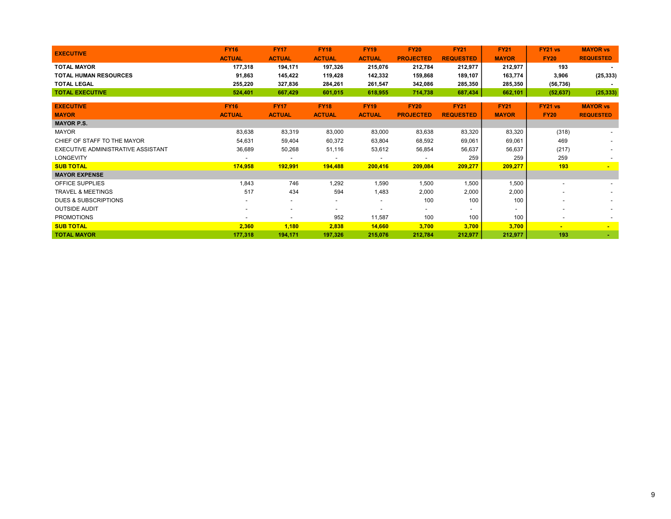| <b>EXECUTIVE</b>                   | <b>FY16</b>   | <b>FY17</b>              | <b>FY18</b>              | <b>FY19</b>              | <b>FY20</b>              | <b>FY21</b>              | <b>FY21</b>              | <b>FY21 vs</b>           | <b>MAYOR vs</b>          |
|------------------------------------|---------------|--------------------------|--------------------------|--------------------------|--------------------------|--------------------------|--------------------------|--------------------------|--------------------------|
|                                    | <b>ACTUAL</b> | <b>ACTUAL</b>            | <b>ACTUAL</b>            | <b>ACTUAL</b>            | <b>PROJECTED</b>         | <b>REQUESTED</b>         | <b>MAYOR</b>             | <b>FY20</b>              | <b>REQUESTED</b>         |
| <b>TOTAL MAYOR</b>                 | 177,318       | 194,171                  | 197,326                  | 215,076                  | 212,784                  | 212,977                  | 212,977                  | 193                      |                          |
| <b>TOTAL HUMAN RESOURCES</b>       | 91,863        | 145,422                  | 119,428                  | 142,332                  | 159,868                  | 189,107                  | 163,774                  | 3,906                    | (25, 333)                |
| <b>TOTAL LEGAL</b>                 | 255,220       | 327,836                  | 284,261                  | 261,547                  | 342,086                  | 285,350                  | 285,350                  | (56, 736)                |                          |
| <b>TOTAL EXECUTIVE</b>             | 524,401       | 667,429                  | 601,015                  | 618,955                  | 714,738                  | 687,434                  | 662,101                  | (52, 637)                | (25, 333)                |
|                                    |               |                          |                          |                          |                          |                          |                          |                          |                          |
| <b>EXECUTIVE</b>                   | <b>FY16</b>   | <b>FY17</b>              | <b>FY18</b>              | <b>FY19</b>              | <b>FY20</b>              | <b>FY21</b>              | <b>FY21</b>              | FY21 vs                  | <b>MAYOR vs</b>          |
| <b>MAYOR</b>                       | <b>ACTUAL</b> | <b>ACTUAL</b>            | <b>ACTUAL</b>            | <b>ACTUAL</b>            | <b>PROJECTED</b>         | <b>REQUESTED</b>         | <b>MAYOR</b>             | <b>FY20</b>              | <b>REQUESTED</b>         |
| <b>MAYOR P.S.</b>                  |               |                          |                          |                          |                          |                          |                          |                          |                          |
| <b>MAYOR</b>                       | 83,638        | 83,319                   | 83,000                   | 83,000                   | 83,638                   | 83,320                   | 83,320                   | (318)                    |                          |
| CHIEF OF STAFF TO THE MAYOR        | 54,631        | 59,404                   | 60,372                   | 63,804                   | 68,592                   | 69,061                   | 69,061                   | 469                      |                          |
| EXECUTIVE ADMINISTRATIVE ASSISTANT | 36,689        | 50,268                   | 51,116                   | 53,612                   | 56,854                   | 56,637                   | 56,637                   | (217)                    |                          |
| <b>LONGEVITY</b>                   |               | $\overline{\phantom{a}}$ | $\overline{\phantom{a}}$ | $\overline{\phantom{a}}$ | $\overline{\phantom{a}}$ | 259                      | 259                      | 259                      |                          |
| <b>SUB TOTAL</b>                   | 174,958       | 192,991                  | 194,488                  | 200,416                  | 209,084                  | 209,277                  | 209,277                  | 193                      |                          |
| <b>MAYOR EXPENSE</b>               |               |                          |                          |                          |                          |                          |                          |                          |                          |
| <b>OFFICE SUPPLIES</b>             | 1,843         | 746                      | 1,292                    | 1,590                    | 1,500                    | 1,500                    | 1,500                    |                          |                          |
| <b>TRAVEL &amp; MEETINGS</b>       | 517           | 434                      | 594                      | 1,483                    | 2,000                    | 2,000                    | 2,000                    |                          |                          |
| <b>DUES &amp; SUBSCRIPTIONS</b>    |               | $\overline{\phantom{a}}$ | -                        | $\overline{\phantom{a}}$ | 100                      | 100                      | 100                      |                          |                          |
| <b>OUTSIDE AUDIT</b>               |               | $\overline{\phantom{a}}$ |                          | $\overline{\phantom{a}}$ | $\overline{\phantom{a}}$ | $\overline{\phantom{0}}$ | $\overline{\phantom{a}}$ |                          |                          |
| <b>PROMOTIONS</b>                  |               | $\overline{\phantom{a}}$ | 952                      | 11,587                   | 100                      | 100                      | 100                      | $\overline{\phantom{a}}$ |                          |
| <b>SUB TOTAL</b>                   | 2,360         | 1,180                    | 2,838                    | 14,660                   | 3,700                    | 3,700                    | 3,700                    | $\blacksquare$           | $\overline{\phantom{a}}$ |
| <b>TOTAL MAYOR</b>                 | 177,318       | 194,171                  | 197,326                  | 215,076                  | 212,784                  | 212,977                  | 212,977                  | 193                      |                          |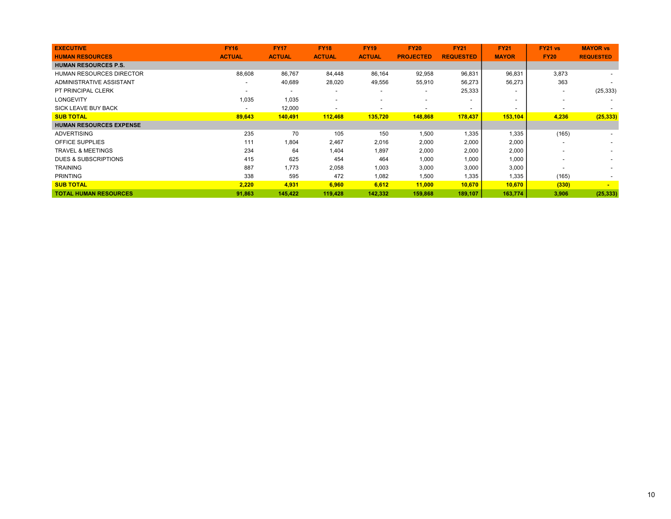| <b>EXECUTIVE</b>                | <b>FY16</b>              | <b>FY17</b>              | <b>FY18</b>              | <b>FY19</b>   | <b>FY20</b>      | <b>FY21</b>              | <b>FY21</b>              | <b>FY21 vs</b>           | <b>MAYOR vs</b>          |
|---------------------------------|--------------------------|--------------------------|--------------------------|---------------|------------------|--------------------------|--------------------------|--------------------------|--------------------------|
| <b>HUMAN RESOURCES</b>          | <b>ACTUAL</b>            | <b>ACTUAL</b>            | <b>ACTUAL</b>            | <b>ACTUAL</b> | <b>PROJECTED</b> | <b>REQUESTED</b>         | <b>MAYOR</b>             | <b>FY20</b>              | <b>REQUESTED</b>         |
| <b>HUMAN RESOURCES P.S.</b>     |                          |                          |                          |               |                  |                          |                          |                          |                          |
| <b>HUMAN RESOURCES DIRECTOR</b> | 88,608                   | 86,767                   | 84,448                   | 86,164        | 92,958           | 96,831                   | 96,831                   | 3,873                    |                          |
| ADMINISTRATIVE ASSISTANT        | $\overline{\phantom{0}}$ | 40,689                   | 28,020                   | 49,556        | 55,910           | 56,273                   | 56,273                   | 363                      |                          |
| PT PRINCIPAL CLERK              |                          | $\overline{\phantom{a}}$ |                          |               | $\blacksquare$   | 25,333                   | $\overline{\phantom{0}}$ | $\overline{\phantom{a}}$ | (25, 333)                |
| <b>LONGEVITY</b>                | 1,035                    | 1,035                    | $\overline{\phantom{0}}$ |               |                  |                          | $\overline{\phantom{0}}$ |                          |                          |
| <b>SICK LEAVE BUY BACK</b>      | $\overline{\phantom{0}}$ | 12,000                   | ٠                        |               |                  | $\overline{\phantom{a}}$ | $\overline{\phantom{a}}$ |                          |                          |
| <b>SUB TOTAL</b>                | 89,643                   | 140,491                  | 112,468                  | 135,720       | 148,868          | 178,437                  | 153,104                  | 4,236                    | (25, 333)                |
| <b>HUMAN RESOURCES EXPENSE</b>  |                          |                          |                          |               |                  |                          |                          |                          |                          |
| <b>ADVERTISING</b>              | 235                      | 70                       | 105                      | 150           | 1,500            | 1,335                    | 1,335                    | (165)                    |                          |
| <b>OFFICE SUPPLIES</b>          | 111                      | 1,804                    | 2,467                    | 2,016         | 2,000            | 2,000                    | 2,000                    |                          |                          |
| <b>TRAVEL &amp; MEETINGS</b>    | 234                      | 64                       | 1,404                    | 1,897         | 2,000            | 2,000                    | 2,000                    |                          |                          |
| <b>DUES &amp; SUBSCRIPTIONS</b> | 415                      | 625                      | 454                      | 464           | 1,000            | 1,000                    | 1,000                    |                          |                          |
| TRAINING                        | 887                      | 1,773                    | 2,058                    | 1,003         | 3,000            | 3,000                    | 3,000                    |                          |                          |
| <b>PRINTING</b>                 | 338                      | 595                      | 472                      | 1,082         | 1,500            | 1,335                    | 1,335                    | (165)                    | $\overline{\phantom{a}}$ |
| <b>SUB TOTAL</b>                | 2,220                    | 4,931                    | 6,960                    | 6,612         | 11,000           | 10,670                   | 10,670                   | (330)                    | $\blacksquare$           |
| <b>TOTAL HUMAN RESOURCES</b>    | 91,863                   | 145,422                  | 119,428                  | 142,332       | 159,868          | 189,107                  | 163,774                  | 3,906                    | (25, 333)                |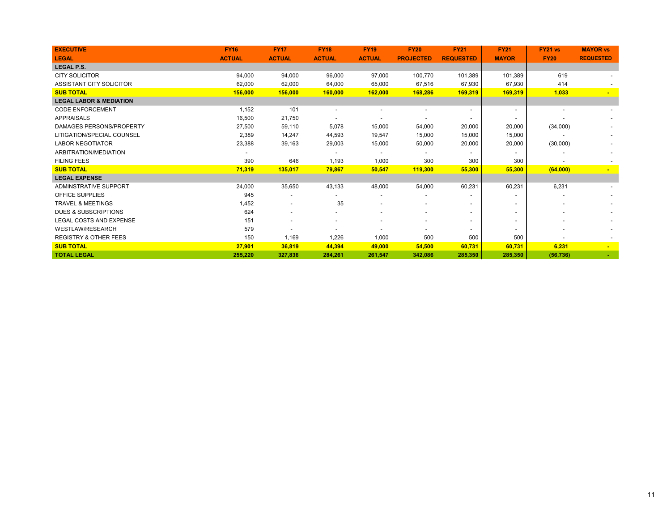| <b>EXECUTIVE</b>                   | <b>FY16</b>   | <b>FY17</b>              | <b>FY18</b>   | <b>FY19</b>              | <b>FY20</b>              | <b>FY21</b>              | <b>FY21</b>              | FY21 vs     | <b>MAYOR vs</b>  |
|------------------------------------|---------------|--------------------------|---------------|--------------------------|--------------------------|--------------------------|--------------------------|-------------|------------------|
| <b>LEGAL</b>                       | <b>ACTUAL</b> | <b>ACTUAL</b>            | <b>ACTUAL</b> | <b>ACTUAL</b>            | <b>PROJECTED</b>         | <b>REQUESTED</b>         | <b>MAYOR</b>             | <b>FY20</b> | <b>REQUESTED</b> |
| <b>LEGAL P.S.</b>                  |               |                          |               |                          |                          |                          |                          |             |                  |
| <b>CITY SOLICITOR</b>              | 94,000        | 94,000                   | 96,000        | 97,000                   | 100,770                  | 101,389                  | 101,389                  | 619         |                  |
| ASSISTANT CITY SOLICITOR           | 62.000        | 62,000                   | 64,000        | 65,000                   | 67.516                   | 67,930                   | 67,930                   | 414         |                  |
| <b>SUB TOTAL</b>                   | 156,000       | 156,000                  | 160,000       | 162,000                  | 168,286                  | 169,319                  | 169,319                  | 1,033       |                  |
| <b>LEGAL LABOR &amp; MEDIATION</b> |               |                          |               |                          |                          |                          |                          |             |                  |
| <b>CODE ENFORCEMENT</b>            | 1,152         | 101                      |               |                          |                          |                          |                          |             |                  |
| <b>APPRAISALS</b>                  | 16,500        | 21,750                   |               |                          |                          |                          |                          |             |                  |
| DAMAGES PERSONS/PROPERTY           | 27,500        | 59,110                   | 5,078         | 15,000                   | 54,000                   | 20,000                   | 20,000                   | (34,000)    |                  |
| LITIGATION/SPECIAL COUNSEL         | 2,389         | 14,247                   | 44,593        | 19,547                   | 15,000                   | 15,000                   | 15,000                   |             |                  |
| <b>LABOR NEGOTIATOR</b>            | 23,388        | 39,163                   | 29,003        | 15,000                   | 50,000                   | 20,000                   | 20,000                   | (30,000)    |                  |
| ARBITRATION/MEDIATION              |               |                          |               | $\overline{\phantom{a}}$ |                          |                          | $\sim$                   |             |                  |
| <b>FILING FEES</b>                 | 390           | 646                      | 1,193         | 1,000                    | 300                      | 300                      | 300                      |             |                  |
| <b>SUB TOTAL</b>                   | 71,319        | 135,017                  | 79,867        | 50,547                   | 119,300                  | 55,300                   | 55,300                   | (64,000)    |                  |
| <b>LEGAL EXPENSE</b>               |               |                          |               |                          |                          |                          |                          |             |                  |
| ADMINSTRATIVE SUPPORT              | 24,000        | 35,650                   | 43,133        | 48,000                   | 54,000                   | 60,231                   | 60,231                   | 6,231       |                  |
| OFFICE SUPPLIES                    | 945           | $\overline{\phantom{a}}$ |               |                          |                          |                          |                          |             |                  |
| <b>TRAVEL &amp; MEETINGS</b>       | 1,452         |                          | 35            | $\overline{\phantom{0}}$ |                          | $\overline{\phantom{0}}$ |                          |             |                  |
| <b>DUES &amp; SUBSCRIPTIONS</b>    | 624           |                          |               | $\overline{\phantom{a}}$ | $\overline{\phantom{a}}$ | $\overline{\phantom{0}}$ | $\overline{\phantom{a}}$ |             |                  |
| LEGAL COSTS AND EXPENSE            | 151           |                          |               | $\overline{\phantom{a}}$ | $\overline{\phantom{a}}$ | $\overline{\phantom{a}}$ | $\blacksquare$           |             |                  |
| <b>WESTLAW/RESEARCH</b>            | 579           |                          |               |                          |                          | $\overline{a}$           |                          |             |                  |
| <b>REGISTRY &amp; OTHER FEES</b>   | 150           | 1,169                    | 1,226         | 1,000                    | 500                      | 500                      | 500                      |             |                  |
| <b>SUB TOTAL</b>                   | 27,901        | 36,819                   | 44,394        | 49,000                   | 54,500                   | 60,731                   | 60,731                   | 6,231       |                  |
| <b>TOTAL LEGAL</b>                 | 255,220       | 327,836                  | 284,261       | 261,547                  | 342,086                  | 285,350                  | 285,350                  | (56, 736)   |                  |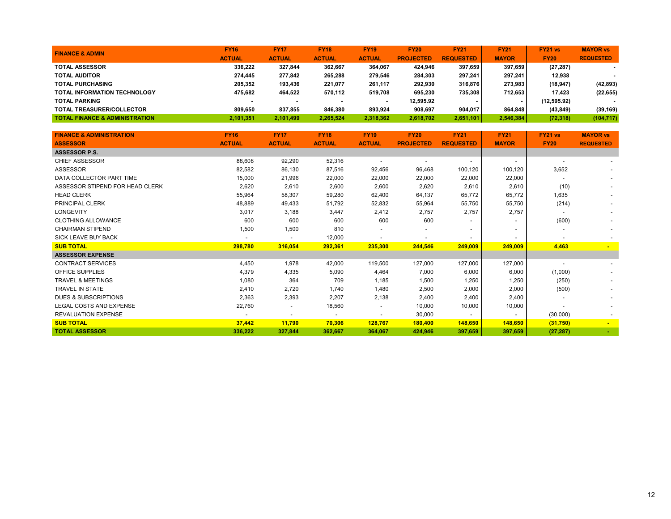| <b>FINANCE &amp; ADMIN</b>                | <b>FY16</b>              | <b>FY17</b>   | <b>FY18</b>   | <b>FY19</b>   | <b>FY20</b>      | <b>FY21</b>      | <b>FY21</b>  | FY21 vs     | <b>MAYOR vs</b>          |
|-------------------------------------------|--------------------------|---------------|---------------|---------------|------------------|------------------|--------------|-------------|--------------------------|
|                                           | <b>ACTUAL</b>            | <b>ACTUAL</b> | <b>ACTUAL</b> | <b>ACTUAL</b> | <b>PROJECTED</b> | <b>REQUESTED</b> | <b>MAYOR</b> | <b>FY20</b> | <b>REQUESTED</b>         |
| <b>TOTAL ASSESSOR</b>                     | 336.222                  | 327.844       | 362.667       | 364.067       | 424.946          | 397.659          | 397.659      | (27, 287)   |                          |
| <b>TOTAL AUDITOR</b>                      | 274.445                  | 277.842       | 265,288       | 279.546       | 284.303          | 297,241          | 297.241      | 12.938      | $\overline{\phantom{a}}$ |
| <b>TOTAL PURCHASING</b>                   | 205.352                  | 193.436       | 221.077       | 261.117       | 292.930          | 316,876          | 273.983      | (18, 947)   | (42, 893)                |
| <b>TOTAL INFORMATION TECHNOLOGY</b>       | 475.682                  | 464.522       | 570.112       | 519.708       | 695.230          | 735.308          | 712.653      | 17.423      | (22, 655)                |
| <b>TOTAL PARKING</b>                      | $\overline{\phantom{a}}$ |               | -             |               | 12.595.92        |                  |              | (12,595.92) |                          |
| <b>TOTAL TREASURER/COLLECTOR</b>          | 809.650                  | 837.855       | 846.380       | 893.924       | 908.697          | 904.017          | 864.848      | (43, 849)   | (39, 169)                |
| <b>TOTAL FINANCE &amp; ADMINISTRATION</b> | 2,101,351                | 2,101,499     | 2,265,524     | 2,318,362     | 2,618,702        | 2,651,101        | 2,546,384    | (72, 318)   | (104, 717)               |

| <b>FINANCE &amp; ADMINISTRATION</b> | <b>FY16</b>   | <b>FY17</b>              | <b>FY18</b>    | <b>FY19</b>              | <b>FY20</b>      | <b>FY21</b>              | <b>FY21</b>              | <b>FY21 vs</b> | <b>MAYOR vs</b>  |
|-------------------------------------|---------------|--------------------------|----------------|--------------------------|------------------|--------------------------|--------------------------|----------------|------------------|
| <b>ASSESSOR</b>                     | <b>ACTUAL</b> | <b>ACTUAL</b>            | <b>ACTUAL</b>  | <b>ACTUAL</b>            | <b>PROJECTED</b> | <b>REQUESTED</b>         | <b>MAYOR</b>             | <b>FY20</b>    | <b>REQUESTED</b> |
| <b>ASSESSOR P.S.</b>                |               |                          |                |                          |                  |                          |                          |                |                  |
| <b>CHIEF ASSESSOR</b>               | 88,608        | 92,290                   | 52,316         | $\overline{\phantom{a}}$ |                  | $\overline{\phantom{a}}$ | $\overline{\phantom{a}}$ |                |                  |
| <b>ASSESSOR</b>                     | 82,582        | 86,130                   | 87,516         | 92,456                   | 96,468           | 100,120                  | 100,120                  | 3,652          |                  |
| DATA COLLECTOR PART TIME            | 15,000        | 21,996                   | 22,000         | 22,000                   | 22,000           | 22,000                   | 22,000                   |                |                  |
| ASSESSOR STIPEND FOR HEAD CLERK     | 2,620         | 2,610                    | 2,600          | 2,600                    | 2,620            | 2,610                    | 2,610                    | (10)           |                  |
| <b>HEAD CLERK</b>                   | 55,964        | 58,307                   | 59,280         | 62,400                   | 64,137           | 65,772                   | 65,772                   | 1,635          |                  |
| <b>PRINCIPAL CLERK</b>              | 48,889        | 49,433                   | 51,792         | 52,832                   | 55,964           | 55,750                   | 55,750                   | (214)          | $\sim$           |
| <b>LONGEVITY</b>                    | 3,017         | 3,188                    | 3,447          | 2,412                    | 2,757            | 2,757                    | 2,757                    |                |                  |
| <b>CLOTHING ALLOWANCE</b>           | 600           | 600                      | 600            | 600                      | 600              |                          |                          | (600)          |                  |
| <b>CHAIRMAN STIPEND</b>             | 1,500         | 1,500                    | 810            | $\overline{\phantom{a}}$ |                  |                          | $\overline{\phantom{a}}$ |                |                  |
| <b>SICK LEAVE BUY BACK</b>          |               | $\overline{\phantom{a}}$ | 12,000         | $\overline{\phantom{a}}$ |                  | $\overline{\phantom{a}}$ | $\blacksquare$           |                |                  |
| <b>SUB TOTAL</b>                    | 298,780       | 316,054                  | 292,361        | 235,300                  | 244,546          | 249,009                  | 249,009                  | 4,463          |                  |
| <b>ASSESSOR EXPENSE</b>             |               |                          |                |                          |                  |                          |                          |                |                  |
| <b>CONTRACT SERVICES</b>            | 4,450         | 1,978                    | 42,000         | 119,500                  | 127,000          | 127,000                  | 127,000                  |                |                  |
| <b>OFFICE SUPPLIES</b>              | 4,379         | 4,335                    | 5,090          | 4,464                    | 7,000            | 6,000                    | 6,000                    | (1,000)        |                  |
| <b>TRAVEL &amp; MEETINGS</b>        | 1,080         | 364                      | 709            | 1,185                    | 1,500            | 1,250                    | 1,250                    | (250)          |                  |
| <b>TRAVEL IN STATE</b>              | 2.410         | 2,720                    | 1,740          | 1,480                    | 2,500            | 2,000                    | 2,000                    | (500)          |                  |
| <b>DUES &amp; SUBSCRIPTIONS</b>     | 2,363         | 2,393                    | 2,207          | 2,138                    | 2,400            | 2,400                    | 2,400                    |                |                  |
| LEGAL COSTS AND EXPENSE             | 22,760        | $\overline{\phantom{a}}$ | 18,560         | $\overline{\phantom{a}}$ | 10,000           | 10,000                   | 10,000                   |                |                  |
| <b>REVALUATION EXPENSE</b>          |               | $\overline{\phantom{a}}$ | $\overline{a}$ | $\overline{\phantom{a}}$ | 30,000           | $\overline{\phantom{a}}$ | $\overline{\phantom{a}}$ | (30,000)       |                  |
| <b>SUB TOTAL</b>                    | 37,442        | 11,790                   | 70,306         | 128,767                  | 180,400          | 148,650                  | 148,650                  | (31,750)       | $\blacksquare$   |
| <b>TOTAL ASSESSOR</b>               | 336,222       | 327,844                  | 362,667        | 364,067                  | 424,946          | 397,659                  | 397,659                  | (27, 287)      |                  |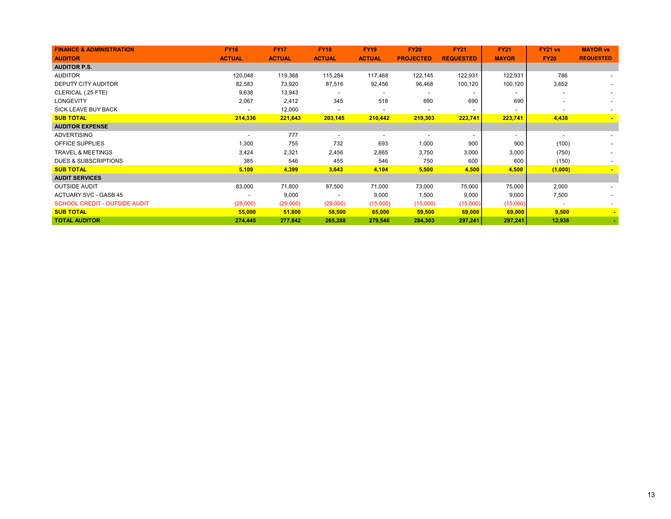| <b>FINANCE &amp; ADMINISTRATION</b>  | <b>FY16</b>              | <b>FY17</b>   | <b>FY18</b>   | <b>FY19</b>              | <b>FY20</b>      | <b>FY21</b>      | <b>FY21</b>              | <b>FY21 vs</b>           | <b>MAYOR vs</b>          |
|--------------------------------------|--------------------------|---------------|---------------|--------------------------|------------------|------------------|--------------------------|--------------------------|--------------------------|
| <b>AUDITOR</b>                       | <b>ACTUAL</b>            | <b>ACTUAL</b> | <b>ACTUAL</b> | <b>ACTUAL</b>            | <b>PROJECTED</b> | <b>REQUESTED</b> | <b>MAYOR</b>             | <b>FY20</b>              | <b>REQUESTED</b>         |
| <b>AUDITOR P.S.</b>                  |                          |               |               |                          |                  |                  |                          |                          |                          |
| <b>AUDITOR</b>                       | 120,048                  | 119,368       | 115,284       | 117,468                  | 122,145          | 122,931          | 122,931                  | 786                      |                          |
| DEPUTY CITY AUDITOR                  | 82,583                   | 73,920        | 87,516        | 92,456                   | 96,468           | 100,120          | 100,120                  | 3,652                    | $\overline{\phantom{a}}$ |
| CLERICAL (.25 FTE)                   | 9,638                    | 13,943        |               |                          |                  |                  | $\overline{\phantom{0}}$ | $\overline{\phantom{0}}$ |                          |
| <b>LONGEVITY</b>                     | 2,067                    | 2,412         | 345           | 518                      | 690              | 690              | 690                      | $\overline{\phantom{a}}$ |                          |
| SICK LEAVE BUY BACK                  |                          | 12,000        |               |                          |                  |                  | $\overline{\phantom{a}}$ | $\overline{\phantom{a}}$ | $\sim$                   |
| <b>SUB TOTAL</b>                     | 214,336                  | 221,643       | 203,145       | 210,442                  | 219,303          | 223,741          | 223,741                  | 4,438                    |                          |
| <b>AUDITOR EXPENSE</b>               |                          |               |               |                          |                  |                  |                          |                          |                          |
| <b>ADVERTISING</b>                   | $\overline{\phantom{a}}$ | 777           |               | $\overline{\phantom{a}}$ |                  |                  | $\overline{\phantom{0}}$ | $\overline{\phantom{a}}$ |                          |
| OFFICE SUPPLIES                      | 1,300                    | 755           | 732           | 693                      | 1,000            | 900              | 900                      | (100)                    |                          |
| <b>TRAVEL &amp; MEETINGS</b>         | 3,424                    | 2,321         | 2,456         | 2,865                    | 3,750            | 3,000            | 3,000                    | (750)                    |                          |
| <b>DUES &amp; SUBSCRIPTIONS</b>      | 385                      | 546           | 455           | 546                      | 750              | 600              | 600                      | (150)                    |                          |
| <b>SUB TOTAL</b>                     | 5,109                    | 4,399         | 3,643         | 4,104                    | 5,500            | 4,500            | 4,500                    | (1,000)                  |                          |
| <b>AUDIT SERVICES</b>                |                          |               |               |                          |                  |                  |                          |                          |                          |
| <b>OUTSIDE AUDIT</b>                 | 83,000                   | 71,800        | 87,500        | 71,000                   | 73,000           | 75,000           | 75,000                   | 2,000                    |                          |
| <b>ACTUARY SVC - GASB 45</b>         | $\overline{\phantom{a}}$ | 9,000         |               | 9,000                    | 1,500            | 9,000            | 9,000                    | 7,500                    | $\overline{\phantom{0}}$ |
| <b>SCHOOL CREDIT - OUTSIDE AUDIT</b> | (28,000)                 | (29,000)      | (29,000)      | (15,000)                 | (15,000)         | (15,000)         | (15,000)                 | $\sim$                   | ۰                        |
| <b>SUB TOTAL</b>                     | 55,000                   | 51,800        | 58,500        | 65,000                   | 59,500           | 69,000           | 69,000                   | 9,500                    | $\sim$                   |
| <b>TOTAL AUDITOR</b>                 | 274,445                  | 277,842       | 265,288       | 279,546                  | 284,303          | 297,241          | 297,241                  | 12,938                   | $\omega_{\rm c}$         |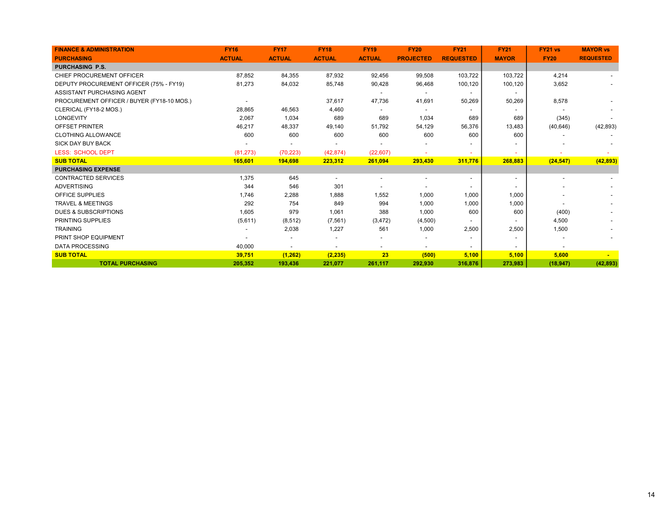| <b>FINANCE &amp; ADMINISTRATION</b>        | <b>FY16</b>   | <b>FY17</b>   | <b>FY18</b>   | <b>FY19</b>   | <b>FY20</b>      | <b>FY21</b>              | <b>FY21</b>              | <b>FY21 vs</b> | <b>MAYOR vs</b>  |
|--------------------------------------------|---------------|---------------|---------------|---------------|------------------|--------------------------|--------------------------|----------------|------------------|
| <b>PURCHASING</b>                          | <b>ACTUAL</b> | <b>ACTUAL</b> | <b>ACTUAL</b> | <b>ACTUAL</b> | <b>PROJECTED</b> | <b>REQUESTED</b>         | <b>MAYOR</b>             | <b>FY20</b>    | <b>REQUESTED</b> |
| <b>PURCHASING P.S.</b>                     |               |               |               |               |                  |                          |                          |                |                  |
| CHIEF PROCUREMENT OFFICER                  | 87,852        | 84,355        | 87,932        | 92,456        | 99,508           | 103,722                  | 103,722                  | 4,214          |                  |
| DEPUTY PROCUREMENT OFFICER (75% - FY19)    | 81,273        | 84,032        | 85,748        | 90,428        | 96,468           | 100,120                  | 100,120                  | 3,652          |                  |
| ASSISTANT PURCHASING AGENT                 |               |               |               |               |                  | $\overline{\phantom{a}}$ | $\overline{\phantom{a}}$ |                |                  |
| PROCUREMENT OFFICER / BUYER (FY18-10 MOS.) |               |               | 37,617        | 47,736        | 41,691           | 50,269                   | 50,269                   | 8,578          |                  |
| CLERICAL (FY18-2 MOS.)                     | 28,865        | 46,563        | 4,460         |               |                  |                          |                          |                |                  |
| LONGEVITY                                  | 2,067         | 1,034         | 689           | 689           | 1,034            | 689                      | 689                      | (345)          |                  |
| <b>OFFSET PRINTER</b>                      | 46,217        | 48,337        | 49,140        | 51,792        | 54,129           | 56,376                   | 13,483                   | (40, 646)      | (42, 893)        |
| <b>CLOTHING ALLOWANCE</b>                  | 600           | 600           | 600           | 600           | 600              | 600                      | 600                      |                |                  |
| <b>SICK DAY BUY BACK</b>                   |               |               |               |               |                  |                          |                          |                |                  |
| <b>LESS: SCHOOL DEPT</b>                   | (81, 273)     | (70, 223)     | (42, 874)     | (22, 607)     |                  |                          | $\sim$                   |                |                  |
| <b>SUB TOTAL</b>                           | 165,601       | 194,698       | 223,312       | 261,094       | 293,430          | 311,776                  | 268,883                  | (24, 547)      | (42, 893)        |
| <b>PURCHASING EXPENSE</b>                  |               |               |               |               |                  |                          |                          |                |                  |
| <b>CONTRACTED SERVICES</b>                 | 1,375         | 645           |               |               |                  |                          | $\overline{\phantom{a}}$ |                |                  |
| <b>ADVERTISING</b>                         | 344           | 546           | 301           |               |                  |                          | $\overline{\phantom{a}}$ |                |                  |
| <b>OFFICE SUPPLIES</b>                     | 1,746         | 2,288         | 1,888         | 1,552         | 1,000            | 1,000                    | 1,000                    |                |                  |
| <b>TRAVEL &amp; MEETINGS</b>               | 292           | 754           | 849           | 994           | 1,000            | 1,000                    | 1,000                    |                |                  |
| <b>DUES &amp; SUBSCRIPTIONS</b>            | 1,605         | 979           | 1,061         | 388           | 1,000            | 600                      | 600                      | (400)          |                  |
| <b>PRINTING SUPPLIES</b>                   | (5,611)       | (8, 512)      | (7, 561)      | (3, 472)      | (4,500)          |                          |                          | 4,500          |                  |
| <b>TRAINING</b>                            |               | 2,038         | 1,227         | 561           | 1,000            | 2,500                    | 2,500                    | 1,500          |                  |
| PRINT SHOP EQUIPMENT                       |               |               |               |               |                  |                          |                          |                |                  |
| <b>DATA PROCESSING</b>                     | 40,000        |               |               |               |                  |                          | $\overline{\phantom{a}}$ |                |                  |
| <b>SUB TOTAL</b>                           | 39,751        | (1, 262)      | (2, 235)      | 23            | (500)            | 5,100                    | 5,100                    | 5,600          |                  |
| <b>TOTAL PURCHASING</b>                    | 205,352       | 193.436       | 221.077       | 261,117       | 292.930          | 316,876                  | 273.983                  | (18, 947)      | (42, 893)        |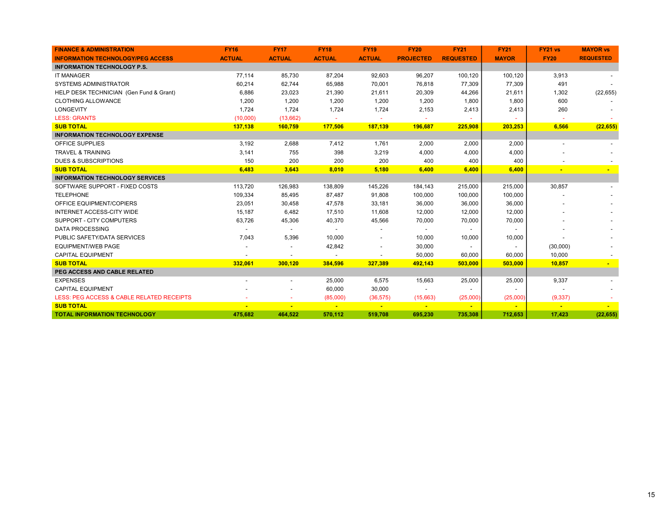| <b>FINANCE &amp; ADMINISTRATION</b>       | <b>FY16</b>   | <b>FY17</b>              | <b>FY18</b>              | <b>FY19</b>              | <b>FY20</b>      | <b>FY21</b>              | <b>FY21</b>    | FY21 vs     | <b>MAYOR vs</b>  |
|-------------------------------------------|---------------|--------------------------|--------------------------|--------------------------|------------------|--------------------------|----------------|-------------|------------------|
| <b>INFORMATION TECHNOLOGY/PEG ACCESS</b>  | <b>ACTUAL</b> | <b>ACTUAL</b>            | <b>ACTUAL</b>            | <b>ACTUAL</b>            | <b>PROJECTED</b> | <b>REQUESTED</b>         | <b>MAYOR</b>   | <b>FY20</b> | <b>REQUESTED</b> |
| <b>INFORMATION TECHNOLOGY P.S.</b>        |               |                          |                          |                          |                  |                          |                |             |                  |
| <b>IT MANAGER</b>                         | 77,114        | 85,730                   | 87,204                   | 92,603                   | 96,207           | 100,120                  | 100,120        | 3,913       |                  |
| <b>SYSTEMS ADMINISTRATOR</b>              | 60,214        | 62,744                   | 65,988                   | 70,001                   | 76,818           | 77,309                   | 77,309         | 491         |                  |
| HELP DESK TECHNICIAN (Gen Fund & Grant)   | 6,886         | 23,023                   | 21,390                   | 21,611                   | 20,309           | 44,266                   | 21,611         | 1,302       | (22, 655)        |
| <b>CLOTHING ALLOWANCE</b>                 | 1,200         | 1,200                    | 1,200                    | 1,200                    | 1,200            | 1,800                    | 1,800          | 600         |                  |
| <b>LONGEVITY</b>                          | 1,724         | 1,724                    | 1,724                    | 1,724                    | 2,153            | 2,413                    | 2,413          | 260         |                  |
| <b>LESS: GRANTS</b>                       | (10,000)      | (13,662)                 |                          |                          |                  |                          |                |             |                  |
| <b>SUB TOTAL</b>                          | 137,138       | 160,759                  | 177,506                  | 187,139                  | 196,687          | 225,908                  | 203,253        | 6,566       | (22, 655)        |
| <b>INFORMATION TECHNOLOGY EXPENSE</b>     |               |                          |                          |                          |                  |                          |                |             |                  |
| <b>OFFICE SUPPLIES</b>                    | 3,192         | 2,688                    | 7,412                    | 1,761                    | 2,000            | 2,000                    | 2,000          |             |                  |
| <b>TRAVEL &amp; TRAINING</b>              | 3,141         | 755                      | 398                      | 3,219                    | 4,000            | 4,000                    | 4,000          |             |                  |
| <b>DUES &amp; SUBSCRIPTIONS</b>           | 150           | 200                      | 200                      | 200                      | 400              | 400                      | 400            |             |                  |
| <b>SUB TOTAL</b>                          | 6,483         | 3,643                    | 8,010                    | 5,180                    | 6,400            | 6,400                    | 6,400          |             |                  |
| <b>INFORMATION TECHNOLOGY SERVICES</b>    |               |                          |                          |                          |                  |                          |                |             |                  |
| SOFTWARE SUPPORT - FIXED COSTS            | 113,720       | 126,983                  | 138,809                  | 145,226                  | 184,143          | 215,000                  | 215,000        | 30,857      |                  |
| <b>TELEPHONE</b>                          | 109,334       | 85,495                   | 87,487                   | 91,808                   | 100,000          | 100,000                  | 100,000        |             |                  |
| OFFICE EQUIPMENT/COPIERS                  | 23,051        | 30,458                   | 47,578                   | 33,181                   | 36,000           | 36,000                   | 36,000         |             |                  |
| INTERNET ACCESS-CITY WIDE                 | 15,187        | 6,482                    | 17,510                   | 11,608                   | 12,000           | 12,000                   | 12,000         |             |                  |
| SUPPORT - CITY COMPUTERS                  | 63,726        | 45,306                   | 40,370                   | 45,566                   | 70,000           | 70,000                   | 70,000         |             |                  |
| <b>DATA PROCESSING</b>                    |               | $\overline{\phantom{a}}$ | $\overline{\phantom{a}}$ | $\overline{\phantom{a}}$ |                  | $\overline{\phantom{a}}$ | $\blacksquare$ |             |                  |
| PUBLIC SAFETY/DATA SERVICES               | 7,043         | 5,396                    | 10,000                   | $\overline{\phantom{a}}$ | 10,000           | 10,000                   | 10,000         |             |                  |
| <b>EQUIPMENT/WEB PAGE</b>                 |               |                          | 42,842                   | $\overline{\phantom{a}}$ | 30,000           | $\overline{\phantom{a}}$ | $\blacksquare$ | (30,000)    |                  |
| <b>CAPITAL EQUIPMENT</b>                  |               |                          |                          |                          | 50,000           | 60,000                   | 60,000         | 10,000      |                  |
| <b>SUB TOTAL</b>                          | 332,061       | 300,120                  | 384,596                  | 327,389                  | 492,143          | 503,000                  | 503,000        | 10,857      |                  |
| PEG ACCESS AND CABLE RELATED              |               |                          |                          |                          |                  |                          |                |             |                  |
| <b>EXPENSES</b>                           |               | $\overline{\phantom{a}}$ | 25,000                   | 6,575                    | 15,663           | 25,000                   | 25,000         | 9,337       |                  |
| <b>CAPITAL EQUIPMENT</b>                  |               |                          | 60,000                   | 30,000                   |                  |                          |                |             |                  |
| LESS: PEG ACCESS & CABLE RELATED RECEIPTS |               |                          | (85,000)                 | (36, 575)                | (15,663)         | (25,000)                 | (25,000)       | (9, 337)    |                  |
| <b>SUB TOTAL</b>                          |               |                          |                          |                          |                  |                          |                |             |                  |
| <b>TOTAL INFORMATION TECHNOLOGY</b>       | 475,682       | 464,522                  | 570,112                  | 519,708                  | 695,230          | 735,308                  | 712,653        | 17,423      | (22, 655)        |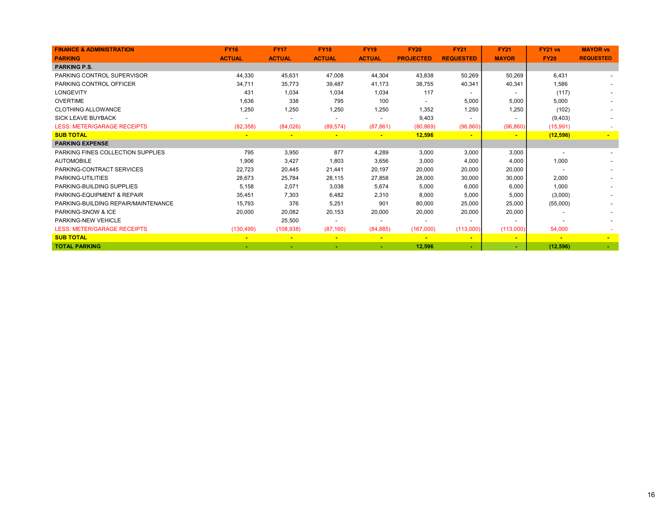| <b>FINANCE &amp; ADMINISTRATION</b>   | <b>FY16</b>   | <b>FY17</b>    | <b>FY18</b>              | <b>FY19</b>    | <b>FY20</b>      | <b>FY21</b>              | <b>FY21</b>              | FY21 vs     | <b>MAYOR vs</b>  |
|---------------------------------------|---------------|----------------|--------------------------|----------------|------------------|--------------------------|--------------------------|-------------|------------------|
| <b>PARKING</b>                        | <b>ACTUAL</b> | <b>ACTUAL</b>  | <b>ACTUAL</b>            | <b>ACTUAL</b>  | <b>PROJECTED</b> | <b>REQUESTED</b>         | <b>MAYOR</b>             | <b>FY20</b> | <b>REQUESTED</b> |
| <b>PARKING P.S.</b>                   |               |                |                          |                |                  |                          |                          |             |                  |
| PARKING CONTROL SUPERVISOR            | 44,330        | 45,631         | 47,008                   | 44,304         | 43,838           | 50,269                   | 50,269                   | 6.431       |                  |
| <b>PARKING CONTROL OFFICER</b>        | 34,711        | 35,773         | 39,487                   | 41,173         | 38,755           | 40,341                   | 40,341                   | 1,586       |                  |
| <b>LONGEVITY</b>                      | 431           | 1,034          | 1,034                    | 1,034          | 117              |                          |                          | (117)       |                  |
| <b>OVERTIME</b>                       | 1,636         | 338            | 795                      | 100            |                  | 5,000                    | 5,000                    | 5,000       |                  |
| <b>CLOTHING ALLOWANCE</b>             | 1,250         | 1,250          | 1,250                    | 1,250          | 1,352            | 1,250                    | 1,250                    | (102)       |                  |
| <b>SICK LEAVE BUYBACK</b>             |               |                |                          |                | 9,403            |                          |                          | (9,403)     |                  |
| <b>LESS: METER/GARAGE RECEIPTS</b>    | (82, 358)     | (84,026)       | (89, 574)                | (87, 861)      | (80, 869)        | (96, 860)                | (96, 860)                | (15, 991)   |                  |
| <b>SUB TOTAL</b>                      |               | $\blacksquare$ | $\overline{\phantom{a}}$ | $\blacksquare$ | 12,596           | $\blacksquare$           | $\blacksquare$           | (12, 596)   | $\blacksquare$   |
| <b>PARKING EXPENSE</b>                |               |                |                          |                |                  |                          |                          |             |                  |
| PARKING FINES COLLECTION SUPPLIES     | 795           | 3,950          | 877                      | 4,289          | 3,000            | 3,000                    | 3,000                    |             |                  |
| <b>AUTOMOBILE</b>                     | 1,906         | 3,427          | 1,803                    | 3,656          | 3,000            | 4,000                    | 4,000                    | 1,000       |                  |
| PARKING-CONTRACT SERVICES             | 22,723        | 20,445         | 21,441                   | 20,197         | 20,000           | 20,000                   | 20,000                   |             |                  |
| PARKING-UTILITIES                     | 28,673        | 25,784         | 28,115                   | 27,858         | 28,000           | 30,000                   | 30,000                   | 2,000       |                  |
| PARKING-BUILDING SUPPLIES             | 5,158         | 2,071          | 3,038                    | 5,674          | 5,000            | 6,000                    | 6,000                    | 1,000       |                  |
| <b>PARKING-EQUIPMENT &amp; REPAIR</b> | 35,451        | 7,303          | 6,482                    | 2,310          | 8,000            | 5,000                    | 5,000                    | (3,000)     |                  |
| PARKING-BUILDING REPAIR/MAINTENANCE   | 15,793        | 376            | 5,251                    | 901            | 80,000           | 25,000                   | 25,000                   | (55,000)    |                  |
| PARKING-SNOW & ICE                    | 20,000        | 20,082         | 20,153                   | 20,000         | 20,000           | 20,000                   | 20,000                   |             |                  |
| PARKING-NEW VEHICLE                   |               | 25,500         |                          |                |                  | $\overline{\phantom{a}}$ | $\overline{\phantom{a}}$ |             |                  |
| <b>LESS: METER/GARAGE RECEIPTS</b>    | (130, 499)    | (108, 938)     | (87, 160)                | (84, 885)      | (167,000)        | (113,000)                | (113,000)                | 54,000      |                  |
| <b>SUB TOTAL</b>                      |               |                |                          |                |                  |                          | $\overline{\phantom{a}}$ |             |                  |
| <b>TOTAL PARKING</b>                  |               |                |                          |                | 12,596           | ۰.                       |                          | (12, 596)   |                  |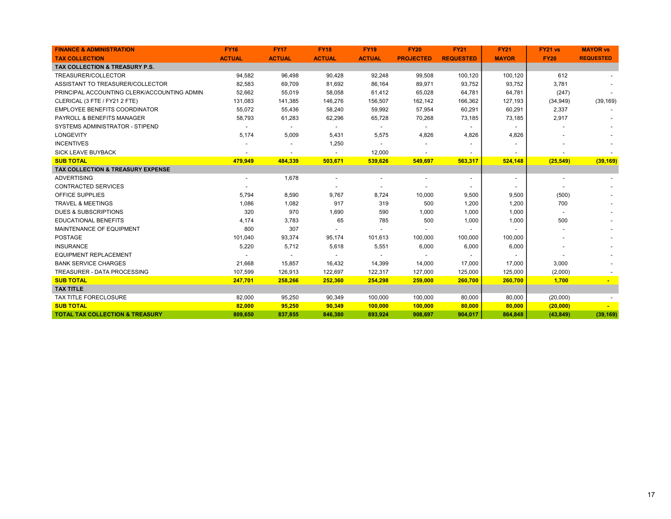| <b>FINANCE &amp; ADMINISTRATION</b>          | <b>FY16</b>              | <b>FY17</b>    | <b>FY18</b>              | <b>FY19</b>              | <b>FY20</b>              | <b>FY21</b>              | <b>FY21</b>              | <b>FY21 vs</b>           | <b>MAYOR vs</b>  |
|----------------------------------------------|--------------------------|----------------|--------------------------|--------------------------|--------------------------|--------------------------|--------------------------|--------------------------|------------------|
| <b>TAX COLLECTION</b>                        | <b>ACTUAL</b>            | <b>ACTUAL</b>  | <b>ACTUAL</b>            | <b>ACTUAL</b>            | <b>PROJECTED</b>         | <b>REQUESTED</b>         | <b>MAYOR</b>             | <b>FY20</b>              | <b>REQUESTED</b> |
| TAX COLLECTION & TREASURY P.S.               |                          |                |                          |                          |                          |                          |                          |                          |                  |
| TREASURER/COLLECTOR                          | 94,582                   | 96,498         | 90,428                   | 92,248                   | 99,508                   | 100,120                  | 100,120                  | 612                      |                  |
| ASSISTANT TO TREASURER/COLLECTOR             | 82,583                   | 69,709         | 81,692                   | 86,164                   | 89,971                   | 93,752                   | 93,752                   | 3,781                    |                  |
| PRINCIPAL ACCOUNTING CLERK/ACCOUNTING ADMIN. | 52,662                   | 55,019         | 58,058                   | 61,412                   | 65,028                   | 64,781                   | 64,781                   | (247)                    |                  |
| CLERICAL (3 FTE / FY21 2 FTE)                | 131,083                  | 141,385        | 146,276                  | 156,507                  | 162,142                  | 166,362                  | 127,193                  | (34, 949)                | (39, 169)        |
| <b>EMPLOYEE BENEFITS COORDINATOR</b>         | 55,072                   | 55,436         | 58,240                   | 59,992                   | 57,954                   | 60,291                   | 60,291                   | 2,337                    |                  |
| <b>PAYROLL &amp; BENEFITS MANAGER</b>        | 58,793                   | 61,283         | 62,296                   | 65,728                   | 70,268                   | 73,185                   | 73,185                   | 2,917                    |                  |
| SYSTEMS ADMINISTRATOR - STIPEND              | $\blacksquare$           | $\blacksquare$ | $\blacksquare$           | $\overline{\phantom{a}}$ | $\sim$                   | $\blacksquare$           | $\sim$                   |                          |                  |
| <b>LONGEVITY</b>                             | 5,174                    | 5,009          | 5,431                    | 5,575                    | 4,826                    | 4,826                    | 4,826                    |                          |                  |
| <b>INCENTIVES</b>                            |                          |                | 1,250                    |                          |                          |                          |                          |                          |                  |
| <b>SICK LEAVE BUYBACK</b>                    |                          |                | $\overline{\phantom{a}}$ | 12,000                   |                          |                          |                          |                          |                  |
| <b>SUB TOTAL</b>                             | 479,949                  | 484,339        | 503,671                  | 539,626                  | 549,697                  | 563,317                  | 524,148                  | (25, 549)                | (39, 169)        |
| TAX COLLECTION & TREASURY EXPENSE            |                          |                |                          |                          |                          |                          |                          |                          |                  |
| <b>ADVERTISING</b>                           | $\overline{\phantom{a}}$ | 1,678          | $\overline{\phantom{a}}$ | $\overline{\phantom{a}}$ | $\overline{\phantom{a}}$ | $\overline{\phantom{a}}$ | $\overline{\phantom{a}}$ | $\overline{\phantom{a}}$ |                  |
| <b>CONTRACTED SERVICES</b>                   |                          |                |                          |                          |                          |                          | $\blacksquare$           |                          |                  |
| <b>OFFICE SUPPLIES</b>                       | 5,794                    | 8,590          | 9,767                    | 8,724                    | 10,000                   | 9,500                    | 9,500                    | (500)                    |                  |
| <b>TRAVEL &amp; MEETINGS</b>                 | 1,086                    | 1,082          | 917                      | 319                      | 500                      | 1,200                    | 1,200                    | 700                      |                  |
| <b>DUES &amp; SUBSCRIPTIONS</b>              | 320                      | 970            | 1,690                    | 590                      | 1,000                    | 1,000                    | 1,000                    |                          |                  |
| <b>EDUCATIONAL BENEFITS</b>                  | 4,174                    | 3,783          | 65                       | 785                      | 500                      | 1,000                    | 1,000                    | 500                      |                  |
| MAINTENANCE OF EQUIPMENT                     | 800                      | 307            |                          |                          |                          |                          |                          |                          |                  |
| <b>POSTAGE</b>                               | 101,040                  | 93,374         | 95,174                   | 101,613                  | 100,000                  | 100,000                  | 100,000                  |                          |                  |
| <b>INSURANCE</b>                             | 5,220                    | 5,712          | 5,618                    | 5,551                    | 6,000                    | 6,000                    | 6,000                    |                          |                  |
| <b>EQUIPMENT REPLACEMENT</b>                 |                          |                |                          |                          |                          |                          |                          |                          |                  |
| <b>BANK SERVICE CHARGES</b>                  | 21,668                   | 15,857         | 16,432                   | 14,399                   | 14,000                   | 17,000                   | 17,000                   | 3,000                    |                  |
| <b>TREASURER - DATA PROCESSING</b>           | 107,599                  | 126,913        | 122,697                  | 122,317                  | 127,000                  | 125,000                  | 125,000                  | (2,000)                  |                  |
| <b>SUB TOTAL</b>                             | 247,701                  | 258,266        | 252,360                  | 254,298                  | 259,000                  | 260,700                  | 260,700                  | 1,700                    |                  |
| <b>TAX TITLE</b>                             |                          |                |                          |                          |                          |                          |                          |                          |                  |
| TAX TITLE FORECLOSURE                        | 82,000                   | 95,250         | 90,349                   | 100,000                  | 100,000                  | 80,000                   | 80,000                   | (20,000)                 |                  |
| <b>SUB TOTAL</b>                             | 82,000                   | 95,250         | 90,349                   | 100,000                  | 100,000                  | 80,000                   | 80,000                   | (20,000)                 |                  |
| <b>TOTAL TAX COLLECTION &amp; TREASURY</b>   | 809,650                  | 837,855        | 846,380                  | 893,924                  | 908,697                  | 904,017                  | 864,848                  | (43, 849)                | (39, 169)        |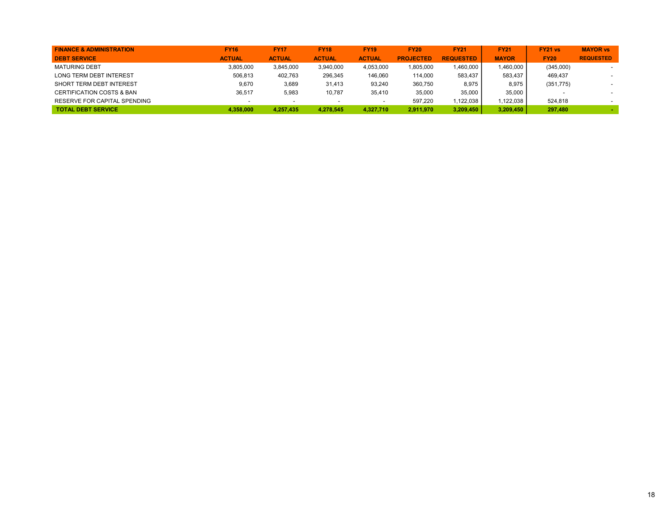| <b>FINANCE &amp; ADMINISTRATION</b>  | <b>FY16</b>   | <b>FY17</b>   | <b>FY18</b>   | <b>FY19</b>   | <b>FY20</b>      | <b>FY21</b>      | <b>FY21</b>  | <b>FY21 vs</b> | <b>MAYOR vs</b>          |
|--------------------------------------|---------------|---------------|---------------|---------------|------------------|------------------|--------------|----------------|--------------------------|
| <b>DEBT SERVICE</b>                  | <b>ACTUAL</b> | <b>ACTUAL</b> | <b>ACTUAL</b> | <b>ACTUAL</b> | <b>PROJECTED</b> | <b>REQUESTED</b> | <b>MAYOR</b> | <b>FY20</b>    | <b>REQUESTED</b>         |
| <b>MATURING DEBT</b>                 | 3,805,000     | 3,845,000     | 3,940,000     | 4,053,000     | 1,805,000        | 1.460.000        | 1,460,000    | (345,000)      |                          |
| LONG TERM DEBT INTEREST              | 506.813       | 402.763       | 296,345       | 146.060       | 114.000          | 583.437          | 583.437      | 469.437        |                          |
| SHORT TERM DEBT INTEREST             | 9,670         | 3,689         | 31.413        | 93.240        | 360.750          | 8.975            | 8.975        | (351, 775)     | $\overline{\phantom{a}}$ |
| <b>CERTIFICATION COSTS &amp; BAN</b> | 36.517        | 5,983         | 10.787        | 35.410        | 35,000           | 35,000           | 35,000       |                | $\overline{\phantom{a}}$ |
| RESERVE FOR CAPITAL SPENDING         |               |               |               |               | 597.220          | 122.038          | 1.122.038    | 524.818        |                          |
| <b>TOTAL DEBT SERVICE</b>            | 4,358,000     | 4.257.435     | 4,278,545     | 4.327.710     | 2,911,970        | 3,209,450        | 3.209.450    | 297,480        |                          |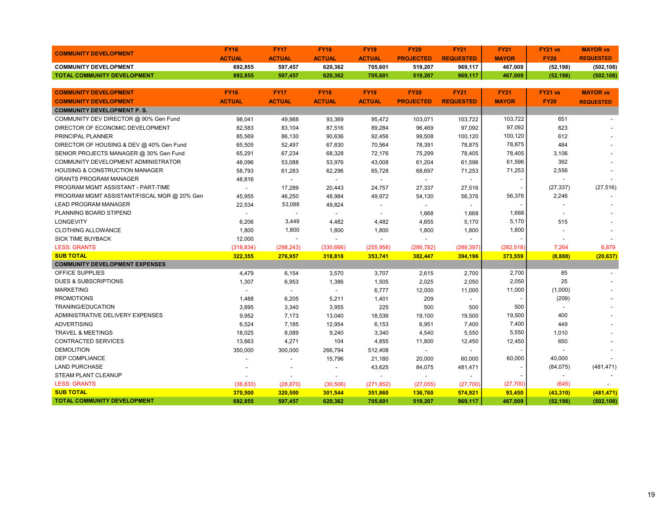| <b>COMMUNITY DEVELOPMENT</b>                | <b>FY16</b>    | <b>FY17</b>    | <b>FY18</b>              | <b>FY19</b>              | <b>FY20</b>              | <b>FY21</b>              | <b>FY21</b>  | FY21 vs                  | <b>MAYOR vs</b>  |
|---------------------------------------------|----------------|----------------|--------------------------|--------------------------|--------------------------|--------------------------|--------------|--------------------------|------------------|
|                                             | <b>ACTUAL</b>  | <b>ACTUAL</b>  | <b>ACTUAL</b>            | <b>ACTUAL</b>            | <b>PROJECTED</b>         | <b>REQUESTED</b>         | <b>MAYOR</b> | <b>FY20</b>              | <b>REQUESTED</b> |
| <b>COMMUNITY DEVELOPMENT</b>                | 692,855        | 597,457        | 620,362                  | 705,601                  | 519,207                  | 969,117                  | 467,009      | (52, 198)                | (502, 108)       |
| TOTAL COMMUNITY DEVELOPMENT                 | 692.855        | 597,457        | 620,362                  | 705,601                  | 519,207                  | 969,117                  | 467,009      | (52, 198)                | (502, 108)       |
|                                             |                |                |                          |                          |                          |                          |              |                          |                  |
| <b>COMMUNITY DEVELOPMENT</b>                | <b>FY16</b>    | <b>FY17</b>    | <b>FY18</b>              | <b>FY19</b>              | <b>FY20</b>              | <b>FY21</b>              | <b>FY21</b>  | <b>FY21 vs</b>           | <b>MAYOR vs</b>  |
| <b>COMMUNITY DEVELOPMENT</b>                | <b>ACTUAL</b>  | <b>ACTUAL</b>  | <b>ACTUAL</b>            | <b>ACTUAL</b>            | <b>PROJECTED</b>         | <b>REQUESTED</b>         | <b>MAYOR</b> | <b>FY20</b>              | <b>REQUESTED</b> |
| <b>COMMUNITY DEVELOPMENT P.S.</b>           |                |                |                          |                          |                          |                          |              |                          |                  |
| COMMUNITY DEV DIRECTOR @ 90% Gen Fund       | 98,041         | 49,988         | 93,369                   | 95,472                   | 103,071                  | 103,722                  | 103,722      | 651                      |                  |
| DIRECTOR OF ECONOMIC DEVELOPMENT            | 82,583         | 83,104         | 87,516                   | 89,284                   | 96,469                   | 97,092                   | 97,092       | 623                      |                  |
| PRINCIPAL PLANNER                           | 85,569         | 86,130         | 90,636                   | 92,456                   | 99,508                   | 100,120                  | 100,120      | 612                      |                  |
| DIRECTOR OF HOUSING & DEV @ 40% Gen Fund    | 65,505         | 52,497         | 67,830                   | 70,564                   | 78,391                   | 78,875                   | 78,875       | 484                      |                  |
| SENIOR PROJECTS MANAGER @ 30% Gen Fund      | 65,291         | 67,234         | 68,328                   | 72,176                   | 75,299                   | 78,405                   | 78,405       | 3,106                    |                  |
| COMMUNITY DEVELOPMENT ADMINISTRATOR         | 48,096         | 53,088         | 53,976                   | 43,008                   | 61,204                   | 61,596                   | 61,596       | 392                      |                  |
| <b>HOUSING &amp; CONSTRUCTION MANAGER</b>   | 58,793         | 61,283         | 62,296                   | 65,728                   | 68,697                   | 71,253                   | 71,253       | 2,556                    |                  |
| <b>GRANTS PROGRAM MANAGER</b>               | 48,816         | $\blacksquare$ | $\overline{\phantom{a}}$ | $\blacksquare$           | $\overline{\phantom{a}}$ | $\overline{\phantom{a}}$ |              |                          |                  |
| PROGRAM MGMT ASSISTANT - PART-TIME          | $\overline{a}$ | 17,289         | 20,443                   | 24,757                   | 27,337                   | 27,516                   |              | (27, 337)                | (27, 516)        |
| PROGRAM MGMT ASSISTANT/FISCAL MGR @ 20% Gen | 45,955         | 46,250         | 48,984                   | 49,972                   | 54,130                   | 56,376                   | 56,376       | 2,246                    |                  |
| <b>LEAD PROGRAM MANAGER</b>                 | 22,534         | 53,088         | 49,824                   | $\overline{\phantom{a}}$ | $\overline{a}$           | $\blacksquare$           |              |                          |                  |
| PLANNING BOARD STIPEND                      | $\overline{a}$ |                | $\overline{\phantom{a}}$ |                          | 1,668                    | 1,668                    | 1,668        |                          |                  |
| LONGEVITY                                   | 6,206          | 3,449          | 4,482                    | 4,482                    | 4,655                    | 5,170                    | 5,170        | 515                      |                  |
| <b>CLOTHING ALLOWANCE</b>                   | 1,800          | 1,800          | 1,800                    | 1,800                    | 1,800                    | 1,800                    | 1,800        |                          |                  |
| <b>SICK TIME BUYBACK</b>                    | 12,000         |                | $\overline{a}$           | $\blacksquare$           | $\overline{a}$           | $\blacksquare$           |              |                          |                  |
| <b>LESS: GRANTS</b>                         | (318, 834)     | (298, 243)     | (330, 666)               | (255, 958)               | (289, 782)               | (289, 397)               | (282, 518)   | 7,264                    | 6,879            |
| <b>SUB TOTAL</b>                            | 322,355        | 276,957        | 318,818                  | 353,741                  | 382,447                  | 394,196                  | 373,559      | (8,888)                  | (20, 637)        |
| <b>COMMUNITY DEVELOPMENT EXPENSES</b>       |                |                |                          |                          |                          |                          |              |                          |                  |
| OFFICE SUPPLIES                             | 4,479          | 6,154          | 3,570                    | 3,707                    | 2,615                    | 2,700                    | 2,700        | 85                       |                  |
| <b>DUES &amp; SUBSCRIPTIONS</b>             | 1,307          | 6,953          | 1,386                    | 1,505                    | 2,025                    | 2,050                    | 2,050        | 25                       |                  |
| <b>MARKETING</b>                            |                | $\sim$         | $\sim$                   | 6,777                    | 12,000                   | 11,000                   | 11,000       | (1,000)                  |                  |
| <b>PROMOTIONS</b>                           | 1,488          | 6,205          | 5,211                    | 1,401                    | 209                      | $\blacksquare$           |              | (209)                    |                  |
| <b>TRANING/EDUCATION</b>                    | 3,895          | 3,340          | 3,955                    | 225                      | 500                      | 500                      | 500          | $\overline{\phantom{a}}$ |                  |
| ADMINISTRATIVE DELIVERY EXPENSES            | 9,952          | 7,173          | 13,040                   | 18,536                   | 19,100                   | 19,500                   | 19,500       | 400                      |                  |
| <b>ADVERTISING</b>                          | 6,524          | 7,185          | 12,954                   | 6,153                    | 6,951                    | 7,400                    | 7,400        | 449                      |                  |
| <b>TRAVEL &amp; MEETINGS</b>                | 18,025         | 8,089          | 9,240                    | 3,340                    | 4,540                    | 5,550                    | 5,550        | 1,010                    |                  |
| <b>CONTRACTED SERVICES</b>                  | 13,663         | 4,271          | 104                      | 4,855                    | 11,800                   | 12,450                   | 12,450       | 650                      |                  |
| <b>DEMOLITION</b>                           | 350,000        | 300,000        | 266,794                  | 512,408                  | $\blacksquare$           |                          |              |                          |                  |
| <b>DEP COMPLIANCE</b>                       |                |                | 15,796                   | 21,180                   | 20,000                   | 60,000                   | 60,000       | 40,000                   |                  |
| <b>LAND PURCHASE</b>                        |                |                | $\overline{\phantom{a}}$ | 43,625                   | 84,075                   | 481,471                  |              | (84,075)                 | (481, 471)       |
| <b>STEAM PLANT CLEANUP</b>                  |                |                |                          |                          |                          |                          |              |                          |                  |
| <b>LESS: GRANTS</b>                         | (38, 833)      | (28, 870)      | (30, 506)                | (271, 852)               | (27, 055)                | (27,700)                 | (27, 700)    | (645)                    |                  |
| <b>SUB TOTAL</b>                            | 370,500        | 320,500        | 301,544                  | 351,860                  | 136,760                  | 574,921                  | 93,450       | (43, 310)                | (481, 471)       |
| <b>TOTAL COMMUNITY DEVELOPMENT</b>          | 692,855        | 597,457        | 620,362                  | 705,601                  | 519,207                  | 969,117                  | 467,009      | (52, 198)                | (502, 108)       |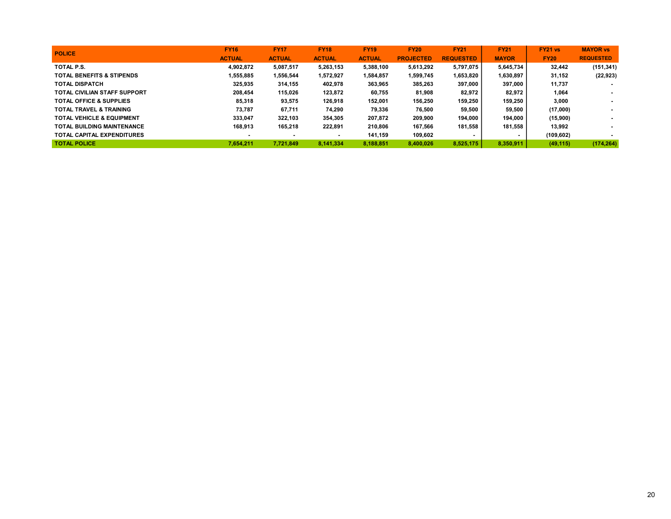| <b>POLICE</b>                        | <b>FY16</b>   | <b>FY17</b>   | <b>FY18</b>   | <b>FY19</b>   | <b>FY20</b>      | <b>FY21</b>      | <b>FY21</b>  | FY21 vs     | <b>MAYOR vs</b>          |
|--------------------------------------|---------------|---------------|---------------|---------------|------------------|------------------|--------------|-------------|--------------------------|
|                                      | <b>ACTUAL</b> | <b>ACTUAL</b> | <b>ACTUAL</b> | <b>ACTUAL</b> | <b>PROJECTED</b> | <b>REQUESTED</b> | <b>MAYOR</b> | <b>FY20</b> | <b>REQUESTED</b>         |
| TOTAL P.S.                           | 4.902.872     | 5,087,517     | 5.263.153     | 5,388,100     | 5.613.292        | 5.797.075        | 5.645.734    | 32.442      | (151, 341)               |
| <b>TOTAL BENEFITS &amp; STIPENDS</b> | 1,555,885     | 1,556,544     | 1,572,927     | 1,584,857     | 1,599,745        | 1,653,820        | 1,630,897    | 31,152      | (22, 923)                |
| <b>TOTAL DISPATCH</b>                | 325,935       | 314,155       | 402.978       | 363,965       | 385,263          | 397,000          | 397.000      | 11,737      |                          |
| <b>TOTAL CIVILIAN STAFF SUPPORT</b>  | 208,454       | 115.026       | 123.872       | 60,755        | 81,908           | 82,972           | 82.972       | 1,064       |                          |
| <b>TOTAL OFFICE &amp; SUPPLIES</b>   | 85,318        | 93,575        | 126,918       | 152,001       | 156,250          | 159,250          | 159,250      | 3,000       | $\overline{\phantom{a}}$ |
| <b>TOTAL TRAVEL &amp; TRAINING</b>   | 73,787        | 67,711        | 74,290        | 79,336        | 76,500           | 59,500           | 59,500       | (17,000)    | $\sim$                   |
| <b>TOTAL VEHICLE &amp; EQUIPMENT</b> | 333,047       | 322.103       | 354.305       | 207.872       | 209.900          | 194,000          | 194.000      | (15,900)    | $\overline{\phantom{a}}$ |
| <b>TOTAL BUILDING MAINTENANCE</b>    | 168,913       | 165,218       | 222,891       | 210.806       | 167.566          | 181.558          | 181.558      | 13.992      |                          |
| <b>TOTAL CAPITAL EXPENDITURES</b>    |               |               |               | 141.159       | 109.602          |                  |              | (109, 602)  |                          |
| <b>TOTAL POLICE</b>                  | 7.654.211     | 7.721.849     | 8.141.334     | 8.188.851     | 8.400.026        | 8.525.175        | 8,350,911    | (49, 115)   | (174, 264)               |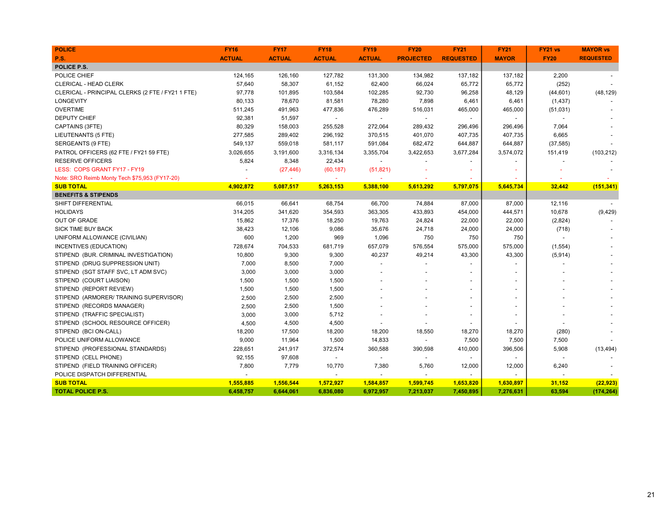| <b>POLICE</b>                                    | <b>FY16</b>   | <b>FY17</b>   | <b>FY18</b>              | <b>FY19</b>    | <b>FY20</b>              | <b>FY21</b>              | <b>FY21</b>    | FY21 vs                  | <b>MAYOR vs</b>  |
|--------------------------------------------------|---------------|---------------|--------------------------|----------------|--------------------------|--------------------------|----------------|--------------------------|------------------|
| P.S.                                             | <b>ACTUAL</b> | <b>ACTUAL</b> | <b>ACTUAL</b>            | <b>ACTUAL</b>  | <b>PROJECTED</b>         | <b>REQUESTED</b>         | <b>MAYOR</b>   | <b>FY20</b>              | <b>REQUESTED</b> |
| POLICE P.S.                                      |               |               |                          |                |                          |                          |                |                          |                  |
| POLICE CHIEF                                     | 124,165       | 126,160       | 127,782                  | 131,300        | 134,982                  | 137,182                  | 137,182        | 2,200                    |                  |
| <b>CLERICAL - HEAD CLERK</b>                     | 57,640        | 58,307        | 61,152                   | 62,400         | 66,024                   | 65,772                   | 65,772         | (252)                    |                  |
| CLERICAL - PRINCIPAL CLERKS (2 FTE / FY21 1 FTE) | 97,778        | 101,895       | 103,584                  | 102,285        | 92,730                   | 96,258                   | 48,129         | (44, 601)                | (48, 129)        |
| <b>LONGEVITY</b>                                 | 80,133        | 78,670        | 81,581                   | 78,280         | 7,898                    | 6,461                    | 6,461          | (1, 437)                 |                  |
| <b>OVERTIME</b>                                  | 511,245       | 491,963       | 477,836                  | 476,289        | 516,031                  | 465,000                  | 465,000        | (51, 031)                |                  |
| DEPUTY CHIEF                                     | 92,381        | 51,597        | $\blacksquare$           | $\blacksquare$ | $\sim$                   | $\sim$                   | $\blacksquare$ |                          |                  |
| CAPTAINS (3FTE)                                  | 80,329        | 158,003       | 255,528                  | 272,064        | 289,432                  | 296,496                  | 296,496        | 7,064                    |                  |
| LIEUTENANTS (5 FTE)                              | 277,585       | 289,402       | 296,192                  | 370,515        | 401,070                  | 407,735                  | 407,735        | 6,665                    |                  |
| SERGEANTS (9 FTE)                                | 549,137       | 559,018       | 581,117                  | 591,084        | 682,472                  | 644,887                  | 644,887        | (37, 585)                |                  |
| PATROL OFFICERS (62 FTE / FY21 59 FTE)           | 3,026,655     | 3,191,600     | 3,316,134                | 3,355,704      | 3,422,653                | 3,677,284                | 3,574,072      | 151,419                  | (103, 212)       |
| <b>RESERVE OFFICERS</b>                          | 5,824         | 8,348         | 22,434                   | $\sim$         |                          |                          |                |                          |                  |
| LESS: COPS GRANT FY17 - FY19                     |               | (27, 446)     | (60, 187)                | (51, 821)      |                          |                          |                |                          |                  |
| Note: SRO Reimb Monty Tech \$75,953 (FY17-20)    |               |               | $\sim$                   |                |                          |                          |                |                          |                  |
| <b>SUB TOTAL</b>                                 | 4,902,872     | 5,087,517     | 5,263,153                | 5,388,100      | 5,613,292                | 5,797,075                | 5,645,734      | 32,442                   | (151, 341)       |
| <b>BENEFITS &amp; STIPENDS</b>                   |               |               |                          |                |                          |                          |                |                          |                  |
| SHIFT DIFFERENTIAL                               | 66,015        | 66,641        | 68,754                   | 66,700         | 74,884                   | 87,000                   | 87,000         | 12,116                   |                  |
| <b>HOLIDAYS</b>                                  | 314,205       | 341,620       | 354,593                  | 363,305        | 433,893                  | 454,000                  | 444,571        | 10,678                   | (9, 429)         |
| <b>OUT OF GRADE</b>                              | 15,862        | 17,376        | 18,250                   | 19,763         | 24,824                   | 22,000                   | 22,000         | (2,824)                  |                  |
| <b>SICK TIME BUY BACK</b>                        | 38,423        | 12,106        | 9,086                    | 35,676         | 24,718                   | 24,000                   | 24,000         | (718)                    |                  |
| UNIFORM ALLOWANCE (CIVILIAN)                     | 600           | 1,200         | 969                      | 1,096          | 750                      | 750                      | 750            |                          |                  |
| INCENTIVES (EDUCATION)                           | 728,674       | 704,533       | 681,719                  | 657,079        | 576,554                  | 575,000                  | 575,000        | (1, 554)                 |                  |
| STIPEND (BUR. CRIMINAL INVESTIGATION)            | 10,800        | 9,300         | 9,300                    | 40,237         | 49,214                   | 43,300                   | 43,300         | (5,914)                  |                  |
| STIPEND (DRUG SUPPRESSION UNIT)                  | 7,000         | 8,500         | 7,000                    | $\overline{a}$ | $\blacksquare$           | $\overline{a}$           |                |                          |                  |
| STIPEND (SGT STAFF SVC, LT ADM SVC)              | 3,000         | 3,000         | 3,000                    |                |                          | $\overline{a}$           |                |                          |                  |
| STIPEND (COURT LIAISON)                          | 1,500         | 1,500         | 1,500                    |                |                          |                          |                |                          |                  |
| STIPEND (REPORT REVIEW)                          | 1,500         | 1,500         | 1,500                    |                |                          |                          |                |                          |                  |
| STIPEND (ARMORER/TRAINING SUPERVISOR)            | 2,500         | 2,500         | 2,500                    |                |                          | $\overline{\phantom{a}}$ |                |                          |                  |
| STIPEND (RECORDS MANAGER)                        | 2,500         | 2,500         | 1,500                    |                |                          |                          |                |                          |                  |
| STIPEND (TRAFFIC SPECIALIST)                     | 3,000         | 3,000         | 5,712                    |                |                          |                          |                |                          |                  |
| STIPEND (SCHOOL RESOURCE OFFICER)                | 4,500         | 4,500         | 4,500                    |                |                          |                          |                |                          |                  |
| STIPEND (BCI ON-CALL)                            | 18,200        | 17,500        | 18,200                   | 18,200         | 18,550                   | 18,270                   | 18,270         | (280)                    |                  |
| POLICE UNIFORM ALLOWANCE                         | 9,000         | 11,964        | 1,500                    | 14,833         | $\overline{\phantom{a}}$ | 7,500                    | 7,500          | 7,500                    |                  |
| STIPEND (PROFESSIONAL STANDARDS)                 | 228,651       | 241,917       | 372,574                  | 360,588        | 390,598                  | 410,000                  | 396,506        | 5,908                    | (13, 494)        |
| STIPEND (CELL PHONE)                             | 92,155        | 97,608        | $\blacksquare$           | $\blacksquare$ | $\blacksquare$           | $\blacksquare$           |                | $\overline{\phantom{a}}$ |                  |
| STIPEND (FIELD TRAINING OFFICER)                 | 7,800         | 7,779         | 10,770                   | 7,380          | 5,760                    | 12,000                   | 12,000         | 6,240                    |                  |
| POLICE DISPATCH DIFFERENTIAL                     |               |               | $\overline{\phantom{a}}$ | $\blacksquare$ | $\blacksquare$           | $\sim$                   | $\sim$         |                          |                  |
| <b>SUB TOTAL</b>                                 | 1,555,885     | 1,556,544     | 1,572,927                | 1,584,857      | 1,599,745                | 1,653,820                | 1,630,897      | 31,152                   | (22, 923)        |
| <b>TOTAL POLICE P.S.</b>                         | 6,458,757     | 6,644,061     | 6,836,080                | 6,972,957      | 7,213,037                | 7,450,895                | 7,276,631      | 63,594                   | (174, 264)       |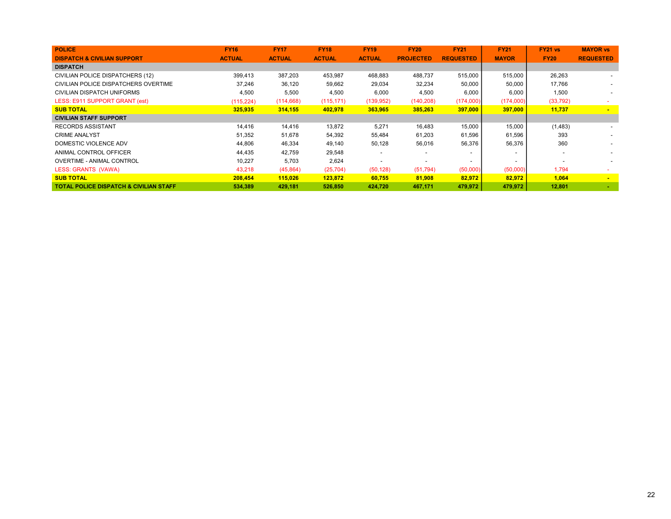| <b>POLICE</b>                                     | <b>FY16</b>   | <b>FY17</b>   | <b>FY18</b>   | <b>FY19</b>   | <b>FY20</b>      | <b>FY21</b>      | <b>FY21</b>  | <b>FY21 vs</b> | <b>MAYOR vs</b>  |
|---------------------------------------------------|---------------|---------------|---------------|---------------|------------------|------------------|--------------|----------------|------------------|
| <b>DISPATCH &amp; CIVILIAN SUPPORT</b>            | <b>ACTUAL</b> | <b>ACTUAL</b> | <b>ACTUAL</b> | <b>ACTUAL</b> | <b>PROJECTED</b> | <b>REQUESTED</b> | <b>MAYOR</b> | <b>FY20</b>    | <b>REQUESTED</b> |
| <b>DISPATCH</b>                                   |               |               |               |               |                  |                  |              |                |                  |
| CIVILIAN POLICE DISPATCHERS (12)                  | 399,413       | 387,203       | 453,987       | 468,883       | 488,737          | 515,000          | 515,000      | 26,263         |                  |
| CIVILIAN POLICE DISPATCHERS OVERTIME              | 37,246        | 36,120        | 59,662        | 29,034        | 32,234           | 50,000           | 50,000       | 17,766         |                  |
| CIVILIAN DISPATCH UNIFORMS                        | 4,500         | 5,500         | 4,500         | 6,000         | 4,500            | 6,000            | 6,000        | 1,500          |                  |
| LESS: E911 SUPPORT GRANT (est)                    | (115, 224)    | (114, 668)    | (115, 171)    | (139, 952)    | (140, 208)       | (174,000)        | (174,000)    | (33, 792)      |                  |
| <b>SUB TOTAL</b>                                  | 325,935       | 314,155       | 402,978       | 363,965       | 385,263          | 397,000          | 397,000      | 11,737         | $\blacksquare$   |
| <b>CIVILIAN STAFF SUPPORT</b>                     |               |               |               |               |                  |                  |              |                |                  |
| <b>RECORDS ASSISTANT</b>                          | 14.416        | 14,416        | 13,872        | 5,271         | 16,483           | 15,000           | 15,000       | (1,483)        |                  |
| <b>CRIME ANALYST</b>                              | 51,352        | 51,678        | 54,392        | 55,484        | 61,203           | 61,596           | 61,596       | 393            |                  |
| DOMESTIC VIOLENCE ADV                             | 44,806        | 46,334        | 49,140        | 50,128        | 56,016           | 56,376           | 56,376       | 360            |                  |
| ANIMAL CONTROL OFFICER                            | 44,435        | 42,759        | 29,548        |               |                  |                  |              |                |                  |
| <b>OVERTIME - ANIMAL CONTROL</b>                  | 10,227        | 5,703         | 2,624         |               |                  |                  |              |                |                  |
| LESS: GRANTS (VAWA)                               | 43,218        | (45, 864)     | (25, 704)     | (50, 128)     | (51, 794)        | (50,000)         | (50,000)     | 1,794          |                  |
| <b>SUB TOTAL</b>                                  | 208,454       | 115,026       | 123,872       | 60,755        | 81,908           | 82,972           | 82,972       | 1,064          | $\blacksquare$   |
| <b>TOTAL POLICE DISPATCH &amp; CIVILIAN STAFF</b> | 534,389       | 429,181       | 526,850       | 424.720       | 467,171          | 479,972          | 479,972      | 12,801         |                  |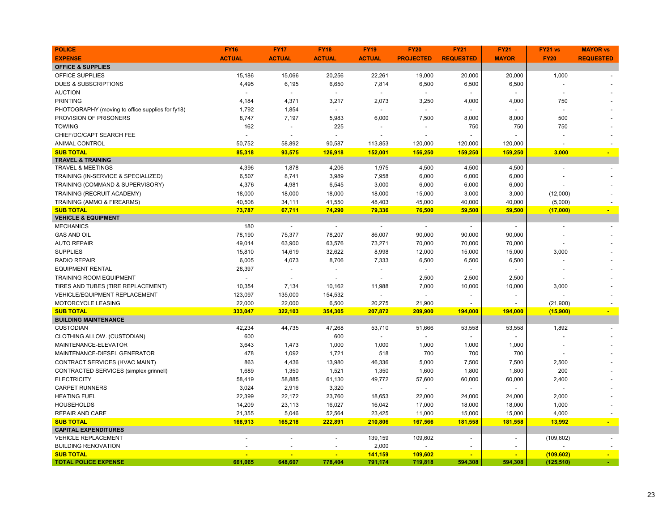| <b>POLICE</b>                                    | <b>FY16</b>   | <b>FY17</b>              | <b>FY18</b>              | <b>FY19</b>              | <b>FY20</b>              | <b>FY21</b>              | <b>FY21</b>              | FY21 vs     | <b>MAYOR vs</b>          |
|--------------------------------------------------|---------------|--------------------------|--------------------------|--------------------------|--------------------------|--------------------------|--------------------------|-------------|--------------------------|
| <b>EXPENSE</b>                                   | <b>ACTUAL</b> | <b>ACTUAL</b>            | <b>ACTUAL</b>            | <b>ACTUAL</b>            | <b>PROJECTED</b>         | <b>REQUESTED</b>         | <b>MAYOR</b>             | <b>FY20</b> | <b>REQUESTED</b>         |
| <b>OFFICE &amp; SUPPLIES</b>                     |               |                          |                          |                          |                          |                          |                          |             |                          |
| <b>OFFICE SUPPLIES</b>                           | 15,186        | 15,066                   | 20,256                   | 22,261                   | 19,000                   | 20,000                   | 20,000                   | 1,000       |                          |
| <b>DUES &amp; SUBSCRIPTIONS</b>                  | 4,495         | 6,195                    | 6,650                    | 7,814                    | 6,500                    | 6,500                    | 6,500                    |             |                          |
| <b>AUCTION</b>                                   |               | $\sim$                   | $\overline{a}$           |                          |                          |                          |                          |             |                          |
| <b>PRINTING</b>                                  | 4,184         | 4,371                    | 3,217                    | 2,073                    | 3,250                    | 4,000                    | 4,000                    | 750         |                          |
| PHOTOGRAPHY (moving to office supplies for fy18) | 1,792         | 1,854                    |                          |                          |                          |                          |                          |             |                          |
| PROVISION OF PRISONERS                           | 8,747         | 7,197                    | 5,983                    | 6,000                    | 7,500                    | 8,000                    | 8,000                    | 500         |                          |
| <b>TOWING</b>                                    | 162           | $\blacksquare$           | 225                      |                          |                          | 750                      | 750                      | 750         |                          |
| CHIEF/DC/CAPT SEARCH FEE                         |               | $\blacksquare$           |                          |                          |                          |                          |                          |             |                          |
| <b>ANIMAL CONTROL</b>                            | 50,752        | 58,892                   | 90,587                   | 113,853                  | 120,000                  | 120,000                  | 120,000                  |             |                          |
| <b>SUB TOTAL</b>                                 | 85,318        | 93,575                   | 126,918                  | 152,001                  | 156,250                  | 159,250                  | 159,250                  | 3,000       |                          |
| <b>TRAVEL &amp; TRAINING</b>                     |               |                          |                          |                          |                          |                          |                          |             |                          |
| <b>TRAVEL &amp; MEETINGS</b>                     | 4,396         | 1,878                    | 4,206                    | 1,975                    | 4,500                    | 4,500                    | 4,500                    |             |                          |
| TRAINING (IN-SERVICE & SPECIALIZED)              | 6,507         | 8,741                    | 3,989                    | 7,958                    | 6,000                    | 6,000                    | 6,000                    |             |                          |
| TRAINING (COMMAND & SUPERVISORY)                 | 4,376         | 4,981                    | 6,545                    | 3,000                    | 6,000                    | 6,000                    | 6,000                    |             |                          |
| TRAINING (RECRUIT ACADEMY)                       | 18,000        | 18,000                   | 18,000                   | 18,000                   | 15,000                   | 3,000                    | 3,000                    | (12,000)    |                          |
| TRAINING (AMMO & FIREARMS)                       | 40,508        | 34,111                   | 41,550                   | 48,403                   | 45,000                   | 40,000                   | 40,000                   | (5,000)     |                          |
| <b>SUB TOTAL</b>                                 | 73,787        | 67,711                   | 74,290                   | 79,336                   | 76,500                   | 59,500                   | 59,500                   | (17,000)    | $\overline{\phantom{a}}$ |
| <b>VEHICLE &amp; EQUIPMENT</b>                   |               |                          |                          |                          |                          |                          |                          |             |                          |
| <b>MECHANICS</b>                                 | 180           | $\overline{\phantom{a}}$ | $\overline{\phantom{a}}$ | $\overline{\phantom{a}}$ | $\overline{\phantom{a}}$ | $\overline{\phantom{a}}$ | $\overline{\phantom{a}}$ |             |                          |
| <b>GAS AND OIL</b>                               | 78,190        | 75,377                   | 78,207                   | 86,007                   | 90,000                   | 90,000                   | 90,000                   |             |                          |
| <b>AUTO REPAIR</b>                               | 49,014        | 63,900                   | 63,576                   | 73,271                   | 70,000                   | 70,000                   | 70,000                   |             |                          |
| <b>SUPPLIES</b>                                  | 15,810        | 14,619                   | 32,622                   | 8,998                    | 12,000                   | 15,000                   | 15,000                   | 3,000       |                          |
| <b>RADIO REPAIR</b>                              | 6,005         | 4,073                    | 8,706                    | 7,333                    | 6,500                    | 6,500                    | 6,500                    |             |                          |
| <b>EQUIPMENT RENTAL</b>                          | 28,397        |                          |                          |                          |                          |                          |                          |             |                          |
| <b>TRAINING ROOM EQUIPMENT</b>                   |               |                          |                          | $\blacksquare$           | 2,500                    | 2,500                    | 2,500                    |             |                          |
| TIRES AND TUBES (TIRE REPLACEMENT)               | 10,354        | 7,134                    | 10,162                   | 11,988                   | 7,000                    | 10,000                   | 10,000                   | 3,000       |                          |
| VEHICLE/EQUIPMENT REPLACEMENT                    | 123,097       | 135,000                  | 154,532                  | $\overline{a}$           | $\overline{a}$           |                          | $\blacksquare$           |             |                          |
| <b>MOTORCYCLE LEASING</b>                        | 22,000        | 22,000                   | 6,500                    | 20,275                   | 21,900                   |                          |                          | (21,900)    |                          |
| <b>SUB TOTAL</b>                                 | 333,047       | 322,103                  | 354,305                  | 207,872                  | 209,900                  | 194,000                  | 194,000                  | (15,900)    | $\blacksquare$           |
| <b>BUILDING MAINTENANCE</b>                      |               |                          |                          |                          |                          |                          |                          |             |                          |
| <b>CUSTODIAN</b>                                 | 42,234        | 44,735                   | 47,268                   | 53,710                   | 51,666                   | 53,558                   | 53,558                   | 1,892       |                          |
| CLOTHING ALLOW. (CUSTODIAN)                      | 600           |                          | 600                      | $\overline{a}$           | $\overline{a}$           |                          |                          |             |                          |
| MAINTENANCE-ELEVATOR                             | 3,643         | 1,473                    | 1,000                    | 1,000                    | 1,000                    | 1,000                    | 1,000                    |             |                          |
| MAINTENANCE-DIESEL GENERATOR                     | 478           | 1,092                    | 1,721                    | 518                      | 700                      | 700                      | 700                      |             |                          |
| CONTRACT SERVICES (HVAC MAINT)                   | 863           | 4,436                    | 13,980                   | 46,336                   | 5,000                    | 7,500                    | 7,500                    | 2,500       |                          |
| CONTRACTED SERVICES (simplex grinnell)           | 1,689         | 1,350                    | 1,521                    | 1,350                    | 1,600                    | 1,800                    | 1,800                    | 200         |                          |
| <b>ELECTRICITY</b>                               | 58,419        | 58,885                   | 61,130                   | 49,772                   | 57,600                   | 60,000                   | 60,000                   | 2,400       |                          |
| <b>CARPET RUNNERS</b>                            | 3,024         | 2,916                    | 3,320                    |                          | $\overline{a}$           |                          |                          |             |                          |
| <b>HEATING FUEL</b>                              | 22,399        | 22,172                   | 23,760                   | 18,653                   | 22,000                   | 24,000                   | 24,000                   | 2,000       |                          |
| <b>HOUSEHOLDS</b>                                | 14,209        | 23,113                   | 16,027                   | 16,042                   | 17,000                   | 18,000                   | 18,000                   | 1,000       |                          |
| <b>REPAIR AND CARE</b>                           | 21,355        | 5,046                    | 52,564                   | 23,425                   | 11,000                   | 15,000                   | 15,000                   | 4,000       |                          |
| <b>SUB TOTAL</b>                                 | 168,913       | 165,218                  | 222,891                  | 210,806                  | 167,566                  | 181,558                  | 181,558                  | 13,992      |                          |
| <b>CAPITAL EXPENDITURES</b>                      |               |                          |                          |                          |                          |                          |                          |             |                          |
| <b>VEHICLE REPLACEMENT</b>                       |               |                          | ÷,                       | 139,159                  | 109,602                  |                          | $\overline{a}$           | (109, 602)  |                          |
| <b>BUILDING RENOVATION</b>                       |               |                          |                          | 2,000                    |                          |                          |                          |             |                          |
| <b>SUB TOTAL</b>                                 |               | ÷                        | ÷                        | 141,159                  | 109,602                  | $\overline{\phantom{a}}$ | ÷                        | (109, 602)  | $\sim$                   |
| <b>TOTAL POLICE EXPENSE</b>                      | 661,065       | 648,607                  | 778,404                  | 791,174                  | 719,818                  | 594,308                  | 594,308                  | (125, 510)  |                          |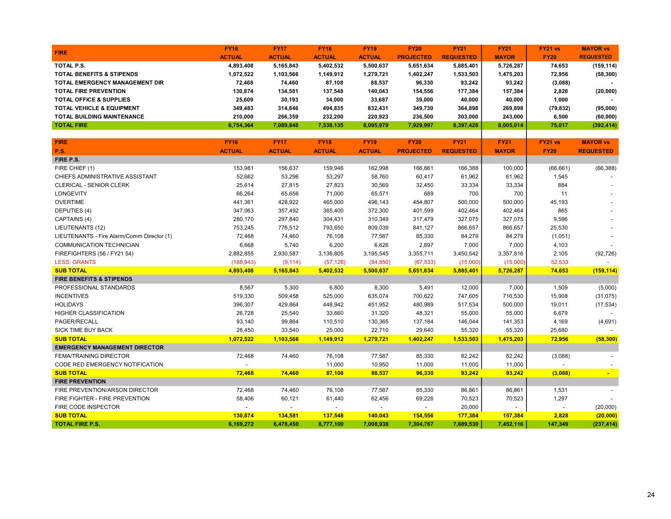|                                            | <b>FY16</b>   | <b>FY17</b>   | <b>FY18</b>   | <b>FY19</b>   | <b>FY20</b>      | <b>FY21</b>      | <b>FY21</b>  | FY21 vs        | <b>MAYOR vs</b>  |
|--------------------------------------------|---------------|---------------|---------------|---------------|------------------|------------------|--------------|----------------|------------------|
| <b>FIRE</b>                                | <b>ACTUAL</b> | <b>ACTUAL</b> | <b>ACTUAL</b> | <b>ACTUAL</b> | <b>PROJECTED</b> | <b>REQUESTED</b> | <b>MAYOR</b> | <b>FY20</b>    | <b>REQUESTED</b> |
| TOTAL P.S.                                 | 4,893,408     | 5,165,843     | 5,402,532     | 5,500,637     | 5,651,634        | 5,885,401        | 5,726,287    | 74,653         | (159, 114)       |
| <b>TOTAL BENEFITS &amp; STIPENDS</b>       | 1,072,522     | 1,103,566     | 1,149,912     | 1,279,721     | 1,402,247        | 1,533,503        | 1,475,203    | 72,956         | (58, 300)        |
| <b>TOTAL EMERGENCY MANAGEMENT DIR</b>      | 72,468        | 74,460        | 87,108        | 88,537        | 96,330           | 93,242           | 93,242       | (3,088)        |                  |
| <b>TOTAL FIRE PREVENTION</b>               | 130,874       | 134,581       | 137,548       | 140,043       | 154,556          | 177,384          | 157,384      | 2,828          | (20,000)         |
| <b>TOTAL OFFICE &amp; SUPPLIES</b>         | 25,609        | 30,193        | 34,000        | 33,687        | 39,000           | 40,000           | 40,000       | 1,000          |                  |
| <b>TOTAL VEHICLE &amp; EQUIPMENT</b>       | 349,483       | 314,846       | 494,835       | 832,431       | 349,730          | 364,898          | 269,898      | (79, 832)      | (95,000)         |
| TOTAL BUILDING MAINTENANCE                 | 210,000       | 266,359       | 232,200       | 220,923       | 236,500          | 303,000          | 243,000      | 6,500          | (60,000)         |
| <b>TOTAL FIRE</b>                          | 6,754,364     | 7,089,848     | 7,538,135     | 8,095,979     | 7,929,997        | 8,397,428        | 8,005,014    | 75,017         | (392, 414)       |
|                                            |               |               |               |               |                  |                  |              |                |                  |
| <b>FIRE</b>                                | <b>FY16</b>   | <b>FY17</b>   | <b>FY18</b>   | <b>FY19</b>   | <b>FY20</b>      | <b>FY21</b>      | <b>FY21</b>  | <b>FY21 vs</b> | <b>MAYOR vs</b>  |
| <b>P.S.</b>                                | <b>ACTUAL</b> | <b>ACTUAL</b> | <b>ACTUAL</b> | <b>ACTUAL</b> | <b>PROJECTED</b> | <b>REQUESTED</b> | <b>MAYOR</b> | <b>FY20</b>    | <b>REQUESTED</b> |
| FIRE P.S.                                  |               |               |               |               |                  |                  |              |                |                  |
| FIRE CHIEF (1)                             | 153,981       | 156,637       | 159,946       | 162,998       | 166,661          | 166,388          | 100,000      | (66, 661)      | (66, 388)        |
| CHIEFS ADMINISTRATIVE ASSISTANT            | 52,662        | 53,296        | 53,297        | 58,760        | 60,417           | 61,962           | 61,962       | 1,545          |                  |
| <b>CLERICAL - SENIOR CLERK</b>             | 25,614        | 27,815        | 27,823        | 30,569        | 32,450           | 33,334           | 33,334       | 884            |                  |
| <b>LONGEVITY</b>                           | 66,264        | 65,656        | 71,000        | 65,571        | 689              | 700              | 700          | 11             |                  |
| <b>OVERTIME</b>                            | 441,361       | 428,922       | 465,000       | 496,143       | 454,807          | 500,000          | 500,000      | 45,193         |                  |
| DEPUTIES (4)                               | 347,063       | 357,492       | 365,400       | 372,300       | 401,599          | 402,464          | 402,464      | 865            |                  |
| CAPTAINS (4)                               | 280,170       | 297,840       | 304,431       | 310,349       | 317,479          | 327,075          | 327,075      | 9,596          |                  |
| LIEUTENANTS (12)                           | 753,245       | 776,512       | 793,650       | 809,039       | 841,127          | 866,657          | 866,657      | 25,530         |                  |
| LIEUTENANTS - Fire Alarm/Comm Director (1) | 72,468        | 74,460        | 76,108        | 77,587        | 85,330           | 84,279           | 84,279       | (1,051)        |                  |
| COMMUNICATION TECHNICIAN                   | 6,668         | 5,740         | 6,200         | 6,626         | 2,897            | 7,000            | 7,000        | 4,103          |                  |
| FIREFIGHTERS (56 / FY21 54)                | 2,882,855     | 2,930,587     | 3,136,805     | 3,195,545     | 3,355,711        | 3,450,542        | 3,357,816    | 2,105          | (92, 726)        |
| <b>LESS: GRANTS</b>                        | (188, 943)    | (9, 114)      | (57, 128)     | (84, 850)     | (67, 533)        | (15,000)         | (15,000)     | 52,533         |                  |
| <b>SUB TOTAL</b>                           | 4,893,408     | 5,165,843     | 5,402,532     | 5,500,637     | 5,651,634        | 5,885,401        | 5,726,287    | 74,653         | (159, 114)       |
| <b>FIRE BENEFITS &amp; STIPENDS</b>        |               |               |               |               |                  |                  |              |                |                  |
| PROFESSIONAL STANDARDS                     | 8,567         | 5,300         | 6,800         | 8,300         | 5,491            | 12,000           | 7,000        | 1,509          | (5,000)          |
| <b>INCENTIVES</b>                          | 519,330       | 509,458       | 525,000       | 635,074       | 700,622          | 747,605          | 716,530      | 15,908         | (31, 075)        |
| <b>HOLIDAYS</b>                            | 396,307       | 429,864       | 448,942       | 451,952       | 480,989          | 517,534          | 500,000      | 19,011         | (17, 534)        |
| <b>HIGHER CLASSIFICATION</b>               | 26,728        | 25,540        | 33,660        | 31,320        | 48,321           | 55,000           | 55,000       | 6,679          |                  |
| PAGER/RECALL                               | 93,140        | 99,864        | 110,510       | 130,365       | 137,184          | 146,044          | 141,353      | 4,169          | (4,691)          |
| SICK TIME BUY BACK                         | 28,450        | 33,540        | 25,000        | 22,710        | 29,640           | 55,320           | 55,320       | 25,680         |                  |
| <b>SUB TOTAL</b>                           | 1,072,522     | 1,103,566     | 1,149,912     | 1,279,721     | 1,402,247        | 1,533,503        | 1,475,203    | 72,956         | (58, 300)        |
| <b>EMERGENCY MANAGEMENT DIRECTOR</b>       |               |               |               |               |                  |                  |              |                |                  |
| <b>FEMA/TRAINING DIRECTOR</b>              | 72,468        | 74,460        | 76,108        | 77,587        | 85,330           | 82,242           | 82,242       | (3,088)        |                  |
| CODE RED EMERGENCY NOTIFICATION            |               |               | 11,000        | 10,950        | 11,000           | 11,000           | 11,000       |                |                  |
| <b>SUB TOTAL</b>                           | 72,468        | 74,460        | 87,108        | 88,537        | 96,330           | 93,242           | 93,242       | (3,088)        | ÷                |
| <b>FIRE PREVENTION</b>                     |               |               |               |               |                  |                  |              |                |                  |
| FIRE PREVENTION/ARSON DIRECTOR             | 72,468        | 74,460        | 76,108        | 77,587        | 85,330           | 86,861           | 86,861       | 1,531          |                  |
| FIRE FIGHTER - FIRE PREVENTION             | 58,406        | 60,121        | 61,440        | 62,456        | 69,226           | 70,523           | 70,523       | 1,297          |                  |
| FIRE CODE INSPECTOR                        |               |               |               |               |                  | 20,000           |              |                | (20,000)         |
| <b>SUB TOTAL</b>                           | 130,874       | 134,581       | 137,548       | 140,043       | 154,556          | 177,384          | 157,384      | 2,828          | (20,000)         |
| <b>TOTAL FIRE P.S.</b>                     | 6.169.272     | 6.478.450     | 6.777.100     | 7.008.938     | 7.304.767        | 7,689,530        | 7,452,116    | 147.349        | (237, 414)       |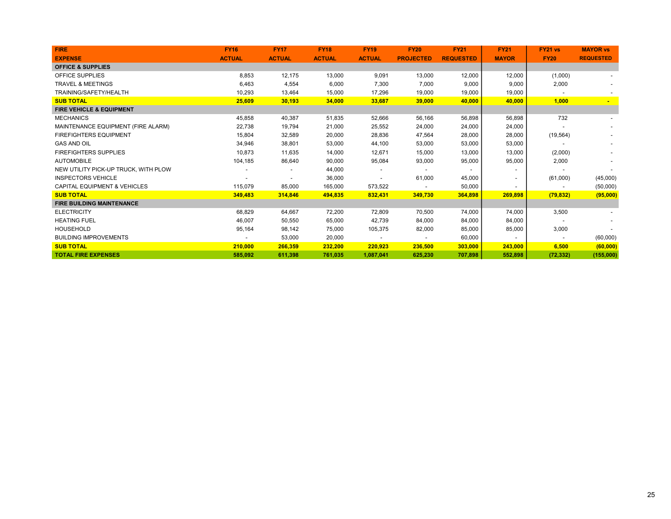| <b>FIRE</b>                             | <b>FY16</b>   | <b>FY17</b>   | <b>FY18</b>   | <b>FY19</b>              | <b>FY20</b>      | <b>FY21</b>      | <b>FY21</b>              | <b>FY21 vs</b> | <b>MAYOR vs</b>  |
|-----------------------------------------|---------------|---------------|---------------|--------------------------|------------------|------------------|--------------------------|----------------|------------------|
| <b>EXPENSE</b>                          | <b>ACTUAL</b> | <b>ACTUAL</b> | <b>ACTUAL</b> | <b>ACTUAL</b>            | <b>PROJECTED</b> | <b>REQUESTED</b> | <b>MAYOR</b>             | <b>FY20</b>    | <b>REQUESTED</b> |
| <b>OFFICE &amp; SUPPLIES</b>            |               |               |               |                          |                  |                  |                          |                |                  |
| <b>OFFICE SUPPLIES</b>                  | 8,853         | 12,175        | 13,000        | 9,091                    | 13,000           | 12,000           | 12,000                   | (1,000)        |                  |
| <b>TRAVEL &amp; MEETINGS</b>            | 6,463         | 4,554         | 6,000         | 7,300                    | 7,000            | 9,000            | 9,000                    | 2,000          |                  |
| TRAINING/SAFETY/HEALTH                  | 10.293        | 13,464        | 15,000        | 17,296                   | 19,000           | 19,000           | 19,000                   |                |                  |
| <b>SUB TOTAL</b>                        | 25,609        | 30,193        | 34,000        | 33,687                   | 39,000           | 40,000           | 40,000                   | 1,000          |                  |
| <b>FIRE VEHICLE &amp; EQUIPMENT</b>     |               |               |               |                          |                  |                  |                          |                |                  |
| <b>MECHANICS</b>                        | 45,858        | 40,387        | 51,835        | 52,666                   | 56,166           | 56,898           | 56,898                   | 732            |                  |
| MAINTENANCE EQUIPMENT (FIRE ALARM)      | 22,738        | 19,794        | 21,000        | 25,552                   | 24,000           | 24,000           | 24,000                   |                |                  |
| <b>FIREFIGHTERS EQUIPMENT</b>           | 15,804        | 32,589        | 20,000        | 28,836                   | 47,564           | 28,000           | 28,000                   | (19, 564)      |                  |
| <b>GAS AND OIL</b>                      | 34,946        | 38,801        | 53,000        | 44,100                   | 53,000           | 53,000           | 53,000                   |                |                  |
| <b>FIREFIGHTERS SUPPLIES</b>            | 10,873        | 11,635        | 14,000        | 12,671                   | 15,000           | 13,000           | 13,000                   | (2,000)        |                  |
| <b>AUTOMOBILE</b>                       | 104,185       | 86,640        | 90,000        | 95,084                   | 93,000           | 95,000           | 95,000                   | 2,000          |                  |
| NEW UTILITY PICK-UP TRUCK. WITH PLOW    |               |               | 44,000        |                          |                  |                  |                          |                |                  |
| <b>INSPECTORS VEHICLE</b>               |               |               | 36,000        |                          | 61,000           | 45,000           | $\overline{\phantom{a}}$ | (61,000)       | (45,000)         |
| <b>CAPITAL EQUIPMENT &amp; VEHICLES</b> | 115,079       | 85,000        | 165,000       | 573,522                  |                  | 50,000           | $\sim$                   |                | (50,000)         |
| <b>SUB TOTAL</b>                        | 349,483       | 314,846       | 494,835       | 832,431                  | 349,730          | 364,898          | 269,898                  | (79, 832)      | (95,000)         |
| <b>FIRE BUILDING MAINTENANCE</b>        |               |               |               |                          |                  |                  |                          |                |                  |
| <b>ELECTRICITY</b>                      | 68,829        | 64,667        | 72,200        | 72,809                   | 70,500           | 74,000           | 74,000                   | 3,500          |                  |
| <b>HEATING FUEL</b>                     | 46,007        | 50,550        | 65,000        | 42,739                   | 84,000           | 84,000           | 84,000                   |                |                  |
| <b>HOUSEHOLD</b>                        | 95,164        | 98,142        | 75,000        | 105,375                  | 82,000           | 85,000           | 85,000                   | 3,000          |                  |
| <b>BUILDING IMPROVEMENTS</b>            |               | 53,000        | 20,000        | $\overline{\phantom{a}}$ | $\sim$           | 60,000           | $\sim$                   |                | (60,000)         |
| <b>SUB TOTAL</b>                        | 210,000       | 266,359       | 232,200       | 220,923                  | 236,500          | 303,000          | 243,000                  | 6,500          | (60,000)         |
| <b>TOTAL FIRE EXPENSES</b>              | 585,092       | 611,398       | 761,035       | 1,087,041                | 625,230          | 707,898          | 552,898                  | (72, 332)      | (155,000)        |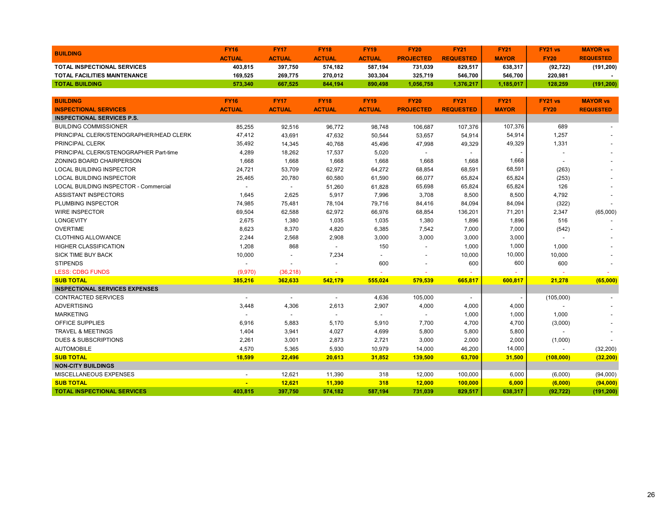| <b>BUILDING</b>                              | <b>FY16</b>    | <b>FY17</b>              | <b>FY18</b>              | <b>FY19</b>    | <b>FY20</b>      | <b>FY21</b>              | <b>FY21</b>  | FY21 vs        | <b>MAYOR vs</b>  |
|----------------------------------------------|----------------|--------------------------|--------------------------|----------------|------------------|--------------------------|--------------|----------------|------------------|
|                                              | <b>ACTUAL</b>  | <b>ACTUAL</b>            | <b>ACTUAL</b>            | <b>ACTUAL</b>  | <b>PROJECTED</b> | <b>REQUESTED</b>         | <b>MAYOR</b> | <b>FY20</b>    | <b>REQUESTED</b> |
| <b>TOTAL INSPECTIONAL SERVICES</b>           | 403,815        | 397,750                  | 574,182                  | 587,194        | 731,039          | 829,517                  | 638,317      | (92, 722)      | (191, 200)       |
| TOTAL FACILITIES MAINTENANCE                 | 169,525        | 269,775                  | 270,012                  | 303,304        | 325,719          | 546,700                  | 546,700      | 220,981        |                  |
| <b>TOTAL BUILDING</b>                        | 573,340        | 667,525                  | 844,194                  | 890,498        | 1,056,758        | 1,376,217                | 1,185,017    | 128,259        | (191, 200)       |
|                                              |                |                          |                          |                |                  |                          |              |                |                  |
| <b>BUILDING</b>                              | <b>FY16</b>    | <b>FY17</b>              | <b>FY18</b>              | <b>FY19</b>    | <b>FY20</b>      | <b>FY21</b>              | <b>FY21</b>  | <b>FY21 vs</b> | <b>MAYOR vs</b>  |
| <b>INSPECTIONAL SERVICES</b>                 | <b>ACTUAL</b>  | <b>ACTUAL</b>            | <b>ACTUAL</b>            | <b>ACTUAL</b>  | <b>PROJECTED</b> | <b>REQUESTED</b>         | <b>MAYOR</b> | <b>FY20</b>    | <b>REQUESTED</b> |
| <b>INSPECTIONAL SERVICES P.S.</b>            |                |                          |                          |                |                  |                          |              |                |                  |
| <b>BUILDING COMMISSIONER</b>                 | 85,255         | 92,516                   | 96,772                   | 98,748         | 106,687          | 107,376                  | 107,376      | 689            |                  |
| PRINCIPAL CLERK/STENOGRAPHER/HEAD CLERK      | 47,412         | 43,691                   | 47,632                   | 50,544         | 53,657           | 54,914                   | 54,914       | 1,257          |                  |
| PRINCIPAL CLERK                              | 35,492         | 14,345                   | 40,768                   | 45,496         | 47,998           | 49,329                   | 49,329       | 1,331          |                  |
| PRINCIPAL CLERK/STENOGRAPHER Part-time       | 4,289          | 18,262                   | 17,537                   | 5,020          | $\blacksquare$   |                          |              |                |                  |
| ZONING BOARD CHAIRPERSON                     | 1,668          | 1,668                    | 1,668                    | 1,668          | 1,668            | 1,668                    | 1,668        |                |                  |
| <b>LOCAL BUILDING INSPECTOR</b>              | 24,721         | 53,709                   | 62,972                   | 64,272         | 68,854           | 68,591                   | 68,591       | (263)          |                  |
| <b>LOCAL BUILDING INSPECTOR</b>              | 25,465         | 20,780                   | 60,580                   | 61,590         | 66,077           | 65,824                   | 65,824       | (253)          |                  |
| <b>LOCAL BUILDING INSPECTOR - Commercial</b> | $\blacksquare$ | $\overline{\phantom{a}}$ | 51,260                   | 61,828         | 65,698           | 65,824                   | 65,824       | 126            |                  |
| <b>ASSISTANT INSPECTORS</b>                  | 1,645          | 2,625                    | 5,917                    | 7,996          | 3,708            | 8,500                    | 8,500        | 4,792          |                  |
| PLUMBING INSPECTOR                           | 74,985         | 75,481                   | 78,104                   | 79,716         | 84,416           | 84,094                   | 84,094       | (322)          |                  |
| <b>WIRE INSPECTOR</b>                        | 69,504         | 62,588                   | 62,972                   | 66,976         | 68,854           | 136,201                  | 71,201       | 2,347          | (65,000)         |
| <b>LONGEVITY</b>                             | 2,675          | 1,380                    | 1,035                    | 1,035          | 1,380            | 1,896                    | 1,896        | 516            |                  |
| <b>OVERTIME</b>                              | 8,623          | 8,370                    | 4,820                    | 6,385          | 7,542            | 7,000                    | 7,000        | (542)          |                  |
| <b>CLOTHING ALLOWANCE</b>                    | 2,244          | 2,568                    | 2,908                    | 3,000          | 3,000            | 3,000                    | 3,000        |                |                  |
| <b>HIGHER CLASSIFICATION</b>                 | 1,208          | 868                      | $\blacksquare$           | 150            | $\blacksquare$   | 1,000                    | 1,000        | 1,000          |                  |
| <b>SICK TIME BUY BACK</b>                    | 10,000         |                          | 7,234                    |                |                  | 10,000                   | 10,000       | 10,000         |                  |
| <b>STIPENDS</b>                              |                |                          | $\overline{a}$           | 600            |                  | 600                      | 600          | 600            |                  |
| <b>LESS: CDBG FUNDS</b>                      | (9,970)        | (36, 218)                |                          |                |                  |                          |              |                |                  |
| <b>SUB TOTAL</b>                             | 385,216        | 362,633                  | 542,179                  | 555,024        | 579,539          | 665,817                  | 600,817      | 21,278         | (65,000)         |
| <b>INSPECTIONAL SERVICES EXPENSES</b>        |                |                          |                          |                |                  |                          |              |                |                  |
| <b>CONTRACTED SERVICES</b>                   | $\blacksquare$ | $\sim$                   | $\blacksquare$           | 4,636          | 105,000          | $\overline{\phantom{a}}$ |              | (105,000)      |                  |
| <b>ADVERTISING</b>                           | 3,448          | 4,306                    | 2,613                    | 2,907          | 4,000            | 4,000                    | 4,000        |                |                  |
| <b>MARKETING</b>                             |                | $\overline{\phantom{a}}$ | $\overline{\phantom{a}}$ | $\blacksquare$ | $\blacksquare$   | 1,000                    | 1,000        | 1,000          |                  |
| OFFICE SUPPLIES                              | 6,916          | 5,883                    | 5,170                    | 5,910          | 7,700            | 4,700                    | 4,700        | (3,000)        |                  |
| <b>TRAVEL &amp; MEETINGS</b>                 | 1,404          | 3,941                    | 4,027                    | 4,699          | 5,800            | 5,800                    | 5,800        |                |                  |
| <b>DUES &amp; SUBSCRIPTIONS</b>              | 2,261          | 3,001                    | 2,873                    | 2,721          | 3,000            | 2,000                    | 2,000        | (1,000)        |                  |
| <b>AUTOMOBILE</b>                            | 4,570          | 5,365                    | 5,930                    | 10,979         | 14,000           | 46,200                   | 14,000       |                | (32, 200)        |
| <b>SUB TOTAL</b>                             | 18,599         | 22,496                   | 20,613                   | 31,852         | 139,500          | 63,700                   | 31,500       | (108,000)      | (32, 200)        |
| <b>NON-CITY BUILDINGS</b>                    |                |                          |                          |                |                  |                          |              |                |                  |
| MISCELLANEOUS EXPENSES                       |                | 12,621                   | 11,390                   | 318            | 12,000           | 100,000                  | 6,000        | (6,000)        | (94,000)         |
| <b>SUB TOTAL</b>                             |                | 12,621                   | 11,390                   | 318            | 12,000           | 100,000                  | 6,000        | (6,000)        | (94,000)         |
| <b>TOTAL INSPECTIONAL SERVICES</b>           | 403,815        | 397,750                  | 574,182                  | 587,194        | 731,039          | 829,517                  | 638,317      | (92, 722)      | (191, 200)       |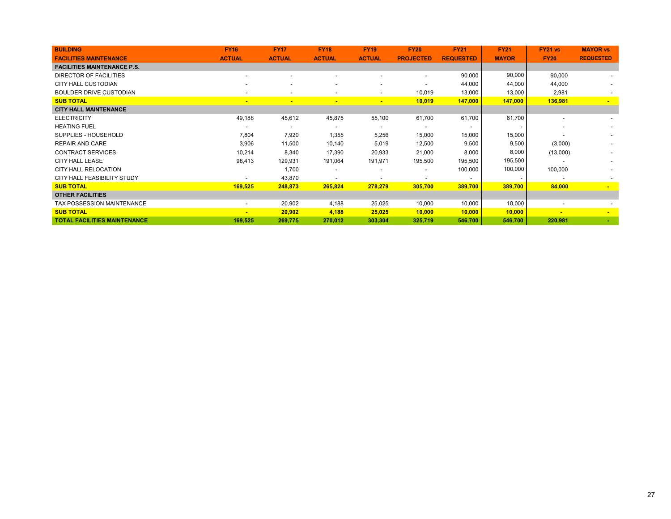| <b>BUILDING</b>                     | <b>FY16</b>              | <b>FY17</b>              | <b>FY18</b>              | <b>FY19</b>              | <b>FY20</b>              | <b>FY21</b>              | <b>FY21</b>    | <b>FY21 vs</b>           | <b>MAYOR vs</b>  |
|-------------------------------------|--------------------------|--------------------------|--------------------------|--------------------------|--------------------------|--------------------------|----------------|--------------------------|------------------|
| <b>FACILITIES MAINTENANCE</b>       | <b>ACTUAL</b>            | <b>ACTUAL</b>            | <b>ACTUAL</b>            | <b>ACTUAL</b>            | <b>PROJECTED</b>         | <b>REQUESTED</b>         | <b>MAYOR</b>   | <b>FY20</b>              | <b>REQUESTED</b> |
| <b>FACILITIES MAINTENANCE P.S.</b>  |                          |                          |                          |                          |                          |                          |                |                          |                  |
| DIRECTOR OF FACILITIES              | $\overline{\phantom{0}}$ | $\overline{\phantom{a}}$ | $\overline{\phantom{0}}$ | $\overline{\phantom{a}}$ | $\blacksquare$           | 90,000                   | 90,000         | 90,000                   |                  |
| <b>CITY HALL CUSTODIAN</b>          |                          |                          |                          |                          |                          | 44,000                   | 44,000         | 44,000                   |                  |
| <b>BOULDER DRIVE CUSTODIAN</b>      |                          | $\overline{\phantom{a}}$ | $\overline{a}$           | $\overline{\phantom{a}}$ | 10,019                   | 13,000                   | 13,000         | 2,981                    |                  |
| <b>SUB TOTAL</b>                    | $\sim$                   | ۰.                       | $\overline{\phantom{a}}$ | $\sim$                   | 10,019                   | 147,000                  | 147,000        | 136,981                  | $\blacksquare$   |
| <b>CITY HALL MAINTENANCE</b>        |                          |                          |                          |                          |                          |                          |                |                          |                  |
| <b>ELECTRICITY</b>                  | 49,188                   | 45,612                   | 45,875                   | 55,100                   | 61,700                   | 61,700                   | 61,700         |                          |                  |
| <b>HEATING FUEL</b>                 |                          | $\overline{\phantom{0}}$ | $\overline{\phantom{0}}$ |                          | $\overline{\phantom{a}}$ | $\overline{\phantom{a}}$ |                | $\overline{\phantom{0}}$ |                  |
| SUPPLIES - HOUSEHOLD                | 7,804                    | 7,920                    | 1,355                    | 5,256                    | 15,000                   | 15,000                   | 15,000         |                          |                  |
| <b>REPAIR AND CARE</b>              | 3,906                    | 11,500                   | 10,140                   | 5,019                    | 12,500                   | 9,500                    | 9,500          | (3,000)                  |                  |
| <b>CONTRACT SERVICES</b>            | 10,214                   | 8,340                    | 17,390                   | 20,933                   | 21,000                   | 8,000                    | 8,000          | (13,000)                 |                  |
| <b>CITY HALL LEASE</b>              | 98,413                   | 129,931                  | 191,064                  | 191,971                  | 195,500                  | 195,500                  | 195,500        |                          | $\sim$           |
| <b>CITY HALL RELOCATION</b>         |                          | 1,700                    | $\blacksquare$           | $\overline{\phantom{0}}$ | $\overline{\phantom{a}}$ | 100,000                  | 100,000        | 100,000                  |                  |
| <b>CITY HALL FEASIBILITY STUDY</b>  |                          | 43,870                   | -                        |                          |                          | $\overline{\phantom{a}}$ | $\blacksquare$ |                          |                  |
| <b>SUB TOTAL</b>                    | 169,525                  | 248,873                  | 265,824                  | 278,279                  | 305,700                  | 389,700                  | 389,700        | 84,000                   | $\blacksquare$   |
| <b>OTHER FACILITIES</b>             |                          |                          |                          |                          |                          |                          |                |                          |                  |
| TAX POSSESSION MAINTENANCE          | $\overline{\phantom{a}}$ | 20,902                   | 4,188                    | 25,025                   | 10,000                   | 10,000                   | 10,000         | $\overline{a}$           |                  |
| <b>SUB TOTAL</b>                    | $\blacksquare$           | 20,902                   | 4,188                    | 25,025                   | 10,000                   | 10,000                   | 10,000         |                          |                  |
| <b>TOTAL FACILITIES MAINTENANCE</b> | 169,525                  | 269,775                  | 270,012                  | 303,304                  | 325,719                  | 546,700                  | 546,700        | 220,981                  |                  |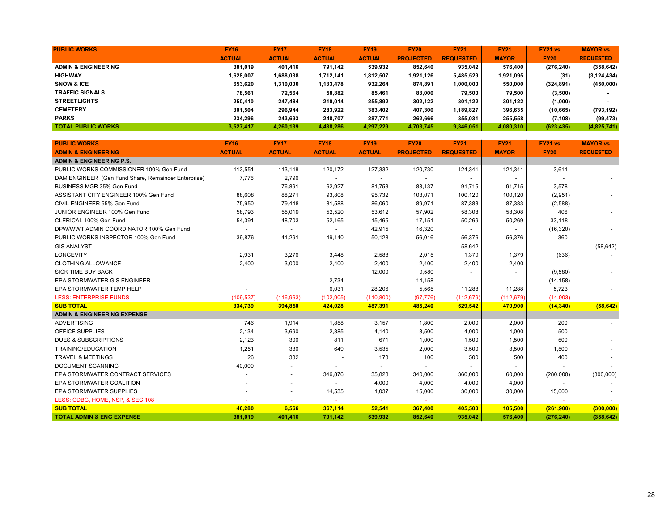| <b>PUBLIC WORKS</b>            | <b>FY16</b>   | <b>FY17</b>   | <b>FY18</b>   | <b>FY19</b>   | <b>FY20</b>      | <b>FY21</b>      | <b>FY21</b>  | FY21 vs     | <b>MAYOR vs</b>  |
|--------------------------------|---------------|---------------|---------------|---------------|------------------|------------------|--------------|-------------|------------------|
|                                | <b>ACTUAL</b> | <b>ACTUAL</b> | <b>ACTUAL</b> | <b>ACTUAL</b> | <b>PROJECTED</b> | <b>REQUESTED</b> | <b>MAYOR</b> | <b>FY20</b> | <b>REQUESTED</b> |
| <b>ADMIN &amp; ENGINEERING</b> | 381.019       | 401.416       | 791.142       | 539.932       | 852.640          | 935,042          | 576.400      | (276, 240)  | (358, 642)       |
| <b>HIGHWAY</b>                 | 1.628.007     | 1,688,038     | 1,712,141     | 1,812,507     | 1,921,126        | 5,485,529        | 1,921,095    | (31)        | (3, 124, 434)    |
| <b>SNOW &amp; ICE</b>          | 653.620       | 1,310,000     | 1,133,478     | 932,264       | 874,891          | 1,000,000        | 550,000      | (324, 891)  | (450,000)        |
| <b>TRAFFIC SIGNALS</b>         | 78.561        | 72,564        | 58,882        | 85,461        | 83.000           | 79.500           | 79.500       | (3,500)     |                  |
| <b>STREETLIGHTS</b>            | 250.410       | 247,484       | 210,014       | 255,892       | 302,122          | 301,122          | 301,122      | (1,000)     |                  |
| <b>CEMETERY</b>                | 301,504       | 296,944       | 283,922       | 383,402       | 407,300          | 1,189,827        | 396,635      | (10, 665)   | (793,192)        |
| <b>PARKS</b>                   | 234.296       | 243,693       | 248.707       | 287,771       | 262.666          | 355.031          | 255.558      | (7, 108)    | (99, 473)        |
| <b>TOTAL PUBLIC WORKS</b>      | 3.527.417     | 4,260,139     | 4,438,286     | 4,297,229     | 4,703,745        | 9,346,051        | 4,080,310    | (623, 435)  | (4,825,741)      |

| <b>PUBLIC WORKS</b>                                 | <b>FY16</b>   | <b>FY17</b>              | <b>FY18</b>              | <b>FY19</b>              | <b>FY20</b>      | <b>FY21</b>              | <b>FY21</b>    | FY21 vs     | <b>MAYOR vs</b>  |
|-----------------------------------------------------|---------------|--------------------------|--------------------------|--------------------------|------------------|--------------------------|----------------|-------------|------------------|
| <b>ADMIN &amp; ENGINEERING</b>                      | <b>ACTUAL</b> | <b>ACTUAL</b>            | <b>ACTUAL</b>            | <b>ACTUAL</b>            | <b>PROJECTED</b> | <b>REQUESTED</b>         | <b>MAYOR</b>   | <b>FY20</b> | <b>REQUESTED</b> |
| <b>ADMIN &amp; ENGINEERING P.S.</b>                 |               |                          |                          |                          |                  |                          |                |             |                  |
| PUBLIC WORKS COMMISSIONER 100% Gen Fund             | 113,551       | 113,118                  | 120,172                  | 127,332                  | 120,730          | 124,341                  | 124,341        | 3,611       |                  |
| DAM ENGINEER (Gen Fund Share, Remainder Enterprise) | 7,776         | 2,796                    |                          | $\overline{\phantom{a}}$ |                  | $\overline{\phantom{a}}$ | $\blacksquare$ |             |                  |
| BUSINESS MGR 35% Gen Fund                           |               | 76,891                   | 62,927                   | 81,753                   | 88,137           | 91,715                   | 91,715         | 3,578       |                  |
| ASSISTANT CITY ENGINEER 100% Gen Fund               | 88,608        | 88,271                   | 93,808                   | 95,732                   | 103,071          | 100,120                  | 100,120        | (2,951)     |                  |
| CIVIL ENGINEER 55% Gen Fund                         | 75,950        | 79,448                   | 81,588                   | 86,060                   | 89,971           | 87,383                   | 87,383         | (2,588)     |                  |
| JUNIOR ENGINEER 100% Gen Fund                       | 58,793        | 55,019                   | 52,520                   | 53,612                   | 57,902           | 58,308                   | 58,308         | 406         |                  |
| CLERICAL 100% Gen Fund                              | 54,391        | 48,703                   | 52,165                   | 15,465                   | 17,151           | 50,269                   | 50,269         | 33,118      |                  |
| DPW/WWT ADMIN COORDINATOR 100% Gen Fund             |               | $\overline{\phantom{a}}$ |                          | 42,915                   | 16,320           | $\overline{\phantom{a}}$ |                | (16, 320)   |                  |
| PUBLIC WORKS INSPECTOR 100% Gen Fund                | 39,876        | 41,291                   | 49,140                   | 50,128                   | 56,016           | 56,376                   | 56,376         | 360         |                  |
| <b>GIS ANALYST</b>                                  |               | $\overline{\phantom{a}}$ | $\overline{\phantom{a}}$ | $\overline{\phantom{a}}$ | $\sim$           | 58,642                   | $\sim$         |             | (58, 642)        |
| <b>LONGEVITY</b>                                    | 2,931         | 3,276                    | 3,448                    | 2,588                    | 2,015            | 1,379                    | 1,379          | (636)       |                  |
| <b>CLOTHING ALLOWANCE</b>                           | 2,400         | 3,000                    | 2,400                    | 2,400                    | 2,400            | 2,400                    | 2,400          |             |                  |
| <b>SICK TIME BUY BACK</b>                           |               |                          |                          | 12,000                   | 9,580            |                          |                | (9,580)     |                  |
| EPA STORMWATER GIS ENGINEER                         |               |                          | 2,734                    | $\overline{\phantom{a}}$ | 14,158           |                          |                | (14, 158)   |                  |
| EPA STORMWATER TEMP HELP                            |               |                          | 6,031                    | 28,206                   | 5,565            | 11,288                   | 11,288         | 5,723       |                  |
| <b>LESS: ENTERPRISE FUNDS</b>                       | (109, 537)    | (116,963)                | (102, 905)               | (110, 800)               | (97, 776)        | (112, 679)               | (112, 679)     | (14,903)    |                  |
| <b>SUB TOTAL</b>                                    | 334,739       | 394,850                  | 424,028                  | 487,391                  | 485,240          | 529,542                  | 470,900        | (14, 340)   | (58, 642)        |
| <b>ADMIN &amp; ENGINEERING EXPENSE</b>              |               |                          |                          |                          |                  |                          |                |             |                  |
| <b>ADVERTISING</b>                                  | 746           | 1,914                    | 1,858                    | 3,157                    | 1,800            | 2,000                    | 2,000          | 200         |                  |
| <b>OFFICE SUPPLIES</b>                              | 2,134         | 3,690                    | 2,385                    | 4,140                    | 3,500            | 4,000                    | 4,000          | 500         |                  |
| <b>DUES &amp; SUBSCRIPTIONS</b>                     | 2,123         | 300                      | 811                      | 671                      | 1,000            | 1,500                    | 1,500          | 500         |                  |
| <b>TRAINING/EDUCATION</b>                           | 1,251         | 330                      | 649                      | 3,535                    | 2,000            | 3,500                    | 3,500          | 1,500       |                  |
| <b>TRAVEL &amp; MEETINGS</b>                        | 26            | 332                      |                          | 173                      | 100              | 500                      | 500            | 400         |                  |
| <b>DOCUMENT SCANNING</b>                            | 40,000        |                          |                          | $\overline{\phantom{a}}$ |                  |                          |                |             |                  |
| EPA STORMWATER CONTRACT SERVICES                    |               | $\overline{\phantom{a}}$ | 346,876                  | 35,828                   | 340,000          | 360,000                  | 60,000         | (280,000)   | (300,000)        |
| EPA STORMWATER COALITION                            |               |                          |                          | 4,000                    | 4,000            | 4,000                    | 4,000          |             |                  |
| <b>EPA STORMWATER SUPPLIES</b>                      |               | $\overline{\phantom{a}}$ | 14,535                   | 1,037                    | 15,000           | 30,000                   | 30,000         | 15,000      |                  |
| LESS: CDBG, HOME, NSP, & SEC 108                    |               |                          |                          |                          |                  |                          | $\sim$         |             |                  |
| <b>SUB TOTAL</b>                                    | 46,280        | 6,566                    | 367,114                  | 52,541                   | 367,400          | 405,500                  | 105,500        | (261, 900)  | (300,000)        |
| <b>TOTAL ADMIN &amp; ENG EXPENSE</b>                | 381.019       | 401.416                  | 791.142                  | 539.932                  | 852.640          | 935.042                  | 576.400        | (276, 240)  | (358, 642)       |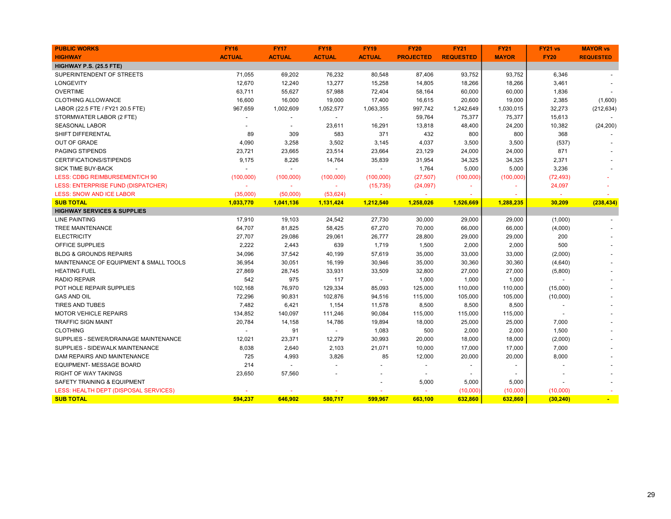| <b>PUBLIC WORKS</b>                    | <b>FY16</b>   | <b>FY17</b>    | <b>FY18</b>    | <b>FY19</b>              | <b>FY20</b>              | <b>FY21</b>              | <b>FY21</b>              | <b>FY21 vs</b> | <b>MAYOR vs</b>  |
|----------------------------------------|---------------|----------------|----------------|--------------------------|--------------------------|--------------------------|--------------------------|----------------|------------------|
| <b>HIGHWAY</b>                         | <b>ACTUAL</b> | <b>ACTUAL</b>  | <b>ACTUAL</b>  | <b>ACTUAL</b>            | <b>PROJECTED</b>         | <b>REQUESTED</b>         | <b>MAYOR</b>             | <b>FY20</b>    | <b>REQUESTED</b> |
| <b>HIGHWAY P.S. (25.5 FTE)</b>         |               |                |                |                          |                          |                          |                          |                |                  |
| SUPERINTENDENT OF STREETS              | 71,055        | 69,202         | 76,232         | 80,548                   | 87,406                   | 93,752                   | 93,752                   | 6,346          |                  |
| LONGEVITY                              | 12,670        | 12,240         | 13,277         | 15,258                   | 14,805                   | 18,266                   | 18,266                   | 3,461          |                  |
| <b>OVERTIME</b>                        | 63,711        | 55,627         | 57,988         | 72,404                   | 58,164                   | 60,000                   | 60,000                   | 1,836          |                  |
| <b>CLOTHING ALLOWANCE</b>              | 16,600        | 16,000         | 19,000         | 17,400                   | 16,615                   | 20,600                   | 19,000                   | 2,385          | (1,600)          |
| LABOR (22.5 FTE / FY21 20.5 FTE)       | 967,659       | 1,002,609      | 1,052,577      | 1,063,355                | 997,742                  | 1,242,649                | 1,030,015                | 32,273         | (212, 634)       |
| STORMWATER LABOR (2 FTE)               |               |                |                | $\overline{\phantom{a}}$ | 59,764                   | 75,377                   | 75,377                   | 15,613         |                  |
| <b>SEASONAL LABOR</b>                  |               |                | 23,611         | 16,291                   | 13,818                   | 48,400                   | 24,200                   | 10,382         | (24, 200)        |
| SHIFT DIFFERENTAL                      | 89            | 309            | 583            | 371                      | 432                      | 800                      | 800                      | 368            |                  |
| <b>OUT OF GRADE</b>                    | 4,090         | 3,258          | 3,502          | 3,145                    | 4,037                    | 3,500                    | 3,500                    | (537)          |                  |
| <b>PAGING STIPENDS</b>                 | 23,721        | 23,665         | 23,514         | 23,664                   | 23,129                   | 24,000                   | 24,000                   | 871            |                  |
| CERTIFICATIONS/STIPENDS                | 9,175         | 8,226          | 14,764         | 35,839                   | 31,954                   | 34,325                   | 34,325                   | 2,371          |                  |
| <b>SICK TIME BUY-BACK</b>              |               |                | $\overline{a}$ | $\overline{a}$           | 1,764                    | 5,000                    | 5,000                    | 3,236          |                  |
| LESS: CDBG REIMBURSEMENT/CH 90         | (100,000)     | (100,000)      | (100,000)      | (100,000)                | (27, 507)                | (100,000)                | (100,000)                | (72, 493)      |                  |
| LESS: ENTERPRISE FUND (DISPATCHER)     |               |                |                | (15, 735)                | (24, 097)                | ۰                        | ٠                        | 24,097         |                  |
| <b>LESS: SNOW AND ICE LABOR</b>        | (35,000)      | (50,000)       | (53, 624)      |                          |                          | $\overline{\phantom{a}}$ |                          |                |                  |
| <b>SUB TOTAL</b>                       | 1,033,770     | 1,041,136      | 1,131,424      | 1,212,540                | 1,258,026                | 1,526,669                | 1,288,235                | 30,209         | (238, 434)       |
| <b>HIGHWAY SERVICES &amp; SUPPLIES</b> |               |                |                |                          |                          |                          |                          |                |                  |
| <b>LINE PAINTING</b>                   | 17,910        | 19,103         | 24,542         | 27,730                   | 30,000                   | 29,000                   | 29,000                   | (1,000)        |                  |
| <b>TREE MAINTENANCE</b>                | 64,707        | 81,825         | 58,425         | 67,270                   | 70,000                   | 66,000                   | 66,000                   | (4,000)        |                  |
| <b>ELECTRICITY</b>                     | 27,707        | 29,086         | 29,061         | 26,777                   | 28,800                   | 29,000                   | 29,000                   | 200            |                  |
| OFFICE SUPPLIES                        | 2,222         | 2,443          | 639            | 1,719                    | 1,500                    | 2,000                    | 2,000                    | 500            |                  |
| <b>BLDG &amp; GROUNDS REPAIRS</b>      | 34,096        | 37,542         | 40,199         | 57,619                   | 35,000                   | 33,000                   | 33,000                   | (2,000)        |                  |
| MAINTENANCE OF EQUIPMENT & SMALL TOOLS | 36,954        | 30,051         | 16,199         | 30,946                   | 35,000                   | 30,360                   | 30,360                   | (4,640)        |                  |
| <b>HEATING FUEL</b>                    | 27,869        | 28,745         | 33,931         | 33,509                   | 32,800                   | 27,000                   | 27,000                   | (5,800)        |                  |
| <b>RADIO REPAIR</b>                    | 542           | 975            | 117            | $\blacksquare$           | 1,000                    | 1,000                    | 1,000                    |                |                  |
| POT HOLE REPAIR SUPPLIES               | 102,168       | 76,970         | 129,334        | 85,093                   | 125,000                  | 110,000                  | 110,000                  | (15,000)       |                  |
| <b>GAS AND OIL</b>                     | 72,296        | 90,831         | 102,876        | 94,516                   | 115,000                  | 105,000                  | 105,000                  | (10,000)       |                  |
| <b>TIRES AND TUBES</b>                 | 7,482         | 6,421          | 1,154          | 11,578                   | 8,500                    | 8,500                    | 8,500                    |                |                  |
| <b>MOTOR VEHICLE REPAIRS</b>           | 134,852       | 140,097        | 111,246        | 90,084                   | 115,000                  | 115,000                  | 115,000                  |                |                  |
| <b>TRAFFIC SIGN MAINT</b>              | 20,784        | 14,158         | 14,786         | 19,894                   | 18,000                   | 25,000                   | 25,000                   | 7,000          |                  |
| <b>CLOTHING</b>                        |               | 91             | $\blacksquare$ | 1,083                    | 500                      | 2,000                    | 2,000                    | 1,500          |                  |
| SUPPLIES - SEWER/DRAINAGE MAINTENANCE  | 12,021        | 23,371         | 12,279         | 30,993                   | 20,000                   | 18,000                   | 18,000                   | (2,000)        |                  |
| SUPPLIES - SIDEWALK MAINTENANCE        | 8,038         | 2,640          | 2,103          | 21,071                   | 10,000                   | 17,000                   | 17,000                   | 7,000          |                  |
| DAM REPAIRS AND MAINTENANCE            | 725           | 4,993          | 3,826          | 85                       | 12,000                   | 20,000                   | 20,000                   | 8,000          |                  |
| <b>EQUIPMENT- MESSAGE BOARD</b>        | 214           | $\blacksquare$ | $\blacksquare$ |                          | $\blacksquare$           |                          |                          |                |                  |
| <b>RIGHT OF WAY TAKINGS</b>            | 23,650        | 57,560         |                |                          | $\overline{\phantom{a}}$ | $\overline{\phantom{a}}$ | $\overline{\phantom{a}}$ |                |                  |
| SAFETY TRAINING & EQUIPMENT            |               |                |                |                          | 5,000                    | 5,000                    | 5,000                    |                |                  |
| LESS: HEALTH DEPT (DISPOSAL SERVICES)  |               |                |                |                          |                          | (10,000)                 | (10,000)                 | (10,000)       |                  |
| <b>SUB TOTAL</b>                       | 594,237       | 646,902        | 580,717        | 599,967                  | 663,100                  | 632,860                  | 632,860                  | (30, 240)      |                  |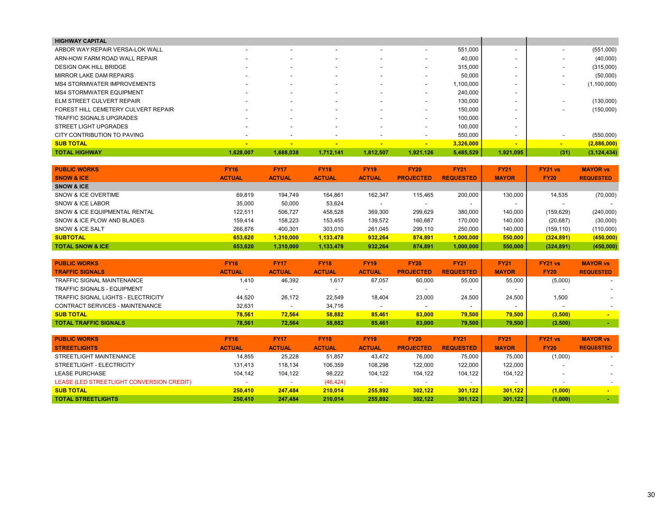| <b>HIGHWAY CAPITAL</b>              |            |                          |                          |                          |                          |           |                          |                          |               |
|-------------------------------------|------------|--------------------------|--------------------------|--------------------------|--------------------------|-----------|--------------------------|--------------------------|---------------|
| ARBOR WAY: REPAIR VERSA-LOK WALL    |            | $\overline{\phantom{a}}$ |                          |                          | $\sim$                   | 551,000   | $\overline{\phantom{0}}$ |                          | (551,000)     |
| ARN-HOW FARM ROAD WALL REPAIR       |            | $\overline{\phantom{a}}$ |                          |                          | $\overline{\phantom{0}}$ | 40,000    |                          |                          | (40,000)      |
| <b>DESIGN OAK HILL BRIDGE</b>       |            | $\overline{\phantom{0}}$ | -                        | $\overline{\phantom{0}}$ | $\overline{\phantom{a}}$ | 315,000   | $\overline{\phantom{0}}$ | $\overline{\phantom{a}}$ | (315,000)     |
| MIRROR LAKE DAM REPAIRS             |            | $\overline{\phantom{a}}$ |                          | $\overline{\phantom{0}}$ | $\sim$                   | 50,000    | $\overline{\phantom{a}}$ |                          | (50,000)      |
| <b>MS4 STORMWATER IMPROVEMENTS</b>  |            | $\overline{\phantom{a}}$ |                          |                          | $\overline{\phantom{a}}$ | 1,100,000 |                          |                          | (1,100,000)   |
| <b>MS4 STORMWATER EQUIPMENT</b>     |            | $\overline{\phantom{a}}$ |                          | $\overline{\phantom{a}}$ | $\overline{\phantom{0}}$ | 240.000   | $\overline{\phantom{a}}$ |                          |               |
| ELM STREET CULVERT REPAIR           |            | $\overline{\phantom{a}}$ |                          |                          | $\overline{\phantom{0}}$ | 130,000   |                          |                          | (130,000)     |
| FOREST HILL CEMETERY CULVERT REPAIR |            | $\overline{\phantom{a}}$ |                          |                          | $\overline{\phantom{a}}$ | 150,000   |                          |                          | (150,000)     |
| TRAFFIC SIGNALS UPGRADES            |            | $\overline{\phantom{a}}$ |                          |                          | $\sim$                   | 100,000   |                          |                          |               |
| <b>STREET LIGHT UPGRADES</b>        |            | $\overline{\phantom{a}}$ | -                        | $\overline{\phantom{a}}$ | $\overline{\phantom{0}}$ | 100,000   | $\overline{\phantom{a}}$ |                          |               |
| CITY CONTRIBUTION TO PAVING         |            | $\overline{\phantom{a}}$ | $\overline{\phantom{a}}$ | $\overline{\phantom{a}}$ | $\overline{\phantom{a}}$ | 550,000   | $\sim$                   |                          | (550,000)     |
| <b>SUB TOTAL</b>                    | <b>FOR</b> | $\blacksquare$           | $\overline{\phantom{a}}$ |                          | $\sim$                   | 3,326,000 | $\sim$                   | $\sim$                   | (2,886,000)   |
| <b>TOTAL HIGHWAY</b>                | 1.628.007  | 1,688,038                | 1.712.141                | 1,812,507                | 1,921,126                | 5,485,529 | 1,921,095                | (31)                     | (3, 124, 434) |

| <b>PUBLIC WORKS</b>           | <b>FY16</b>   | <b>FY17</b>   | <b>FY18</b>   | <b>FY19</b>   | <b>FY20</b>      | <b>FY21</b>      | <b>FY21</b>  | <b>FY21 vs</b> | <b>MAYOR vs</b>  |
|-------------------------------|---------------|---------------|---------------|---------------|------------------|------------------|--------------|----------------|------------------|
| <b>SNOW &amp; ICE</b>         | <b>ACTUAL</b> | <b>ACTUAL</b> | <b>ACTUAL</b> | <b>ACTUAL</b> | <b>PROJECTED</b> | <b>REQUESTED</b> | <b>MAYOR</b> | <b>FY20</b>    | <b>REQUESTED</b> |
| <b>SNOW &amp; ICE</b>         |               |               |               |               |                  |                  |              |                |                  |
| SNOW & ICE OVERTIME           | 69.819        | 194.749       | 164.861       | 162.347       | 115.465          | 200.000          | 130,000      | 14.535         | (70,000)         |
| SNOW & ICE LABOR              | 35,000        | 50,000        | 53,624        |               |                  |                  |              |                |                  |
| SNOW & ICE EQUIPMENTAL RENTAL | 122.511       | 506.727       | 458.528       | 369,300       | 299.629          | 380.000          | 140.000      | (159, 629)     | (240,000)        |
| SNOW & ICE PLOW AND BLADES    | 159,414       | 158,223       | 153,455       | 139,572       | 160,687          | 170,000          | 140.000      | (20, 687)      | (30,000)         |
| SNOW & ICE SALT               | 266.876       | 400.301       | 303.010       | 261.045       | 299,110          | 250,000          | 140,000      | (159, 110)     | (110,000)        |
| <b>SUBTOTAL</b>               | 653.620       | 1,310,000     | 1,133,478     | 932.264       | 874.891          | 1,000,000        | 550,000      | (324, 891)     | (450,000)        |
| <b>TOTAL SNOW &amp; ICE</b>   | 653.620       | 1,310,000     | 1,133,478     | 932.264       | 874.891          | 1,000,000        | 550,000      | (324, 891)     | (450,000)        |

| <b>PUBLIC WORKS</b>                 | <b>FY16</b>   | <b>FY17</b>              | <b>FY18</b>   | <b>FY19</b>   | <b>FY20</b>      | <b>FY21</b>      | <b>FY21</b>  | $FY21$ vs   | <b>MAYOR vs</b>  |
|-------------------------------------|---------------|--------------------------|---------------|---------------|------------------|------------------|--------------|-------------|------------------|
| <b>TRAFFIC SIGNALS</b>              | <b>ACTUAL</b> | <b>ACTUAL</b>            | <b>ACTUAL</b> | <b>ACTUAL</b> | <b>PROJECTED</b> | <b>REQUESTED</b> | <b>MAYOR</b> | <b>FY20</b> | <b>REQUESTED</b> |
| TRAFFIC SIGNAL MAINTENANCE          | 1,410         | 46,392                   | 1,617         | 67,057        | 60,000           | 55,000           | 55,000       | (5,000)     |                  |
| <b>TRAFFIC SIGNALS - EQUIPMENT</b>  |               |                          |               |               |                  |                  |              |             |                  |
| TRAFFIC SIGNAL LIGHTS - ELECTRICITY | 44.520        | 26.172                   | 22.549        | 18.404        | 23,000           | 24.500           | 24.500       | 1,500       |                  |
| CONTRACT SERVICES - MAINTENANCE     | 32.631        | $\overline{\phantom{0}}$ | 34.716        |               |                  |                  |              |             |                  |
| <b>SUB TOTAL</b>                    | 78.561        | 72.564                   | 58.882        | 85,461        | 83,000           | 79.500           | 79.500       | (3,500)     |                  |
| <b>TOTAL TRAFFIC SIGNALS</b>        | 78.561        | 72.564                   | 58.882        | 85.461        | 83,000           | 79.500           | 79.500       | (3,500)     |                  |

| <b>PUBLIC WORKS</b>                       | <b>FY16</b>   | <b>FY17</b>   | <b>FY18</b>   | <b>FY19</b>   | <b>FY20</b>      | <b>FY21</b>      | <b>FY21</b>  | FY21 vs                  | <b>MAYOR vs</b>          |
|-------------------------------------------|---------------|---------------|---------------|---------------|------------------|------------------|--------------|--------------------------|--------------------------|
| <b>STREETLIGHTS</b>                       | <b>ACTUAL</b> | <b>ACTUAL</b> | <b>ACTUAL</b> | <b>ACTUAL</b> | <b>PROJECTED</b> | <b>REQUESTED</b> | <b>MAYOR</b> | <b>FY20</b>              | <b>REQUESTED</b>         |
| STREETLIGHT MAINTENANCE                   | 14,855        | 25,228        | 51,857        | 43,472        | 76,000           | 75,000           | 75.000       | (1,000)                  | $\overline{\phantom{a}}$ |
| STREETLIGHT - ELECTRICITY                 | 131.413       | 118.134       | 106,359       | 108,298       | 122,000          | 122.000          | 122.000      | $\overline{\phantom{0}}$ | $\overline{\phantom{a}}$ |
| LEASE PURCHASE                            | 104.142       | 104,122       | 98.222        | 104.122       | 104.122          | 104.122          | 104.122      | $\,$                     | $\overline{\phantom{a}}$ |
| LEASE (LED STREETLIGHT CONVERSION CREDIT) |               |               | (46, 424)     |               |                  |                  |              |                          |                          |
| <b>SUB TOTAL</b>                          | 250,410       | 247.484       | 210.014       | 255,892       | 302.122          | 301.122          | 301.122      | (1,000)                  |                          |
| <b>TOTAL STREETLIGHTS</b>                 | 250.410       | 247.484       | 210.014       | 255.892       | 302.122          | 301.122          | 301.122      | (1,000)                  |                          |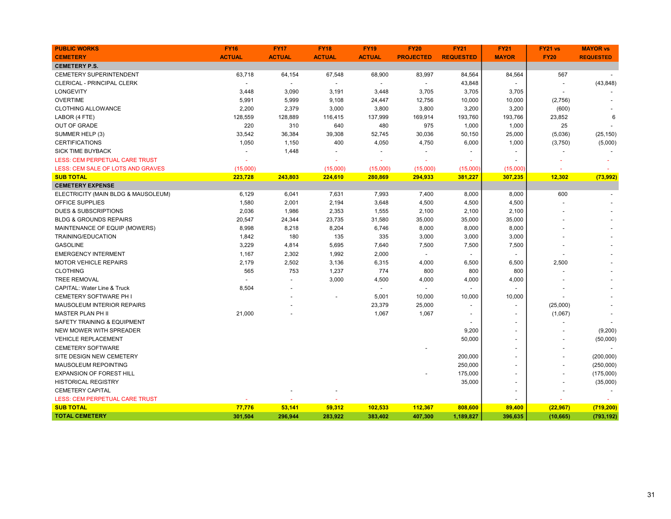| <b>PUBLIC WORKS</b>                    | <b>FY16</b>   | <b>FY17</b>    | <b>FY18</b>    | <b>FY19</b>              | <b>FY20</b>      | <b>FY21</b>              | <b>FY21</b>              | FY21 vs        | <b>MAYOR vs</b>  |
|----------------------------------------|---------------|----------------|----------------|--------------------------|------------------|--------------------------|--------------------------|----------------|------------------|
| <b>CEMETERY</b>                        | <b>ACTUAL</b> | <b>ACTUAL</b>  | <b>ACTUAL</b>  | <b>ACTUAL</b>            | <b>PROJECTED</b> | <b>REQUESTED</b>         | <b>MAYOR</b>             | <b>FY20</b>    | <b>REQUESTED</b> |
| <b>CEMETERY P.S.</b>                   |               |                |                |                          |                  |                          |                          |                |                  |
| <b>CEMETERY SUPERINTENDENT</b>         | 63,718        | 64,154         | 67,548         | 68,900                   | 83,997           | 84,564                   | 84,564                   | 567            |                  |
| CLERICAL - PRINCIPAL CLERK             |               | $\overline{a}$ | $\overline{a}$ | $\overline{a}$           | $\overline{a}$   | 43,848                   | $\overline{a}$           | ÷,             | (43, 848)        |
| <b>LONGEVITY</b>                       | 3,448         | 3,090          | 3,191          | 3,448                    | 3,705            | 3,705                    | 3,705                    |                |                  |
| <b>OVERTIME</b>                        | 5,991         | 5,999          | 9,108          | 24,447                   | 12,756           | 10,000                   | 10,000                   | (2,756)        |                  |
| <b>CLOTHING ALLOWANCE</b>              | 2,200         | 2,379          | 3,000          | 3,800                    | 3,800            | 3,200                    | 3,200                    | (600)          |                  |
| LABOR (4 FTE)                          | 128,559       | 128,889        | 116,415        | 137,999                  | 169,914          | 193,760                  | 193,766                  | 23,852         | 6                |
| <b>OUT OF GRADE</b>                    | 220           | 310            | 640            | 480                      | 975              | 1,000                    | 1,000                    | 25             |                  |
| SUMMER HELP (3)                        | 33,542        | 36,384         | 39,308         | 52,745                   | 30,036           | 50,150                   | 25,000                   | (5,036)        | (25, 150)        |
| <b>CERTIFICATIONS</b>                  | 1,050         | 1,150          | 400            | 4,050                    | 4,750            | 6,000                    | 1,000                    | (3,750)        | (5,000)          |
| <b>SICK TIME BUYBACK</b>               |               | 1,448          | $\overline{a}$ | $\overline{\phantom{a}}$ |                  |                          |                          |                |                  |
| LESS: CEM PERPETUAL CARE TRUST         |               |                |                |                          |                  |                          |                          |                |                  |
| LESS: CEM SALE OF LOTS AND GRAVES      | (15,000)      |                | (15,000)       | (15,000)                 | (15,000)         | (15,000)                 | (15,000)                 |                |                  |
| <b>SUB TOTAL</b>                       | 223,728       | 243,803        | 224,610        | 280,869                  | 294,933          | 381,227                  | 307,235                  | 12,302         | (73,992)         |
| <b>CEMETERY EXPENSE</b>                |               |                |                |                          |                  |                          |                          |                |                  |
| ELECTRICITY (MAIN BLDG & MAUSOLEUM)    | 6,129         | 6,041          | 7,631          | 7,993                    | 7,400            | 8,000                    | 8,000                    | 600            |                  |
| OFFICE SUPPLIES                        | 1,580         | 2,001          | 2,194          | 3,648                    | 4,500            | 4,500                    | 4,500                    |                |                  |
| <b>DUES &amp; SUBSCRIPTIONS</b>        | 2,036         | 1,986          | 2,353          | 1,555                    | 2,100            | 2,100                    | 2,100                    |                |                  |
| <b>BLDG &amp; GROUNDS REPAIRS</b>      | 20,547        | 24,344         | 23,735         | 31,580                   | 35,000           | 35,000                   | 35,000                   |                |                  |
| MAINTENANCE OF EQUIP (MOWERS)          | 8,998         | 8,218          | 8,204          | 6,746                    | 8,000            | 8,000                    | 8,000                    |                |                  |
| TRAINING/EDUCATION                     | 1,842         | 180            | 135            | 335                      | 3,000            | 3,000                    | 3,000                    |                |                  |
| <b>GASOLINE</b>                        | 3,229         | 4,814          | 5,695          | 7,640                    | 7,500            | 7,500                    | 7,500                    |                |                  |
| <b>EMERGENCY INTERMENT</b>             | 1,167         | 2,302          | 1,992          | 2,000                    | $\overline{a}$   | $\overline{\phantom{a}}$ | $\overline{a}$           |                |                  |
| <b>MOTOR VEHICLE REPAIRS</b>           | 2,179         | 2,502          | 3,136          | 6,315                    | 4,000            | 6,500                    | 6,500                    | 2,500          |                  |
| <b>CLOTHING</b>                        | 565           | 753            | 1,237          | 774                      | 800              | 800                      | 800                      |                |                  |
| <b>TREE REMOVAL</b>                    |               |                | 3,000          | 4,500                    | 4,000            | 4,000                    | 4,000                    |                |                  |
| <b>CAPITAL: Water Line &amp; Truck</b> | 8,504         |                |                | $\overline{\phantom{a}}$ | $\sim$           |                          |                          |                |                  |
| <b>CEMETERY SOFTWARE PH I</b>          |               |                | $\overline{a}$ | 5,001                    | 10,000           | 10,000                   | 10,000                   |                |                  |
| <b>MAUSOLEUM INTERIOR REPAIRS</b>      |               |                |                | 23,379                   | 25,000           | $\overline{\phantom{a}}$ |                          | (25,000)       |                  |
| <b>MASTER PLAN PH II</b>               | 21,000        |                |                | 1,067                    | 1,067            | $\overline{\phantom{a}}$ |                          | (1,067)        |                  |
| SAFETY TRAINING & EQUIPMENT            |               |                |                |                          |                  |                          | $\overline{\phantom{a}}$ |                |                  |
| NEW MOWER WITH SPREADER                |               |                |                |                          |                  | 9,200                    |                          |                | (9,200)          |
| <b>VEHICLE REPLACEMENT</b>             |               |                |                |                          |                  | 50,000                   | $\overline{a}$           | ÷,             | (50,000)         |
| <b>CEMETERY SOFTWARE</b>               |               |                |                |                          |                  |                          |                          |                |                  |
| SITE DESIGN NEW CEMETERY               |               |                |                |                          |                  | 200,000                  | $\overline{\phantom{a}}$ | $\overline{a}$ | (200,000)        |
| MAUSOLEUM REPOINTING                   |               |                |                |                          |                  | 250,000                  | $\overline{a}$           |                | (250,000)        |
| <b>EXPANSION OF FOREST HILL</b>        |               |                |                |                          |                  | 175,000                  | $\overline{a}$           |                | (175,000)        |
| <b>HISTORICAL REGISTRY</b>             |               |                |                |                          |                  | 35,000                   | $\overline{\phantom{a}}$ |                | (35,000)         |
| <b>CEMETERY CAPITAL</b>                |               |                |                |                          |                  |                          |                          |                |                  |
| LESS: CEM PERPETUAL CARE TRUST         |               |                |                |                          |                  |                          |                          |                |                  |
| <b>SUB TOTAL</b>                       | 77,776        | 53,141         | 59,312         | 102,533                  | 112,367          | 808,600                  | 89,400                   | (22, 967)      | (719, 200)       |
| <b>TOTAL CEMETERY</b>                  | 301,504       | 296,944        | 283,922        | 383,402                  | 407,300          | 1,189,827                | 396,635                  | (10, 665)      | (793, 192)       |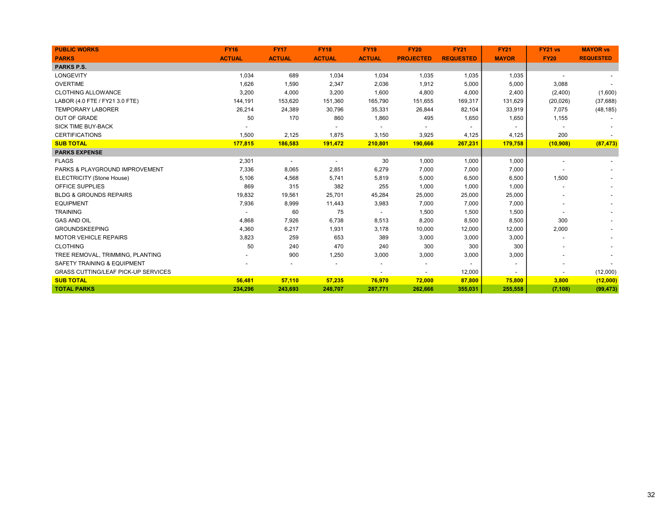| <b>PUBLIC WORKS</b>                        | <b>FY16</b>   | <b>FY17</b>              | <b>FY18</b>    | <b>FY19</b>    | <b>FY20</b>              | <b>FY21</b>      | <b>FY21</b>  | FY21 vs                  | <b>MAYOR vs</b>  |
|--------------------------------------------|---------------|--------------------------|----------------|----------------|--------------------------|------------------|--------------|--------------------------|------------------|
| <b>PARKS</b>                               | <b>ACTUAL</b> | <b>ACTUAL</b>            | <b>ACTUAL</b>  | <b>ACTUAL</b>  | <b>PROJECTED</b>         | <b>REQUESTED</b> | <b>MAYOR</b> | <b>FY20</b>              | <b>REQUESTED</b> |
| <b>PARKS P.S.</b>                          |               |                          |                |                |                          |                  |              |                          |                  |
| LONGEVITY                                  | 1,034         | 689                      | 1,034          | 1,034          | 1,035                    | 1,035            | 1,035        | $\overline{\phantom{a}}$ |                  |
| <b>OVERTIME</b>                            | 1,626         | 1,590                    | 2,347          | 2,036          | 1,912                    | 5,000            | 5,000        | 3,088                    |                  |
| <b>CLOTHING ALLOWANCE</b>                  | 3,200         | 4,000                    | 3,200          | 1,600          | 4,800                    | 4,000            | 2,400        | (2,400)                  | (1,600)          |
| LABOR (4.0 FTE / FY21 3.0 FTE)             | 144,191       | 153,620                  | 151,360        | 165,790        | 151,655                  | 169,317          | 131,629      | (20, 026)                | (37, 688)        |
| <b>TEMPORARY LABORER</b>                   | 26,214        | 24,389                   | 30,796         | 35,331         | 26,844                   | 82,104           | 33,919       | 7,075                    | (48, 185)        |
| <b>OUT OF GRADE</b>                        | 50            | 170                      | 860            | 1,860          | 495                      | 1,650            | 1,650        | 1,155                    |                  |
| <b>SICK TIME BUY-BACK</b>                  |               |                          |                |                |                          |                  |              |                          |                  |
| <b>CERTIFICATIONS</b>                      | 1,500         | 2,125                    | 1,875          | 3,150          | 3,925                    | 4,125            | 4,125        | 200                      |                  |
| <b>SUB TOTAL</b>                           | 177,815       | 186,583                  | 191,472        | 210,801        | 190,666                  | 267,231          | 179,758      | (10,908)                 | (87, 473)        |
| <b>PARKS EXPENSE</b>                       |               |                          |                |                |                          |                  |              |                          |                  |
| <b>FLAGS</b>                               | 2,301         | $\overline{\phantom{a}}$ | $\blacksquare$ | 30             | 1,000                    | 1,000            | 1,000        | $\overline{a}$           |                  |
| PARKS & PLAYGROUND IMPROVEMENT             | 7,336         | 8,065                    | 2,851          | 6,279          | 7,000                    | 7,000            | 7,000        |                          |                  |
| ELECTRICITY (Stone House)                  | 5,106         | 4,568                    | 5,741          | 5,819          | 5,000                    | 6,500            | 6,500        | 1,500                    |                  |
| OFFICE SUPPLIES                            | 869           | 315                      | 382            | 255            | 1,000                    | 1,000            | 1,000        |                          |                  |
| <b>BLDG &amp; GROUNDS REPAIRS</b>          | 19,832        | 19,561                   | 25,701         | 45,284         | 25,000                   | 25,000           | 25,000       |                          |                  |
| <b>EQUIPMENT</b>                           | 7,936         | 8,999                    | 11,443         | 3,983          | 7,000                    | 7,000            | 7,000        |                          |                  |
| <b>TRAINING</b>                            |               | 60                       | 75             | $\overline{a}$ | 1,500                    | 1,500            | 1,500        |                          |                  |
| <b>GAS AND OIL</b>                         | 4,868         | 7,926                    | 6,738          | 8,513          | 8,200                    | 8,500            | 8,500        | 300                      |                  |
| <b>GROUNDSKEEPING</b>                      | 4,360         | 6,217                    | 1,931          | 3,178          | 10,000                   | 12,000           | 12,000       | 2,000                    |                  |
| <b>MOTOR VEHICLE REPAIRS</b>               | 3,823         | 259                      | 653            | 389            | 3,000                    | 3,000            | 3,000        |                          |                  |
| <b>CLOTHING</b>                            | 50            | 240                      | 470            | 240            | 300                      | 300              | 300          |                          |                  |
| TREE REMOVAL, TRIMMING, PLANTING           |               | 900                      | 1,250          | 3,000          | 3,000                    | 3,000            | 3,000        |                          |                  |
| SAFETY TRAINING & EQUIPMENT                |               |                          |                |                | $\blacksquare$           |                  |              |                          |                  |
| <b>GRASS CUTTING/LEAF PICK-UP SERVICES</b> |               |                          |                |                | $\overline{\phantom{a}}$ | 12,000           |              |                          | (12,000)         |
| <b>SUB TOTAL</b>                           | 56,481        | 57,110                   | 57,235         | 76,970         | 72,000                   | 87,800           | 75,800       | 3,800                    | (12,000)         |
| <b>TOTAL PARKS</b>                         | 234,296       | 243,693                  | 248,707        | 287,771        | 262,666                  | 355,031          | 255,558      | (7, 108)                 | (99, 473)        |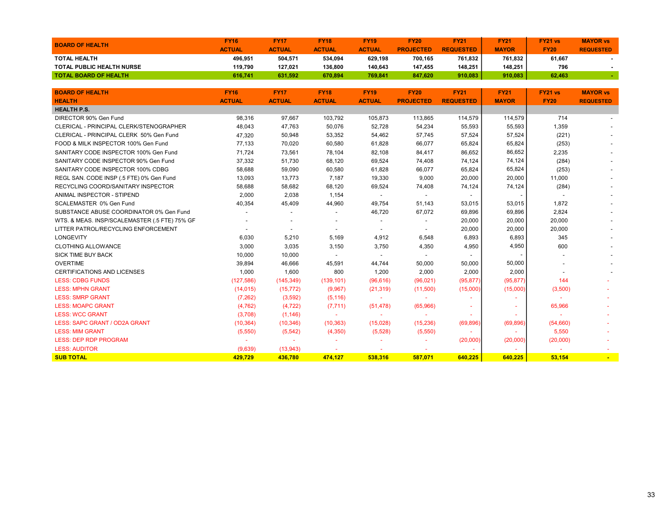| <b>ACTUAL</b><br><b>MAYOR</b><br><b>ACTUAL</b><br><b>ACTUAL</b><br><b>ACTUAL</b><br><b>PROJECTED</b><br><b>REQUESTED</b><br><b>FY20</b><br><b>REQUESTED</b><br><b>TOTAL HEALTH</b><br>496,951<br>504,571<br>534,094<br>629,198<br>700,165<br>761,832<br>761,832<br>61,667<br><b>TOTAL PUBLIC HEALTH NURSE</b><br>119,790<br>127,021<br>136,800<br>140,643<br>147,455<br>148,251<br>148.251<br>796<br><b>TOTAL BOARD OF HEALTH</b><br>631.592<br>670,894<br>769,841<br>847,620<br>910,083<br>910,083<br>62.463<br>616,741<br><b>BOARD OF HEALTH</b><br><b>FY16</b><br><b>FY17</b><br><b>FY18</b><br><b>FY19</b><br><b>FY20</b><br><b>FY21</b><br><b>FY21</b><br>FY21 vs<br><b>MAYOR vs</b><br><b>ACTUAL</b><br><b>ACTUAL</b><br><b>ACTUAL</b><br><b>ACTUAL</b><br><b>PROJECTED</b><br><b>REQUESTED</b><br><b>MAYOR</b><br><b>FY20</b><br><b>HEALTH</b><br><b>REQUESTED</b><br><b>HEALTH P.S.</b><br>DIRECTOR 90% Gen Fund<br>98,316<br>97,667<br>103,792<br>105,873<br>113,865<br>114,579<br>714<br>114,579<br>CLERICAL - PRINCIPAL CLERK/STENOGRAPHER<br>48,043<br>47,763<br>50,076<br>52,728<br>54,234<br>55,593<br>55,593<br>1,359<br>57,745<br>57,524<br>57,524<br>CLERICAL - PRINCIPAL CLERK 50% Gen Fund<br>47,320<br>50,948<br>53,352<br>54,462<br>(221)<br>FOOD & MILK INSPECTOR 100% Gen Fund<br>77,133<br>70,020<br>60,580<br>66,077<br>61,828<br>65,824<br>65,824<br>(253)<br>86,652<br>SANITARY CODE INSPECTOR 100% Gen Fund<br>71,724<br>73,561<br>78,104<br>82,108<br>86,652<br>2,235<br>84,417<br>37,332<br>51,730<br>68,120<br>74,124<br>SANITARY CODE INSPECTOR 90% Gen Fund<br>69,524<br>74,408<br>74,124<br>(284)<br>65,824<br>SANITARY CODE INSPECTOR 100% CDBG<br>58,688<br>59,090<br>60,580<br>61,828<br>66,077<br>65,824<br>(253)<br>19,330<br>20,000<br>20,000<br>REGL SAN. CODE INSP (.5 FTE) 0% Gen Fund<br>13,093<br>13,773<br>7,187<br>9,000<br>11,000<br>74,124<br>RECYCLING COORD/SANITARY INSPECTOR<br>58,688<br>58,682<br>68,120<br>69,524<br>74,408<br>74,124<br>(284)<br>ANIMAL INSPECTOR - STIPEND<br>2,000<br>2,038<br>1,154<br>$\overline{\phantom{a}}$<br>$\overline{\phantom{a}}$<br>SCALEMASTER 0% Gen Fund<br>40,354<br>45,409<br>44,960<br>49,754<br>53,015<br>1,872<br>51,143<br>53,015<br>69,896<br>SUBSTANCE ABUSE COORDINATOR 0% Gen Fund<br>46,720<br>67,072<br>69,896<br>2,824<br>$\overline{a}$<br>$\overline{\phantom{0}}$<br>20,000<br>WTS. & MEAS. INSP/SCALEMASTER (.5 FTE) 75% GF<br>20,000<br>20,000<br>$\overline{\phantom{a}}$<br>$\overline{a}$<br>$\overline{a}$<br>$\overline{a}$<br>LITTER PATROL/RECYCLING ENFORCEMENT<br>20,000<br>20,000<br>20,000<br>$\overline{a}$<br>$\blacksquare$<br>$\overline{\phantom{a}}$<br>$\overline{\phantom{a}}$<br>6,893<br><b>LONGEVITY</b><br>6,893<br>345<br>6,030<br>5,210<br>5,169<br>4,912<br>6,548<br><b>CLOTHING ALLOWANCE</b><br>3,000<br>3,035<br>3.150<br>3,750<br>4,350<br>4,950<br>4,950<br>600<br><b>SICK TIME BUY BACK</b><br>10,000<br>10,000<br>$\blacksquare$<br>$\overline{\phantom{a}}$<br><b>OVERTIME</b><br>39,894<br>46,666<br>45,591<br>44,744<br>50,000<br>50,000<br>50,000<br><b>CERTIFICATIONS AND LICENSES</b><br>800<br>1,200<br>2,000<br>2,000<br>1,000<br>1,600<br>2,000<br><b>LESS: CDBG FUNDS</b><br>(127, 586)<br>(95, 877)<br>(95, 877)<br>(145, 349)<br>(139, 101)<br>(96, 616)<br>(96, 021)<br>144<br><b>LESS: MPHN GRANT</b><br>(14, 015)<br>(15, 772)<br>(9,967)<br>(21, 319)<br>(11,500)<br>(15,000)<br>(15,000)<br>(3,500)<br><b>LESS: SMRP GRANT</b><br>(7, 262)<br>(3,592)<br>(5, 116)<br>÷<br>$\sim$<br><b>LESS: MOAPC GRANT</b><br>(4, 762)<br>(4, 722)<br>(7, 711)<br>65,966<br>(51, 478)<br>(65,966)<br>$\sim$<br>$\sim$<br><b>LESS: WCC GRANT</b><br>(3,708)<br>(1, 146)<br>LESS: SAPC GRANT / OD2A GRANT<br>(10, 364)<br>(10, 346)<br>(10, 363)<br>(15,028)<br>(15, 236)<br>(69, 896)<br>(69, 896)<br>(54,660)<br>(5,550)<br>5,550<br><b>LESS: MIM GRANT</b><br>(5, 542)<br>(4, 350)<br>(5,528)<br>(5,550)<br><b>LESS: DEP RDP PROGRAM</b><br>(20,000)<br>(20,000)<br>(20,000)<br>$\overline{a}$<br>$\sim$<br><b>LESS: AUDITOR</b><br>(9,639)<br>(13,943) | <b>BOARD OF HEALTH</b> | <b>FY16</b> | <b>FY17</b> | <b>FY18</b> | <b>FY19</b> | <b>FY20</b> | <b>FY21</b> | <b>FY21</b> | FY21 vs | <b>MAYOR vs</b> |
|----------------------------------------------------------------------------------------------------------------------------------------------------------------------------------------------------------------------------------------------------------------------------------------------------------------------------------------------------------------------------------------------------------------------------------------------------------------------------------------------------------------------------------------------------------------------------------------------------------------------------------------------------------------------------------------------------------------------------------------------------------------------------------------------------------------------------------------------------------------------------------------------------------------------------------------------------------------------------------------------------------------------------------------------------------------------------------------------------------------------------------------------------------------------------------------------------------------------------------------------------------------------------------------------------------------------------------------------------------------------------------------------------------------------------------------------------------------------------------------------------------------------------------------------------------------------------------------------------------------------------------------------------------------------------------------------------------------------------------------------------------------------------------------------------------------------------------------------------------------------------------------------------------------------------------------------------------------------------------------------------------------------------------------------------------------------------------------------------------------------------------------------------------------------------------------------------------------------------------------------------------------------------------------------------------------------------------------------------------------------------------------------------------------------------------------------------------------------------------------------------------------------------------------------------------------------------------------------------------------------------------------------------------------------------------------------------------------------------------------------------------------------------------------------------------------------------------------------------------------------------------------------------------------------------------------------------------------------------------------------------------------------------------------------------------------------------------------------------------------------------------------------------------------------------------------------------------------------------------------------------------------------------------------------------------------------------------------------------------------------------------------------------------------------------------------------------------------------------------------------------------------------------------------------------------------------------------------------------------------------------------------------------------------------------------------------------------------------------------------------------------------------------------------------------------------------------------------------------------------------------------------------------------------------------------------------------------------------------------------------------------------------------------------------------------------------------------------------------------|------------------------|-------------|-------------|-------------|-------------|-------------|-------------|-------------|---------|-----------------|
|                                                                                                                                                                                                                                                                                                                                                                                                                                                                                                                                                                                                                                                                                                                                                                                                                                                                                                                                                                                                                                                                                                                                                                                                                                                                                                                                                                                                                                                                                                                                                                                                                                                                                                                                                                                                                                                                                                                                                                                                                                                                                                                                                                                                                                                                                                                                                                                                                                                                                                                                                                                                                                                                                                                                                                                                                                                                                                                                                                                                                                                                                                                                                                                                                                                                                                                                                                                                                                                                                                                                                                                                                                                                                                                                                                                                                                                                                                                                                                                                                                                                                                          |                        |             |             |             |             |             |             |             |         |                 |
|                                                                                                                                                                                                                                                                                                                                                                                                                                                                                                                                                                                                                                                                                                                                                                                                                                                                                                                                                                                                                                                                                                                                                                                                                                                                                                                                                                                                                                                                                                                                                                                                                                                                                                                                                                                                                                                                                                                                                                                                                                                                                                                                                                                                                                                                                                                                                                                                                                                                                                                                                                                                                                                                                                                                                                                                                                                                                                                                                                                                                                                                                                                                                                                                                                                                                                                                                                                                                                                                                                                                                                                                                                                                                                                                                                                                                                                                                                                                                                                                                                                                                                          |                        |             |             |             |             |             |             |             |         |                 |
|                                                                                                                                                                                                                                                                                                                                                                                                                                                                                                                                                                                                                                                                                                                                                                                                                                                                                                                                                                                                                                                                                                                                                                                                                                                                                                                                                                                                                                                                                                                                                                                                                                                                                                                                                                                                                                                                                                                                                                                                                                                                                                                                                                                                                                                                                                                                                                                                                                                                                                                                                                                                                                                                                                                                                                                                                                                                                                                                                                                                                                                                                                                                                                                                                                                                                                                                                                                                                                                                                                                                                                                                                                                                                                                                                                                                                                                                                                                                                                                                                                                                                                          |                        |             |             |             |             |             |             |             |         |                 |
|                                                                                                                                                                                                                                                                                                                                                                                                                                                                                                                                                                                                                                                                                                                                                                                                                                                                                                                                                                                                                                                                                                                                                                                                                                                                                                                                                                                                                                                                                                                                                                                                                                                                                                                                                                                                                                                                                                                                                                                                                                                                                                                                                                                                                                                                                                                                                                                                                                                                                                                                                                                                                                                                                                                                                                                                                                                                                                                                                                                                                                                                                                                                                                                                                                                                                                                                                                                                                                                                                                                                                                                                                                                                                                                                                                                                                                                                                                                                                                                                                                                                                                          |                        |             |             |             |             |             |             |             |         |                 |
|                                                                                                                                                                                                                                                                                                                                                                                                                                                                                                                                                                                                                                                                                                                                                                                                                                                                                                                                                                                                                                                                                                                                                                                                                                                                                                                                                                                                                                                                                                                                                                                                                                                                                                                                                                                                                                                                                                                                                                                                                                                                                                                                                                                                                                                                                                                                                                                                                                                                                                                                                                                                                                                                                                                                                                                                                                                                                                                                                                                                                                                                                                                                                                                                                                                                                                                                                                                                                                                                                                                                                                                                                                                                                                                                                                                                                                                                                                                                                                                                                                                                                                          |                        |             |             |             |             |             |             |             |         |                 |
|                                                                                                                                                                                                                                                                                                                                                                                                                                                                                                                                                                                                                                                                                                                                                                                                                                                                                                                                                                                                                                                                                                                                                                                                                                                                                                                                                                                                                                                                                                                                                                                                                                                                                                                                                                                                                                                                                                                                                                                                                                                                                                                                                                                                                                                                                                                                                                                                                                                                                                                                                                                                                                                                                                                                                                                                                                                                                                                                                                                                                                                                                                                                                                                                                                                                                                                                                                                                                                                                                                                                                                                                                                                                                                                                                                                                                                                                                                                                                                                                                                                                                                          |                        |             |             |             |             |             |             |             |         |                 |
|                                                                                                                                                                                                                                                                                                                                                                                                                                                                                                                                                                                                                                                                                                                                                                                                                                                                                                                                                                                                                                                                                                                                                                                                                                                                                                                                                                                                                                                                                                                                                                                                                                                                                                                                                                                                                                                                                                                                                                                                                                                                                                                                                                                                                                                                                                                                                                                                                                                                                                                                                                                                                                                                                                                                                                                                                                                                                                                                                                                                                                                                                                                                                                                                                                                                                                                                                                                                                                                                                                                                                                                                                                                                                                                                                                                                                                                                                                                                                                                                                                                                                                          |                        |             |             |             |             |             |             |             |         |                 |
|                                                                                                                                                                                                                                                                                                                                                                                                                                                                                                                                                                                                                                                                                                                                                                                                                                                                                                                                                                                                                                                                                                                                                                                                                                                                                                                                                                                                                                                                                                                                                                                                                                                                                                                                                                                                                                                                                                                                                                                                                                                                                                                                                                                                                                                                                                                                                                                                                                                                                                                                                                                                                                                                                                                                                                                                                                                                                                                                                                                                                                                                                                                                                                                                                                                                                                                                                                                                                                                                                                                                                                                                                                                                                                                                                                                                                                                                                                                                                                                                                                                                                                          |                        |             |             |             |             |             |             |             |         |                 |
|                                                                                                                                                                                                                                                                                                                                                                                                                                                                                                                                                                                                                                                                                                                                                                                                                                                                                                                                                                                                                                                                                                                                                                                                                                                                                                                                                                                                                                                                                                                                                                                                                                                                                                                                                                                                                                                                                                                                                                                                                                                                                                                                                                                                                                                                                                                                                                                                                                                                                                                                                                                                                                                                                                                                                                                                                                                                                                                                                                                                                                                                                                                                                                                                                                                                                                                                                                                                                                                                                                                                                                                                                                                                                                                                                                                                                                                                                                                                                                                                                                                                                                          |                        |             |             |             |             |             |             |             |         |                 |
|                                                                                                                                                                                                                                                                                                                                                                                                                                                                                                                                                                                                                                                                                                                                                                                                                                                                                                                                                                                                                                                                                                                                                                                                                                                                                                                                                                                                                                                                                                                                                                                                                                                                                                                                                                                                                                                                                                                                                                                                                                                                                                                                                                                                                                                                                                                                                                                                                                                                                                                                                                                                                                                                                                                                                                                                                                                                                                                                                                                                                                                                                                                                                                                                                                                                                                                                                                                                                                                                                                                                                                                                                                                                                                                                                                                                                                                                                                                                                                                                                                                                                                          |                        |             |             |             |             |             |             |             |         |                 |
|                                                                                                                                                                                                                                                                                                                                                                                                                                                                                                                                                                                                                                                                                                                                                                                                                                                                                                                                                                                                                                                                                                                                                                                                                                                                                                                                                                                                                                                                                                                                                                                                                                                                                                                                                                                                                                                                                                                                                                                                                                                                                                                                                                                                                                                                                                                                                                                                                                                                                                                                                                                                                                                                                                                                                                                                                                                                                                                                                                                                                                                                                                                                                                                                                                                                                                                                                                                                                                                                                                                                                                                                                                                                                                                                                                                                                                                                                                                                                                                                                                                                                                          |                        |             |             |             |             |             |             |             |         |                 |
|                                                                                                                                                                                                                                                                                                                                                                                                                                                                                                                                                                                                                                                                                                                                                                                                                                                                                                                                                                                                                                                                                                                                                                                                                                                                                                                                                                                                                                                                                                                                                                                                                                                                                                                                                                                                                                                                                                                                                                                                                                                                                                                                                                                                                                                                                                                                                                                                                                                                                                                                                                                                                                                                                                                                                                                                                                                                                                                                                                                                                                                                                                                                                                                                                                                                                                                                                                                                                                                                                                                                                                                                                                                                                                                                                                                                                                                                                                                                                                                                                                                                                                          |                        |             |             |             |             |             |             |             |         |                 |
|                                                                                                                                                                                                                                                                                                                                                                                                                                                                                                                                                                                                                                                                                                                                                                                                                                                                                                                                                                                                                                                                                                                                                                                                                                                                                                                                                                                                                                                                                                                                                                                                                                                                                                                                                                                                                                                                                                                                                                                                                                                                                                                                                                                                                                                                                                                                                                                                                                                                                                                                                                                                                                                                                                                                                                                                                                                                                                                                                                                                                                                                                                                                                                                                                                                                                                                                                                                                                                                                                                                                                                                                                                                                                                                                                                                                                                                                                                                                                                                                                                                                                                          |                        |             |             |             |             |             |             |             |         |                 |
|                                                                                                                                                                                                                                                                                                                                                                                                                                                                                                                                                                                                                                                                                                                                                                                                                                                                                                                                                                                                                                                                                                                                                                                                                                                                                                                                                                                                                                                                                                                                                                                                                                                                                                                                                                                                                                                                                                                                                                                                                                                                                                                                                                                                                                                                                                                                                                                                                                                                                                                                                                                                                                                                                                                                                                                                                                                                                                                                                                                                                                                                                                                                                                                                                                                                                                                                                                                                                                                                                                                                                                                                                                                                                                                                                                                                                                                                                                                                                                                                                                                                                                          |                        |             |             |             |             |             |             |             |         |                 |
|                                                                                                                                                                                                                                                                                                                                                                                                                                                                                                                                                                                                                                                                                                                                                                                                                                                                                                                                                                                                                                                                                                                                                                                                                                                                                                                                                                                                                                                                                                                                                                                                                                                                                                                                                                                                                                                                                                                                                                                                                                                                                                                                                                                                                                                                                                                                                                                                                                                                                                                                                                                                                                                                                                                                                                                                                                                                                                                                                                                                                                                                                                                                                                                                                                                                                                                                                                                                                                                                                                                                                                                                                                                                                                                                                                                                                                                                                                                                                                                                                                                                                                          |                        |             |             |             |             |             |             |             |         |                 |
|                                                                                                                                                                                                                                                                                                                                                                                                                                                                                                                                                                                                                                                                                                                                                                                                                                                                                                                                                                                                                                                                                                                                                                                                                                                                                                                                                                                                                                                                                                                                                                                                                                                                                                                                                                                                                                                                                                                                                                                                                                                                                                                                                                                                                                                                                                                                                                                                                                                                                                                                                                                                                                                                                                                                                                                                                                                                                                                                                                                                                                                                                                                                                                                                                                                                                                                                                                                                                                                                                                                                                                                                                                                                                                                                                                                                                                                                                                                                                                                                                                                                                                          |                        |             |             |             |             |             |             |             |         |                 |
|                                                                                                                                                                                                                                                                                                                                                                                                                                                                                                                                                                                                                                                                                                                                                                                                                                                                                                                                                                                                                                                                                                                                                                                                                                                                                                                                                                                                                                                                                                                                                                                                                                                                                                                                                                                                                                                                                                                                                                                                                                                                                                                                                                                                                                                                                                                                                                                                                                                                                                                                                                                                                                                                                                                                                                                                                                                                                                                                                                                                                                                                                                                                                                                                                                                                                                                                                                                                                                                                                                                                                                                                                                                                                                                                                                                                                                                                                                                                                                                                                                                                                                          |                        |             |             |             |             |             |             |             |         |                 |
|                                                                                                                                                                                                                                                                                                                                                                                                                                                                                                                                                                                                                                                                                                                                                                                                                                                                                                                                                                                                                                                                                                                                                                                                                                                                                                                                                                                                                                                                                                                                                                                                                                                                                                                                                                                                                                                                                                                                                                                                                                                                                                                                                                                                                                                                                                                                                                                                                                                                                                                                                                                                                                                                                                                                                                                                                                                                                                                                                                                                                                                                                                                                                                                                                                                                                                                                                                                                                                                                                                                                                                                                                                                                                                                                                                                                                                                                                                                                                                                                                                                                                                          |                        |             |             |             |             |             |             |             |         |                 |
|                                                                                                                                                                                                                                                                                                                                                                                                                                                                                                                                                                                                                                                                                                                                                                                                                                                                                                                                                                                                                                                                                                                                                                                                                                                                                                                                                                                                                                                                                                                                                                                                                                                                                                                                                                                                                                                                                                                                                                                                                                                                                                                                                                                                                                                                                                                                                                                                                                                                                                                                                                                                                                                                                                                                                                                                                                                                                                                                                                                                                                                                                                                                                                                                                                                                                                                                                                                                                                                                                                                                                                                                                                                                                                                                                                                                                                                                                                                                                                                                                                                                                                          |                        |             |             |             |             |             |             |             |         |                 |
|                                                                                                                                                                                                                                                                                                                                                                                                                                                                                                                                                                                                                                                                                                                                                                                                                                                                                                                                                                                                                                                                                                                                                                                                                                                                                                                                                                                                                                                                                                                                                                                                                                                                                                                                                                                                                                                                                                                                                                                                                                                                                                                                                                                                                                                                                                                                                                                                                                                                                                                                                                                                                                                                                                                                                                                                                                                                                                                                                                                                                                                                                                                                                                                                                                                                                                                                                                                                                                                                                                                                                                                                                                                                                                                                                                                                                                                                                                                                                                                                                                                                                                          |                        |             |             |             |             |             |             |             |         |                 |
|                                                                                                                                                                                                                                                                                                                                                                                                                                                                                                                                                                                                                                                                                                                                                                                                                                                                                                                                                                                                                                                                                                                                                                                                                                                                                                                                                                                                                                                                                                                                                                                                                                                                                                                                                                                                                                                                                                                                                                                                                                                                                                                                                                                                                                                                                                                                                                                                                                                                                                                                                                                                                                                                                                                                                                                                                                                                                                                                                                                                                                                                                                                                                                                                                                                                                                                                                                                                                                                                                                                                                                                                                                                                                                                                                                                                                                                                                                                                                                                                                                                                                                          |                        |             |             |             |             |             |             |             |         |                 |
|                                                                                                                                                                                                                                                                                                                                                                                                                                                                                                                                                                                                                                                                                                                                                                                                                                                                                                                                                                                                                                                                                                                                                                                                                                                                                                                                                                                                                                                                                                                                                                                                                                                                                                                                                                                                                                                                                                                                                                                                                                                                                                                                                                                                                                                                                                                                                                                                                                                                                                                                                                                                                                                                                                                                                                                                                                                                                                                                                                                                                                                                                                                                                                                                                                                                                                                                                                                                                                                                                                                                                                                                                                                                                                                                                                                                                                                                                                                                                                                                                                                                                                          |                        |             |             |             |             |             |             |             |         |                 |
|                                                                                                                                                                                                                                                                                                                                                                                                                                                                                                                                                                                                                                                                                                                                                                                                                                                                                                                                                                                                                                                                                                                                                                                                                                                                                                                                                                                                                                                                                                                                                                                                                                                                                                                                                                                                                                                                                                                                                                                                                                                                                                                                                                                                                                                                                                                                                                                                                                                                                                                                                                                                                                                                                                                                                                                                                                                                                                                                                                                                                                                                                                                                                                                                                                                                                                                                                                                                                                                                                                                                                                                                                                                                                                                                                                                                                                                                                                                                                                                                                                                                                                          |                        |             |             |             |             |             |             |             |         |                 |
|                                                                                                                                                                                                                                                                                                                                                                                                                                                                                                                                                                                                                                                                                                                                                                                                                                                                                                                                                                                                                                                                                                                                                                                                                                                                                                                                                                                                                                                                                                                                                                                                                                                                                                                                                                                                                                                                                                                                                                                                                                                                                                                                                                                                                                                                                                                                                                                                                                                                                                                                                                                                                                                                                                                                                                                                                                                                                                                                                                                                                                                                                                                                                                                                                                                                                                                                                                                                                                                                                                                                                                                                                                                                                                                                                                                                                                                                                                                                                                                                                                                                                                          |                        |             |             |             |             |             |             |             |         |                 |
|                                                                                                                                                                                                                                                                                                                                                                                                                                                                                                                                                                                                                                                                                                                                                                                                                                                                                                                                                                                                                                                                                                                                                                                                                                                                                                                                                                                                                                                                                                                                                                                                                                                                                                                                                                                                                                                                                                                                                                                                                                                                                                                                                                                                                                                                                                                                                                                                                                                                                                                                                                                                                                                                                                                                                                                                                                                                                                                                                                                                                                                                                                                                                                                                                                                                                                                                                                                                                                                                                                                                                                                                                                                                                                                                                                                                                                                                                                                                                                                                                                                                                                          |                        |             |             |             |             |             |             |             |         |                 |
|                                                                                                                                                                                                                                                                                                                                                                                                                                                                                                                                                                                                                                                                                                                                                                                                                                                                                                                                                                                                                                                                                                                                                                                                                                                                                                                                                                                                                                                                                                                                                                                                                                                                                                                                                                                                                                                                                                                                                                                                                                                                                                                                                                                                                                                                                                                                                                                                                                                                                                                                                                                                                                                                                                                                                                                                                                                                                                                                                                                                                                                                                                                                                                                                                                                                                                                                                                                                                                                                                                                                                                                                                                                                                                                                                                                                                                                                                                                                                                                                                                                                                                          |                        |             |             |             |             |             |             |             |         |                 |
|                                                                                                                                                                                                                                                                                                                                                                                                                                                                                                                                                                                                                                                                                                                                                                                                                                                                                                                                                                                                                                                                                                                                                                                                                                                                                                                                                                                                                                                                                                                                                                                                                                                                                                                                                                                                                                                                                                                                                                                                                                                                                                                                                                                                                                                                                                                                                                                                                                                                                                                                                                                                                                                                                                                                                                                                                                                                                                                                                                                                                                                                                                                                                                                                                                                                                                                                                                                                                                                                                                                                                                                                                                                                                                                                                                                                                                                                                                                                                                                                                                                                                                          |                        |             |             |             |             |             |             |             |         |                 |
|                                                                                                                                                                                                                                                                                                                                                                                                                                                                                                                                                                                                                                                                                                                                                                                                                                                                                                                                                                                                                                                                                                                                                                                                                                                                                                                                                                                                                                                                                                                                                                                                                                                                                                                                                                                                                                                                                                                                                                                                                                                                                                                                                                                                                                                                                                                                                                                                                                                                                                                                                                                                                                                                                                                                                                                                                                                                                                                                                                                                                                                                                                                                                                                                                                                                                                                                                                                                                                                                                                                                                                                                                                                                                                                                                                                                                                                                                                                                                                                                                                                                                                          |                        |             |             |             |             |             |             |             |         |                 |
|                                                                                                                                                                                                                                                                                                                                                                                                                                                                                                                                                                                                                                                                                                                                                                                                                                                                                                                                                                                                                                                                                                                                                                                                                                                                                                                                                                                                                                                                                                                                                                                                                                                                                                                                                                                                                                                                                                                                                                                                                                                                                                                                                                                                                                                                                                                                                                                                                                                                                                                                                                                                                                                                                                                                                                                                                                                                                                                                                                                                                                                                                                                                                                                                                                                                                                                                                                                                                                                                                                                                                                                                                                                                                                                                                                                                                                                                                                                                                                                                                                                                                                          |                        |             |             |             |             |             |             |             |         |                 |
|                                                                                                                                                                                                                                                                                                                                                                                                                                                                                                                                                                                                                                                                                                                                                                                                                                                                                                                                                                                                                                                                                                                                                                                                                                                                                                                                                                                                                                                                                                                                                                                                                                                                                                                                                                                                                                                                                                                                                                                                                                                                                                                                                                                                                                                                                                                                                                                                                                                                                                                                                                                                                                                                                                                                                                                                                                                                                                                                                                                                                                                                                                                                                                                                                                                                                                                                                                                                                                                                                                                                                                                                                                                                                                                                                                                                                                                                                                                                                                                                                                                                                                          |                        |             |             |             |             |             |             |             |         |                 |
|                                                                                                                                                                                                                                                                                                                                                                                                                                                                                                                                                                                                                                                                                                                                                                                                                                                                                                                                                                                                                                                                                                                                                                                                                                                                                                                                                                                                                                                                                                                                                                                                                                                                                                                                                                                                                                                                                                                                                                                                                                                                                                                                                                                                                                                                                                                                                                                                                                                                                                                                                                                                                                                                                                                                                                                                                                                                                                                                                                                                                                                                                                                                                                                                                                                                                                                                                                                                                                                                                                                                                                                                                                                                                                                                                                                                                                                                                                                                                                                                                                                                                                          |                        |             |             |             |             |             |             |             |         |                 |
|                                                                                                                                                                                                                                                                                                                                                                                                                                                                                                                                                                                                                                                                                                                                                                                                                                                                                                                                                                                                                                                                                                                                                                                                                                                                                                                                                                                                                                                                                                                                                                                                                                                                                                                                                                                                                                                                                                                                                                                                                                                                                                                                                                                                                                                                                                                                                                                                                                                                                                                                                                                                                                                                                                                                                                                                                                                                                                                                                                                                                                                                                                                                                                                                                                                                                                                                                                                                                                                                                                                                                                                                                                                                                                                                                                                                                                                                                                                                                                                                                                                                                                          |                        |             |             |             |             |             |             |             |         |                 |
|                                                                                                                                                                                                                                                                                                                                                                                                                                                                                                                                                                                                                                                                                                                                                                                                                                                                                                                                                                                                                                                                                                                                                                                                                                                                                                                                                                                                                                                                                                                                                                                                                                                                                                                                                                                                                                                                                                                                                                                                                                                                                                                                                                                                                                                                                                                                                                                                                                                                                                                                                                                                                                                                                                                                                                                                                                                                                                                                                                                                                                                                                                                                                                                                                                                                                                                                                                                                                                                                                                                                                                                                                                                                                                                                                                                                                                                                                                                                                                                                                                                                                                          |                        |             |             |             |             |             |             |             |         |                 |
|                                                                                                                                                                                                                                                                                                                                                                                                                                                                                                                                                                                                                                                                                                                                                                                                                                                                                                                                                                                                                                                                                                                                                                                                                                                                                                                                                                                                                                                                                                                                                                                                                                                                                                                                                                                                                                                                                                                                                                                                                                                                                                                                                                                                                                                                                                                                                                                                                                                                                                                                                                                                                                                                                                                                                                                                                                                                                                                                                                                                                                                                                                                                                                                                                                                                                                                                                                                                                                                                                                                                                                                                                                                                                                                                                                                                                                                                                                                                                                                                                                                                                                          |                        |             |             |             |             |             |             |             |         |                 |
|                                                                                                                                                                                                                                                                                                                                                                                                                                                                                                                                                                                                                                                                                                                                                                                                                                                                                                                                                                                                                                                                                                                                                                                                                                                                                                                                                                                                                                                                                                                                                                                                                                                                                                                                                                                                                                                                                                                                                                                                                                                                                                                                                                                                                                                                                                                                                                                                                                                                                                                                                                                                                                                                                                                                                                                                                                                                                                                                                                                                                                                                                                                                                                                                                                                                                                                                                                                                                                                                                                                                                                                                                                                                                                                                                                                                                                                                                                                                                                                                                                                                                                          |                        |             |             |             |             |             |             |             |         |                 |
|                                                                                                                                                                                                                                                                                                                                                                                                                                                                                                                                                                                                                                                                                                                                                                                                                                                                                                                                                                                                                                                                                                                                                                                                                                                                                                                                                                                                                                                                                                                                                                                                                                                                                                                                                                                                                                                                                                                                                                                                                                                                                                                                                                                                                                                                                                                                                                                                                                                                                                                                                                                                                                                                                                                                                                                                                                                                                                                                                                                                                                                                                                                                                                                                                                                                                                                                                                                                                                                                                                                                                                                                                                                                                                                                                                                                                                                                                                                                                                                                                                                                                                          |                        |             |             |             |             |             |             |             |         |                 |
| <b>SUB TOTAL</b><br>429,729<br>436,780<br>474,127<br>538,316<br>587,071<br>640,225<br>640,225<br>$\sim$                                                                                                                                                                                                                                                                                                                                                                                                                                                                                                                                                                                                                                                                                                                                                                                                                                                                                                                                                                                                                                                                                                                                                                                                                                                                                                                                                                                                                                                                                                                                                                                                                                                                                                                                                                                                                                                                                                                                                                                                                                                                                                                                                                                                                                                                                                                                                                                                                                                                                                                                                                                                                                                                                                                                                                                                                                                                                                                                                                                                                                                                                                                                                                                                                                                                                                                                                                                                                                                                                                                                                                                                                                                                                                                                                                                                                                                                                                                                                                                                  |                        |             |             |             |             |             |             |             | 53,154  |                 |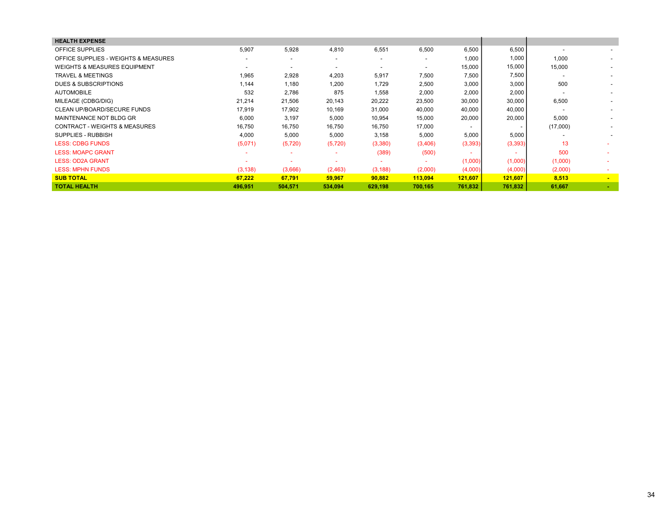| 5.907    | 5,928                    | 4,810                    | 6,551                    | 6,500                    | 6,500                    | 6,500    | $\overline{\phantom{0}}$ | $\sim$                   |
|----------|--------------------------|--------------------------|--------------------------|--------------------------|--------------------------|----------|--------------------------|--------------------------|
|          | $\overline{a}$           | $\overline{\phantom{0}}$ | $\overline{\phantom{a}}$ | $\overline{\phantom{a}}$ | 1,000                    | 1,000    | 1,000                    | $\overline{\phantom{a}}$ |
|          | $\overline{\phantom{0}}$ |                          | $\overline{\phantom{a}}$ | $\overline{\phantom{a}}$ | 15,000                   | 15,000   | 15,000                   | $\overline{\phantom{0}}$ |
| 1,965    | 2,928                    | 4,203                    | 5,917                    | 7,500                    | 7,500                    | 7,500    |                          | $\overline{\phantom{a}}$ |
| 1.144    | 1,180                    | 1,200                    | 1,729                    | 2,500                    | 3,000                    | 3,000    | 500                      | $\overline{\phantom{a}}$ |
| 532      | 2,786                    | 875                      | 1,558                    | 2,000                    | 2,000                    | 2,000    |                          |                          |
| 21,214   | 21,506                   | 20,143                   | 20,222                   | 23,500                   | 30,000                   | 30,000   | 6,500                    |                          |
| 17,919   | 17,902                   | 10,169                   | 31,000                   | 40,000                   | 40,000                   | 40,000   |                          |                          |
| 6,000    | 3,197                    | 5,000                    | 10,954                   | 15,000                   | 20,000                   | 20,000   | 5,000                    |                          |
| 16,750   | 16,750                   | 16,750                   | 16,750                   | 17,000                   | $\overline{\phantom{a}}$ |          | (17,000)                 |                          |
| 4,000    | 5,000                    | 5,000                    | 3,158                    | 5,000                    | 5,000                    | 5,000    |                          |                          |
| (5,071)  | (5,720)                  | (5,720)                  | (3,380)                  | (3,406)                  | (3, 393)                 | (3, 393) | 13                       |                          |
|          | $\overline{\phantom{a}}$ |                          | (389)                    | (500)                    |                          | $\sim$   | 500                      |                          |
|          |                          |                          | ٠                        |                          | (1,000)                  | (1,000)  | (1,000)                  |                          |
| (3, 138) | (3,666)                  | (2,463)                  | (3, 188)                 | (2,000)                  | (4,000)                  | (4,000)  | (2,000)                  |                          |
| 67,222   | 67,791                   | 59,967                   | 90,882                   | 113,094                  | 121,607                  | 121,607  | 8,513                    | $\sim$                   |
| 496,951  | 504,571                  | 534,094                  | 629,198                  | 700,165                  | 761,832                  | 761,832  | 61,667                   |                          |
|          |                          |                          |                          |                          |                          |          |                          |                          |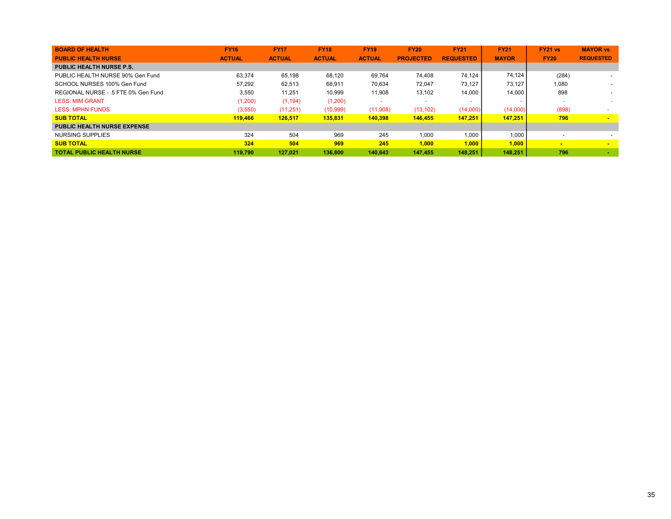| <b>BOARD OF HEALTH</b>              | <b>FY16</b>   | <b>FY17</b>   | <b>FY18</b>   | <b>FY19</b>   | <b>FY20</b>      | <b>FY21</b>      | <b>FY21</b>  | <b>FY21 vs</b> | <b>MAYOR vs</b>  |
|-------------------------------------|---------------|---------------|---------------|---------------|------------------|------------------|--------------|----------------|------------------|
| <b>PUBLIC HEALTH NURSE</b>          | <b>ACTUAL</b> | <b>ACTUAL</b> | <b>ACTUAL</b> | <b>ACTUAL</b> | <b>PROJECTED</b> | <b>REQUESTED</b> | <b>MAYOR</b> | <b>FY20</b>    | <b>REQUESTED</b> |
| <b>PUBLIC HEALTH NURSE P.S.</b>     |               |               |               |               |                  |                  |              |                |                  |
| PUBLIC HEALTH NURSE 90% Gen Fund    | 63.374        | 65,198        | 68.120        | 69.764        | 74.408           | 74.124           | 74.124       | (284)          |                  |
| SCHOOL NURSES 100% Gen Fund         | 57.292        | 62,513        | 68,911        | 70,634        | 72.047           | 73.127           | 73.127       | 1,080          |                  |
| REGIONAL NURSE - .5 FTE 0% Gen Fund | 3.550         | 11.251        | 10,999        | 11,908        | 13,102           | 14.000           | 14,000       | 898            |                  |
| <b>LESS: MIM GRANT</b>              | (1,200)       | (1, 194)      | (1,200)       |               |                  |                  |              |                |                  |
| <b>LESS: MPHN FUNDS</b>             | (3,550)       | (11,251)      | (10, 999)     | (11,908)      | (13, 102)        | (14,000)         | (14,000)     | (898)          |                  |
| <b>SUB TOTAL</b>                    | 119,466       | 126.517       | 135,831       | 140.398       | 146,455          | 147.251          | 147.251      | 796            | $\blacksquare$   |
| <b>PUBLIC HEALTH NURSE EXPENSE</b>  |               |               |               |               |                  |                  |              |                |                  |
| NURSING SUPPLIES                    | 324           | 504           | 969           | 245           | 1.000            | 1.000            | 1.000        |                |                  |
| <b>SUB TOTAL</b>                    | 324           | 504           | 969           | 245           | 1.000            | 1.000            | 1.000        | $\blacksquare$ | $\blacksquare$   |
| <b>TOTAL PUBLIC HEALTH NURSE</b>    | 119.790       | 127.021       | 136,800       | 140.643       | 147.455          | 148,251          | 148,251      | 796            |                  |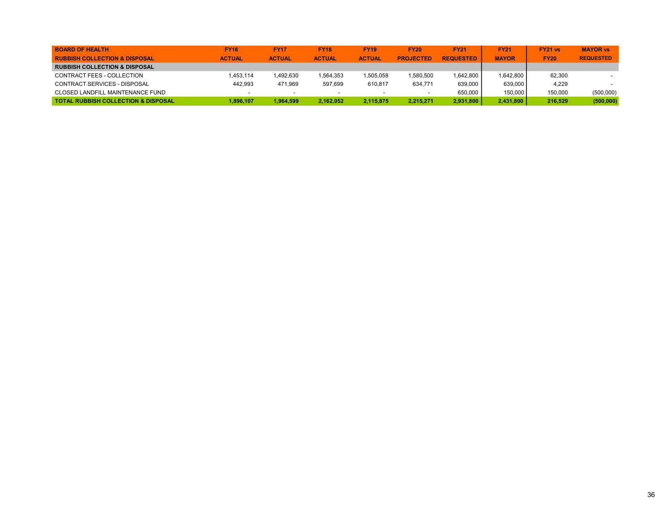| <b>BOARD OF HEALTH</b>                         | <b>FY16</b>   | <b>FY17</b>   | <b>FY18</b>   | <b>FY19</b>   | <b>FY20</b>      | <b>FY21</b>      | <b>FY21</b>  | FY21 vs     | <b>MAYOR vs</b>  |
|------------------------------------------------|---------------|---------------|---------------|---------------|------------------|------------------|--------------|-------------|------------------|
| <b>RUBBISH COLLECTION &amp; DISPOSAL</b>       | <b>ACTUAL</b> | <b>ACTUAL</b> | <b>ACTUAL</b> | <b>ACTUAL</b> | <b>PROJECTED</b> | <b>REQUESTED</b> | <b>MAYOR</b> | <b>FY20</b> | <b>REQUESTED</b> |
| <b>RUBBISH COLLECTION &amp; DISPOSAL</b>       |               |               |               |               |                  |                  |              |             |                  |
| CONTRACT FEES - COLLECTION                     | 1.453.114     | 1.492.630     | 1.564.353     | 1,505,058     | 1.580.500        | 1.642.800        | 1.642.800    | 62.300      |                  |
| CONTRACT SERVICES - DISPOSAL                   | 442.993       | 471.969       | 597.699       | 610.817       | 634.771          | 639.000          | 639,000      | 4.229       |                  |
| <b>CLOSED LANDFILL MAINTENANCE FUND</b>        |               |               |               |               |                  | 650.000          | 150.000      | 150,000     | (500,000)        |
| <b>TOTAL RUBBISH COLLECTION &amp; DISPOSAL</b> | 1.896.107     | 1.964.599     | 2.162.052     | 2.115.875     | 2.215.271        | 2,931,800        | 2.431.800    | 216.529     | (500,000)        |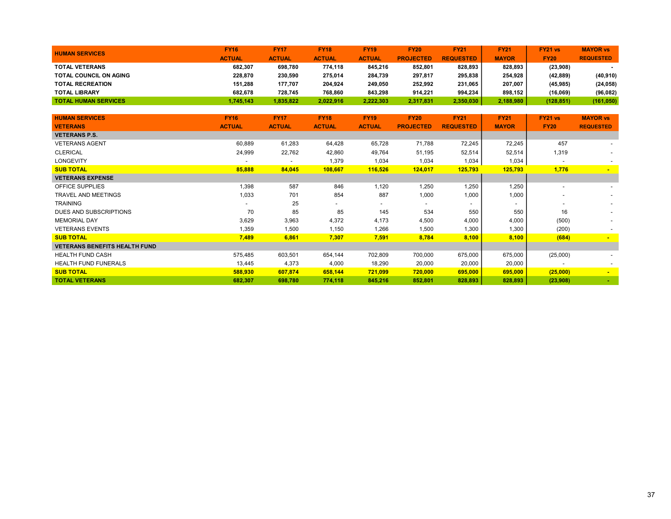| <b>HUMAN SERVICES</b>         | <b>FY16</b>   | <b>FY17</b>   | <b>FY18</b>   | <b>FY19</b>   | <b>FY20</b>      | <b>FY21</b>      | <b>FY21</b>  | <b>FY21 vs</b> | <b>MAYOR vs</b>  |
|-------------------------------|---------------|---------------|---------------|---------------|------------------|------------------|--------------|----------------|------------------|
|                               | <b>ACTUAL</b> | <b>ACTUAL</b> | <b>ACTUAL</b> | <b>ACTUAL</b> | <b>PROJECTED</b> | <b>REQUESTED</b> | <b>MAYOR</b> | <b>FY20</b>    | <b>REQUESTED</b> |
| <b>TOTAL VETERANS</b>         | 682.307       | 698.780       | 774.118       | 845.216       | 852.801          | 828.893          | 828.893      | (23,908)       |                  |
| <b>TOTAL COUNCIL ON AGING</b> | 228.870       | 230.590       | 275.014       | 284.739       | 297,817          | 295.838          | 254.928      | (42, 889)      | (40, 910)        |
| <b>TOTAL RECREATION</b>       | 151.288       | 177.707       | 204.924       | 249.050       | 252.992          | 231.065          | 207.007      | (45, 985)      | (24, 058)        |
| <b>TOTAL LIBRARY</b>          | 682.678       | 728.745       | 768.860       | 843.298       | 914.221          | 994.234          | 898.152      | (16,069)       | (96,082)         |
| <b>TOTAL HUMAN SERVICES</b>   | 1,745,143     | 1.835.822     | 2.022.916     | 2.222.303     | 2,317,831        | 2,350,030        | 2,188,980    | (128, 851)     | (161, 050)       |

| <b>HUMAN SERVICES</b>                | <b>FY16</b>   | <b>FY17</b>   | <b>FY18</b>              | <b>FY19</b>              | <b>FY20</b>      | <b>FY21</b>              | <b>FY21</b>              | <b>FY21 vs</b>           | <b>MAYOR vs</b>  |
|--------------------------------------|---------------|---------------|--------------------------|--------------------------|------------------|--------------------------|--------------------------|--------------------------|------------------|
| <b>VETERANS</b>                      | <b>ACTUAL</b> | <b>ACTUAL</b> | <b>ACTUAL</b>            | <b>ACTUAL</b>            | <b>PROJECTED</b> | <b>REQUESTED</b>         | <b>MAYOR</b>             | <b>FY20</b>              | <b>REQUESTED</b> |
| <b>VETERANS P.S.</b>                 |               |               |                          |                          |                  |                          |                          |                          |                  |
| <b>VETERANS AGENT</b>                | 60,889        | 61,283        | 64,428                   | 65,728                   | 71,788           | 72,245                   | 72,245                   | 457                      |                  |
| <b>CLERICAL</b>                      | 24,999        | 22,762        | 42,860                   | 49,764                   | 51,195           | 52,514                   | 52,514                   | 1,319                    |                  |
| LONGEVITY                            |               |               | 1,379                    | 1,034                    | 1,034            | 1,034                    | 1,034                    | $\overline{\phantom{a}}$ |                  |
| <b>SUB TOTAL</b>                     | 85,888        | 84,045        | 108,667                  | 116,526                  | 124,017          | 125,793                  | 125,793                  | 1,776                    | $\sim$           |
| <b>VETERANS EXPENSE</b>              |               |               |                          |                          |                  |                          |                          |                          |                  |
| <b>OFFICE SUPPLIES</b>               | 1,398         | 587           | 846                      | 1,120                    | 1,250            | 1,250                    | 1,250                    | $\overline{\phantom{0}}$ |                  |
| <b>TRAVEL AND MEETINGS</b>           | 1,033         | 701           | 854                      | 887                      | 1,000            | 1,000                    | 1,000                    | $\overline{\phantom{0}}$ |                  |
| <b>TRAINING</b>                      |               | 25            | $\overline{\phantom{0}}$ | $\overline{\phantom{0}}$ | $\sim$           | $\overline{\phantom{a}}$ | $\overline{\phantom{a}}$ | $\overline{\phantom{0}}$ |                  |
| DUES AND SUBSCRIPTIONS               | 70            | 85            | 85                       | 145                      | 534              | 550                      | 550                      | 16                       |                  |
| <b>MEMORIAL DAY</b>                  | 3,629         | 3,963         | 4,372                    | 4,173                    | 4,500            | 4,000                    | 4,000                    | (500)                    |                  |
| <b>VETERANS EVENTS</b>               | 1,359         | 1,500         | 1,150                    | 1,266                    | 1,500            | 1,300                    | 1,300                    | (200)                    |                  |
| <b>SUB TOTAL</b>                     | 7,489         | 6,861         | 7,307                    | 7,591                    | 8,784            | 8,100                    | 8,100                    | (684)                    | $\sim$           |
| <b>VETERANS BENEFITS HEALTH FUND</b> |               |               |                          |                          |                  |                          |                          |                          |                  |
| <b>HEALTH FUND CASH</b>              | 575,485       | 603,501       | 654,144                  | 702,809                  | 700,000          | 675,000                  | 675,000                  | (25,000)                 |                  |
| <b>HEALTH FUND FUNERALS</b>          | 13,445        | 4,373         | 4,000                    | 18,290                   | 20,000           | 20,000                   | 20,000                   | $\overline{\phantom{a}}$ |                  |
| <b>SUB TOTAL</b>                     | 588,930       | 607,874       | 658,144                  | 721,099                  | 720,000          | 695,000                  | 695,000                  | (25,000)                 | $\sim$           |
| <b>TOTAL VETERANS</b>                | 682,307       | 698,780       | 774,118                  | 845,216                  | 852,801          | 828,893                  | 828,893                  | (23,908)                 | <b>ALC</b>       |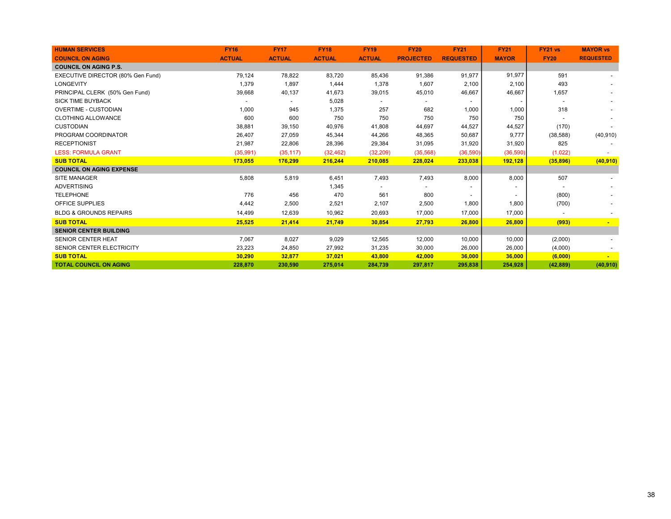| <b>HUMAN SERVICES</b>             | <b>FY16</b>   | <b>FY17</b>   | <b>FY18</b>   | <b>FY19</b>   | <b>FY20</b>      | <b>FY21</b>      | <b>FY21</b>              | <b>FY21 vs</b> | <b>MAYOR vs</b>  |
|-----------------------------------|---------------|---------------|---------------|---------------|------------------|------------------|--------------------------|----------------|------------------|
| <b>COUNCIL ON AGING</b>           | <b>ACTUAL</b> | <b>ACTUAL</b> | <b>ACTUAL</b> | <b>ACTUAL</b> | <b>PROJECTED</b> | <b>REQUESTED</b> | <b>MAYOR</b>             | <b>FY20</b>    | <b>REQUESTED</b> |
| <b>COUNCIL ON AGING P.S.</b>      |               |               |               |               |                  |                  |                          |                |                  |
| EXECUTIVE DIRECTOR (80% Gen Fund) | 79,124        | 78,822        | 83,720        | 85,436        | 91,386           | 91,977           | 91,977                   | 591            |                  |
| <b>LONGEVITY</b>                  | 1,379         | 1,897         | 1,444         | 1,378         | 1,607            | 2,100            | 2,100                    | 493            |                  |
| PRINCIPAL CLERK (50% Gen Fund)    | 39,668        | 40,137        | 41,673        | 39,015        | 45,010           | 46,667           | 46,667                   | 1,657          |                  |
| <b>SICK TIME BUYBACK</b>          |               |               | 5,028         |               |                  |                  |                          |                |                  |
| <b>OVERTIME - CUSTODIAN</b>       | 1,000         | 945           | 1,375         | 257           | 682              | 1,000            | 1,000                    | 318            |                  |
| <b>CLOTHING ALLOWANCE</b>         | 600           | 600           | 750           | 750           | 750              | 750              | 750                      |                |                  |
| <b>CUSTODIAN</b>                  | 38,881        | 39,150        | 40,976        | 41,808        | 44,697           | 44,527           | 44,527                   | (170)          |                  |
| PROGRAM COORDINATOR               | 26,407        | 27,059        | 45,344        | 44,266        | 48,365           | 50,687           | 9,777                    | (38, 588)      | (40, 910)        |
| <b>RECEPTIONIST</b>               | 21,987        | 22,806        | 28,396        | 29,384        | 31,095           | 31,920           | 31,920                   | 825            |                  |
| <b>LESS: FORMULA GRANT</b>        | (35,991)      | (35, 117)     | (32, 462)     | (32, 209)     | (35,568)         | (36, 590)        | (36, 590)                | (1,022)        |                  |
| <b>SUB TOTAL</b>                  | 173,055       | 176,299       | 216,244       | 210,085       | 228,024          | 233,038          | 192,128                  | (35, 896)      | (40, 910)        |
| <b>COUNCIL ON AGING EXPENSE</b>   |               |               |               |               |                  |                  |                          |                |                  |
| <b>SITE MANAGER</b>               | 5,808         | 5,819         | 6,451         | 7,493         | 7,493            | 8,000            | 8,000                    | 507            |                  |
| <b>ADVERTISING</b>                |               |               | 1,345         |               |                  |                  | $\overline{\phantom{a}}$ |                |                  |
| <b>TELEPHONE</b>                  | 776           | 456           | 470           | 561           | 800              |                  | $\overline{\phantom{a}}$ | (800)          |                  |
| <b>OFFICE SUPPLIES</b>            | 4,442         | 2,500         | 2,521         | 2,107         | 2,500            | 1,800            | 1,800                    | (700)          |                  |
| <b>BLDG &amp; GROUNDS REPAIRS</b> | 14,499        | 12,639        | 10,962        | 20,693        | 17,000           | 17,000           | 17,000                   |                |                  |
| <b>SUB TOTAL</b>                  | 25,525        | 21,414        | 21,749        | 30,854        | 27,793           | 26,800           | 26,800                   | (993)          |                  |
| <b>SENIOR CENTER BUILDING</b>     |               |               |               |               |                  |                  |                          |                |                  |
| <b>SENIOR CENTER HEAT</b>         | 7,067         | 8,027         | 9,029         | 12,565        | 12,000           | 10,000           | 10,000                   | (2,000)        |                  |
| SENIOR CENTER ELECTRICITY         | 23,223        | 24,850        | 27,992        | 31,235        | 30,000           | 26,000           | 26,000                   | (4,000)        |                  |
| <b>SUB TOTAL</b>                  | 30,290        | 32,877        | 37,021        | 43,800        | 42,000           | 36,000           | 36,000                   | (6,000)        |                  |
| <b>TOTAL COUNCIL ON AGING</b>     | 228,870       | 230.590       | 275.014       | 284.739       | 297.817          | 295.838          | 254.928                  | (42, 889)      | (40, 910)        |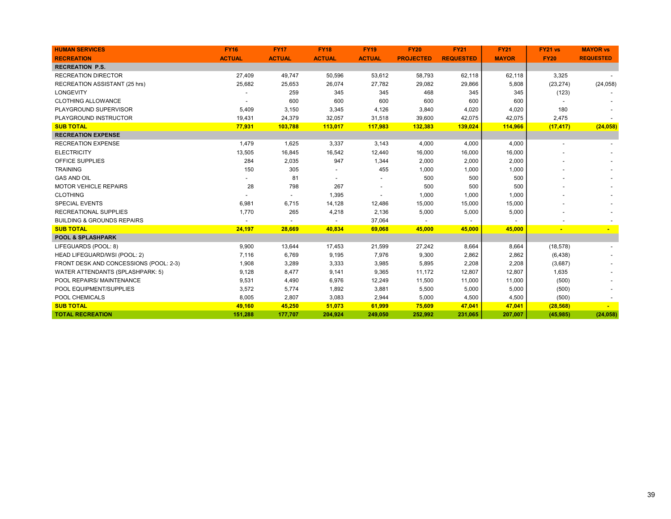| <b>HUMAN SERVICES</b>                  | <b>FY16</b>   | <b>FY17</b>   | <b>FY18</b>   | <b>FY19</b>   | <b>FY20</b>      | <b>FY21</b>      | <b>FY21</b>  | <b>FY21 vs</b> | <b>MAYOR vs</b>  |
|----------------------------------------|---------------|---------------|---------------|---------------|------------------|------------------|--------------|----------------|------------------|
| <b>RECREATION</b>                      | <b>ACTUAL</b> | <b>ACTUAL</b> | <b>ACTUAL</b> | <b>ACTUAL</b> | <b>PROJECTED</b> | <b>REQUESTED</b> | <b>MAYOR</b> | <b>FY20</b>    | <b>REQUESTED</b> |
| <b>RECREATION P.S.</b>                 |               |               |               |               |                  |                  |              |                |                  |
| <b>RECREATION DIRECTOR</b>             | 27,409        | 49,747        | 50,596        | 53,612        | 58,793           | 62,118           | 62,118       | 3,325          |                  |
| RECREATION ASSISTANT (25 hrs)          | 25,682        | 25,653        | 26,074        | 27,782        | 29,082           | 29,866           | 5,808        | (23, 274)      | (24, 058)        |
| <b>LONGEVITY</b>                       |               | 259           | 345           | 345           | 468              | 345              | 345          | (123)          |                  |
| <b>CLOTHING ALLOWANCE</b>              |               | 600           | 600           | 600           | 600              | 600              | 600          |                |                  |
| PLAYGROUND SUPERVISOR                  | 5,409         | 3,150         | 3,345         | 4,126         | 3,840            | 4,020            | 4,020        | 180            |                  |
| PLAYGROUND INSTRUCTOR                  | 19,431        | 24,379        | 32,057        | 31,518        | 39,600           | 42,075           | 42,075       | 2,475          |                  |
| <b>SUB TOTAL</b>                       | 77,931        | 103,788       | 113,017       | 117,983       | 132,383          | 139,024          | 114,966      | (17, 417)      | (24, 058)        |
| <b>RECREATION EXPENSE</b>              |               |               |               |               |                  |                  |              |                |                  |
| <b>RECREATION EXPENSE</b>              | 1,479         | 1,625         | 3,337         | 3,143         | 4,000            | 4,000            | 4,000        |                |                  |
| <b>ELECTRICITY</b>                     | 13,505        | 16,845        | 16,542        | 12,440        | 16,000           | 16,000           | 16,000       |                |                  |
| OFFICE SUPPLIES                        | 284           | 2,035         | 947           | 1,344         | 2,000            | 2,000            | 2,000        |                |                  |
| <b>TRAINING</b>                        | 150           | 305           |               | 455           | 1,000            | 1,000            | 1,000        |                |                  |
| <b>GAS AND OIL</b>                     |               | 81            |               |               | 500              | 500              | 500          |                |                  |
| <b>MOTOR VEHICLE REPAIRS</b>           | 28            | 798           | 267           |               | 500              | 500              | 500          |                |                  |
| <b>CLOTHING</b>                        |               |               | 1,395         |               | 1,000            | 1,000            | 1,000        |                |                  |
| <b>SPECIAL EVENTS</b>                  | 6,981         | 6,715         | 14,128        | 12,486        | 15,000           | 15,000           | 15,000       |                |                  |
| <b>RECREATIONAL SUPPLIES</b>           | 1,770         | 265           | 4,218         | 2,136         | 5,000            | 5,000            | 5,000        |                |                  |
| <b>BUILDING &amp; GROUNDS REPAIRS</b>  |               |               |               | 37,064        |                  |                  |              |                |                  |
| <b>SUB TOTAL</b>                       | 24,197        | 28,669        | 40,834        | 69,068        | 45,000           | 45,000           | 45,000       |                |                  |
| <b>POOL &amp; SPLASHPARK</b>           |               |               |               |               |                  |                  |              |                |                  |
| LIFEGUARDS (POOL: 8)                   | 9,900         | 13,644        | 17,453        | 21,599        | 27,242           | 8,664            | 8,664        | (18, 578)      |                  |
| <b>HEAD LIFEGUARD/WSI (POOL: 2)</b>    | 7,116         | 6,769         | 9,195         | 7,976         | 9,300            | 2,862            | 2,862        | (6, 438)       |                  |
| FRONT DESK AND CONCESSIONS (POOL: 2-3) | 1,908         | 3,289         | 3,333         | 3,985         | 5,895            | 2,208            | 2,208        | (3,687)        |                  |
| WATER ATTENDANTS (SPLASHPARK: 5)       | 9,128         | 8,477         | 9,141         | 9,365         | 11,172           | 12,807           | 12,807       | 1,635          |                  |
| POOL REPAIRS/ MAINTENANCE              | 9,531         | 4,490         | 6,976         | 12,249        | 11,500           | 11,000           | 11,000       | (500)          |                  |
| POOL EQUIPMENT/SUPPLIES                | 3,572         | 5,774         | 1,892         | 3,881         | 5,500            | 5,000            | 5,000        | (500)          |                  |
| POOL CHEMICALS                         | 8,005         | 2,807         | 3,083         | 2,944         | 5,000            | 4,500            | 4,500        | (500)          |                  |
| <b>SUB TOTAL</b>                       | 49,160        | 45,250        | 51,073        | 61,999        | 75,609           | 47,041           | 47,041       | (28, 568)      |                  |
| <b>TOTAL RECREATION</b>                | 151,288       | 177,707       | 204,924       | 249,050       | 252,992          | 231,065          | 207,007      | (45, 985)      | (24, 058)        |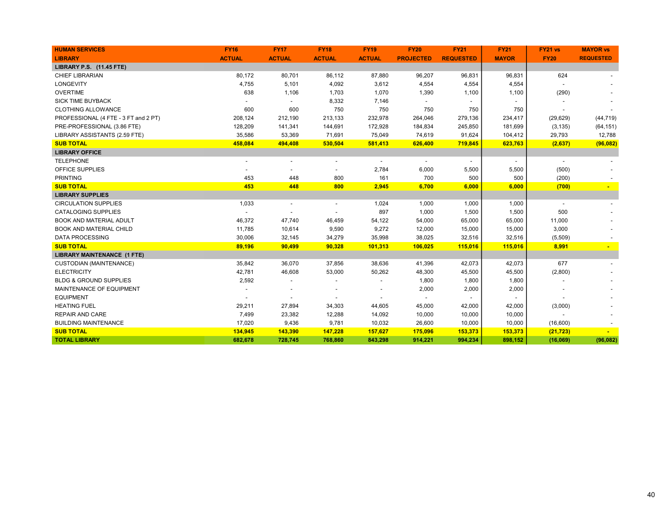| <b>HUMAN SERVICES</b>                | <b>FY16</b>   | <b>FY17</b>              | <b>FY18</b>    | <b>FY19</b>              | <b>FY20</b>              | <b>FY21</b>              | <b>FY21</b>              | FY21 vs        | <b>MAYOR vs</b>  |
|--------------------------------------|---------------|--------------------------|----------------|--------------------------|--------------------------|--------------------------|--------------------------|----------------|------------------|
| <b>LIBRARY</b>                       | <b>ACTUAL</b> | <b>ACTUAL</b>            | <b>ACTUAL</b>  | <b>ACTUAL</b>            | <b>PROJECTED</b>         | <b>REQUESTED</b>         | <b>MAYOR</b>             | <b>FY20</b>    | <b>REQUESTED</b> |
| LIBRARY P.S. (11.45 FTE)             |               |                          |                |                          |                          |                          |                          |                |                  |
| <b>CHIEF LIBRARIAN</b>               | 80,172        | 80,701                   | 86,112         | 87,880                   | 96,207                   | 96,831                   | 96,831                   | 624            |                  |
| LONGEVITY                            | 4,755         | 5,101                    | 4,092          | 3,612                    | 4,554                    | 4,554                    | 4,554                    |                |                  |
| <b>OVERTIME</b>                      | 638           | 1,106                    | 1,703          | 1,070                    | 1,390                    | 1,100                    | 1,100                    | (290)          |                  |
| <b>SICK TIME BUYBACK</b>             |               | $\overline{\phantom{a}}$ | 8,332          | 7,146                    |                          | $\overline{\phantom{a}}$ |                          |                |                  |
| <b>CLOTHING ALLOWANCE</b>            | 600           | 600                      | 750            | 750                      | 750                      | 750                      | 750                      |                |                  |
| PROFESSIONAL (4 FTE - 3 FT and 2 PT) | 208,124       | 212,190                  | 213,133        | 232,978                  | 264,046                  | 279,136                  | 234,417                  | (29, 629)      | (44, 719)        |
| PRE-PROFESSIONAL (3.86 FTE)          | 128,209       | 141,341                  | 144,691        | 172,928                  | 184,834                  | 245,850                  | 181,699                  | (3, 135)       | (64, 151)        |
| LIBRARY ASSISTANTS (2.59 FTE)        | 35,586        | 53,369                   | 71,691         | 75,049                   | 74,619                   | 91,624                   | 104,412                  | 29,793         | 12,788           |
| <b>SUB TOTAL</b>                     | 458,084       | 494,408                  | 530,504        | 581,413                  | 626,400                  | 719,845                  | 623,763                  | (2,637)        | (96, 082)        |
| <b>LIBRARY OFFICE</b>                |               |                          |                |                          |                          |                          |                          |                |                  |
| <b>TELEPHONE</b>                     |               | $\overline{\phantom{a}}$ | $\overline{a}$ | $\overline{\phantom{a}}$ | $\overline{\phantom{a}}$ | $\overline{\phantom{a}}$ | $\overline{\phantom{a}}$ | $\blacksquare$ |                  |
| OFFICE SUPPLIES                      |               |                          |                | 2,784                    | 6,000                    | 5,500                    | 5,500                    | (500)          |                  |
| <b>PRINTING</b>                      | 453           | 448                      | 800            | 161                      | 700                      | 500                      | 500                      | (200)          |                  |
| <b>SUB TOTAL</b>                     | 453           | 448                      | 800            | 2,945                    | 6,700                    | 6,000                    | 6,000                    | (700)          |                  |
| <b>LIBRARY SUPPLIES</b>              |               |                          |                |                          |                          |                          |                          |                |                  |
| <b>CIRCULATION SUPPLIES</b>          | 1,033         |                          |                | 1,024                    | 1,000                    | 1,000                    | 1,000                    |                |                  |
| <b>CATALOGING SUPPLIES</b>           |               |                          |                | 897                      | 1,000                    | 1,500                    | 1,500                    | 500            |                  |
| <b>BOOK AND MATERIAL ADULT</b>       | 46,372        | 47,740                   | 46,459         | 54,122                   | 54,000                   | 65,000                   | 65,000                   | 11,000         |                  |
| <b>BOOK AND MATERIAL CHILD</b>       | 11,785        | 10,614                   | 9,590          | 9,272                    | 12,000                   | 15,000                   | 15,000                   | 3,000          |                  |
| <b>DATA PROCESSING</b>               | 30,006        | 32,145                   | 34,279         | 35,998                   | 38,025                   | 32,516                   | 32,516                   | (5,509)        |                  |
| <b>SUB TOTAL</b>                     | 89,196        | 90,499                   | 90,328         | 101,313                  | 106,025                  | 115,016                  | 115,016                  | 8,991          |                  |
| <b>LIBRARY MAINTENANCE (1 FTE)</b>   |               |                          |                |                          |                          |                          |                          |                |                  |
| <b>CUSTODIAN (MAINTENANCE)</b>       | 35,842        | 36,070                   | 37,856         | 38,636                   | 41,396                   | 42,073                   | 42,073                   | 677            |                  |
| <b>ELECTRICITY</b>                   | 42,781        | 46,608                   | 53,000         | 50,262                   | 48,300                   | 45,500                   | 45,500                   | (2,800)        |                  |
| <b>BLDG &amp; GROUND SUPPLIES</b>    | 2,592         |                          |                |                          | 1,800                    | 1,800                    | 1,800                    |                |                  |
| MAINTENANCE OF EQUIPMENT             |               |                          |                |                          | 2,000                    | 2,000                    | 2,000                    |                |                  |
| <b>EQUIPMENT</b>                     |               |                          |                |                          |                          |                          |                          |                |                  |
| <b>HEATING FUEL</b>                  | 29,211        | 27,894                   | 34,303         | 44,605                   | 45,000                   | 42,000                   | 42,000                   | (3,000)        |                  |
| <b>REPAIR AND CARE</b>               | 7,499         | 23,382                   | 12,288         | 14,092                   | 10,000                   | 10,000                   | 10,000                   |                |                  |
| <b>BUILDING MAINTENANCE</b>          | 17,020        | 9,436                    | 9,781          | 10,032                   | 26,600                   | 10,000                   | 10,000                   | (16,600)       |                  |
| <b>SUB TOTAL</b>                     | 134,945       | 143,390                  | 147,228        | 157,627                  | 175,096                  | 153,373                  | 153,373                  | (21, 723)      |                  |
| <b>TOTAL LIBRARY</b>                 | 682,678       | 728,745                  | 768,860        | 843,298                  | 914,221                  | 994,234                  | 898,152                  | (16,069)       | (96,082)         |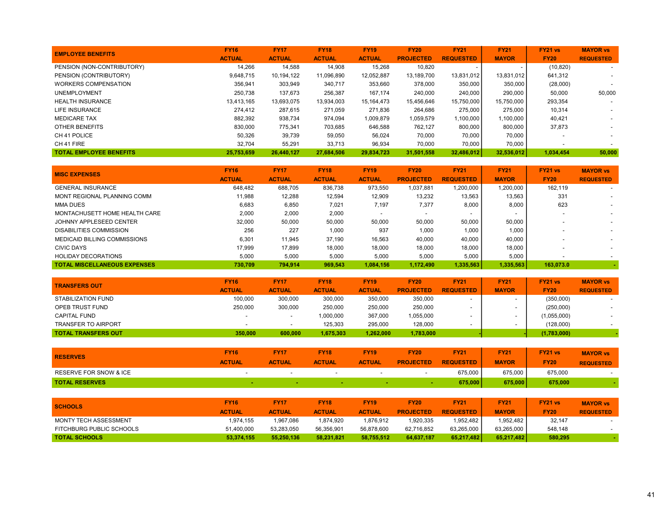| <b>EMPLOYEE BENEFITS</b>       | <b>FY16</b>   | <b>FY17</b>   | <b>FY18</b>   | <b>FY19</b>   | <b>FY20</b>      | <b>FY21</b>      | <b>FY21</b>  | FY21 vs     | <b>MAYOR vs</b>  |
|--------------------------------|---------------|---------------|---------------|---------------|------------------|------------------|--------------|-------------|------------------|
|                                | <b>ACTUAL</b> | <b>ACTUAL</b> | <b>ACTUAL</b> | <b>ACTUAL</b> | <b>PROJECTED</b> | <b>REQUESTED</b> | <b>MAYOR</b> | <b>FY20</b> | <b>REQUESTED</b> |
| PENSION (NON-CONTRIBUTORY)     | 14.266        | 14,588        | 14,908        | 15,268        | 10,820           |                  |              | (10, 820)   | $\sim$           |
| PENSION (CONTRIBUTORY)         | 9.648.715     | 10,194,122    | 11,096,890    | 12,052,887    | 13,189,700       | 13,831,012       | 13.831.012   | 641,312     |                  |
| <b>WORKERS COMPENSATION</b>    | 356,941       | 303,949       | 340,717       | 353,660       | 378,000          | 350,000          | 350,000      | (28,000)    |                  |
| <b>UNEMPLOYMENT</b>            | 250.738       | 137,673       | 256,387       | 167.174       | 240,000          | 240,000          | 290,000      | 50.000      | 50,000           |
| <b>HEALTH INSURANCE</b>        | 13.413.165    | 13.693.075    | 13.934.003    | 15, 164, 473  | 15.456.646       | 15.750.000       | 15.750.000   | 293,354     |                  |
| LIFE INSURANCE                 | 274.412       | 287,615       | 271.059       | 271.836       | 264,686          | 275,000          | 275,000      | 10,314      |                  |
| <b>MEDICARE TAX</b>            | 882,392       | 938,734       | 974,094       | 1,009,879     | 1,059,579        | 1,100,000        | 1,100,000    | 40,421      |                  |
| OTHER BENEFITS                 | 830,000       | 775,341       | 703,685       | 646,588       | 762,127          | 800,000          | 800,000      | 37,873      |                  |
| CH 41 POLICE                   | 50,326        | 39,739        | 59,050        | 56,024        | 70,000           | 70,000           | 70,000       |             |                  |
| CH 41 FIRE                     | 32,704        | 55,291        | 33,713        | 96,934        | 70,000           | 70,000           | 70,000       |             |                  |
| <b>TOTAL EMPLOYEE BENEFITS</b> | 25.753.659    | 26.440.127    | 27.684.506    | 29.834.723    | 31,501,558       | 32,486,012       | 32,536,012   | 1.034.454   | 50,000           |

| <b>MISC EXPENSES</b>                | <b>FY16</b><br><b>ACTUAL</b> | <b>FY17</b><br><b>ACTUAL</b> | <b>FY18</b><br><b>ACTUAL</b> | <b>FY19</b><br><b>ACTUAL</b> | <b>FY20</b><br><b>PROJECTED</b> | <b>FY21</b><br><b>REQUESTED</b> | <b>FY21</b><br><b>MAYOR</b> | FY21 vs<br><b>FY20</b> | <b>MAYOR vs</b><br><b>REQUESTED</b> |
|-------------------------------------|------------------------------|------------------------------|------------------------------|------------------------------|---------------------------------|---------------------------------|-----------------------------|------------------------|-------------------------------------|
| <b>GENERAL INSURANCE</b>            | 648.482                      | 688.705                      | 836.738                      | 973.550                      | 1.037.881                       | 1.200.000                       | 1.200.000                   | 162.119                | $\sim$                              |
| MONT REGIONAL PLANNING COMM         | 11.988                       | 12,288                       | 12,594                       | 12,909                       | 13,232                          | 13,563                          | 13,563                      | 331                    |                                     |
| <b>MMA DUES</b>                     | 6,683                        | 6,850                        | 7,021                        | 7,197                        | 7,377                           | 8,000                           | 8,000                       | 623                    | $\sim$                              |
| MONTACHUSETT HOME HEALTH CARE       | 2.000                        | 2,000                        | 2,000                        |                              |                                 |                                 |                             |                        |                                     |
| JOHNNY APPLESEED CENTER             | 32.000                       | 50,000                       | 50,000                       | 50,000                       | 50,000                          | 50,000                          | 50,000                      |                        |                                     |
| <b>DISABILITIES COMMISSION</b>      | 256                          | 227                          | 1,000                        | 937                          | 1,000                           | 1,000                           | 1,000                       |                        |                                     |
| MEDICAID BILLING COMMISSIONS        | 6.301                        | 11.945                       | 37.190                       | 16,563                       | 40,000                          | 40,000                          | 40.000                      |                        |                                     |
| <b>CIVIC DAYS</b>                   | 17.999                       | 17.899                       | 18,000                       | 18,000                       | 18,000                          | 18,000                          | 18,000                      |                        |                                     |
| <b>HOLIDAY DECORATIONS</b>          | 5.000                        | 5,000                        | 5,000                        | 5,000                        | 5,000                           | 5,000                           | 5,000                       |                        |                                     |
| <b>TOTAL MISCELLANEOUS EXPENSES</b> | 730.709                      | 794.914                      | 969.543                      | 1.084.156                    | 1.172.490                       | 1,335,563                       | 1,335,563                   | 163.073.0              |                                     |

| <b>TRANSFERS OUT</b>       | <b>FY16</b>   | <b>FY17</b>              | <b>FY18</b>   | <b>FY19</b>   | <b>FY20</b>      | <b>FY21</b>      | <b>FY21</b>  | <b>FY21 vs</b> | <b>MAYOR vs</b>          |
|----------------------------|---------------|--------------------------|---------------|---------------|------------------|------------------|--------------|----------------|--------------------------|
|                            | <b>ACTUAL</b> | <b>ACTUAL</b>            | <b>ACTUAL</b> | <b>ACTUAL</b> | <b>PROJECTED</b> | <b>REQUESTED</b> | <b>MAYOR</b> | <b>FY20</b>    | <b>REQUESTED</b>         |
| STABILIZATION FUND         | 100.000       | 300.000                  | 300,000       | 350.000       | 350,000          |                  |              | (350,000)      |                          |
| OPEB TRUST FUND            | 250.000       | 300.000                  | 250.000       | 250.000       | 250,000          |                  |              | (250,000)      | $\overline{\phantom{a}}$ |
| <b>CAPITAL FUND</b>        |               | $\overline{\phantom{0}}$ | 1.000.000     | 367.000       | 1,055,000        |                  |              | (1,055,000)    |                          |
| <b>TRANSFER TO AIRPORT</b> |               | $\overline{\phantom{a}}$ | 125.303       | 295.000       | 128,000          |                  |              | (128,000)      |                          |
| <b>TOTAL TRANSFERS OUT</b> | 350,000       | 600,000                  | 1.675.303     | 1.262.000     | 1,783,000        |                  |              | (1,783,000)    |                          |

| <b>RESERVES</b>                   | <b>FY16</b><br><b>ACTUAL</b> | <b>FY17</b><br><b>ACTUAL</b> | <b>FY18</b><br><b>ACTUAL</b> | <b>FY19</b><br><b>ACTUAL</b> | <b>FY20</b><br><b>PROJECTED</b> | <b>FY21</b><br><b>REQUESTED</b> | <b>FY21</b><br><b>MAYOR</b> | FY21 vs<br><b>FY20</b> | <b>MAYOR vs</b><br><b>REQUESTED</b> |
|-----------------------------------|------------------------------|------------------------------|------------------------------|------------------------------|---------------------------------|---------------------------------|-----------------------------|------------------------|-------------------------------------|
| <b>RESERVE FOR SNOW &amp; ICE</b> |                              |                              |                              | -                            | . .                             | 675,000                         | 675,000                     | 675,000                |                                     |
| <b>TOTAL RESERVES</b>             |                              |                              |                              |                              |                                 | 675,000                         | 675.000                     | 675,000                |                                     |

| <b>SCHOOLS</b>           | <b>FY16</b><br><b>ACTUAL</b> | <b>FY17</b><br><b>ACTUAL</b> | <b>FY18</b><br><b>ACTUAL</b> | <b>FY19</b><br><b>ACTUAL</b> | <b>FY20</b><br><b>PROJECTED</b> | <b>FY21</b><br><b>REQUESTED</b> | <b>FY21</b><br><b>MAYOR</b> | <b>FY21 vs</b><br><b>FY20</b> | <b>MAYOR vs</b><br><b>REQUESTED</b> |
|--------------------------|------------------------------|------------------------------|------------------------------|------------------------------|---------------------------------|---------------------------------|-----------------------------|-------------------------------|-------------------------------------|
| MONTY TECH ASSESSMENT    | 1.974.155                    | 1.967.086                    | 1.874.920                    | 1.876.912                    | 1.920.335                       | 1.952.482                       | 1.952.482                   | 32.147                        |                                     |
| FITCHBURG PUBLIC SCHOOLS | 51.400.000                   | 53,283,050                   | 56,356,901                   | 56,878,600                   | 62.716.852                      | 63.265.000                      | 63.265.000                  | 548,148                       |                                     |
| <b>TOTAL SCHOOLS</b>     | 53,374,155                   | 55.250.136                   | 58.231.821                   | 58.755.512                   | 64.637.187                      | 65,217,482                      | 65.217.482                  | 580.295                       |                                     |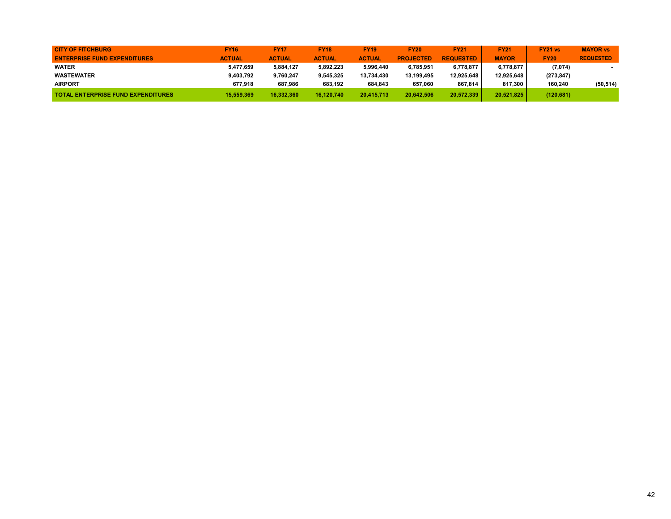| <b>CITY OF FITCHBURG</b>                  | <b>FY16</b>   | <b>FY17</b>   | <b>FY18</b>   | <b>FY19</b>   | <b>FY20</b>      | <b>FY21</b>      | <b>FY21</b>  | <b>FY21 vs</b> | <b>MAYOR vs</b>  |
|-------------------------------------------|---------------|---------------|---------------|---------------|------------------|------------------|--------------|----------------|------------------|
| <b>ENTERPRISE FUND EXPENDITURES</b>       | <b>ACTUAL</b> | <b>ACTUAL</b> | <b>ACTUAL</b> | <b>ACTUAL</b> | <b>PROJECTED</b> | <b>REQUESTED</b> | <b>MAYOR</b> | <b>FY20</b>    | <b>REQUESTED</b> |
| <b>WATER</b>                              | 5,477,659     | 5,884,127     | 5.892.223     | 5.996.440     | 6.785.951        | 6.778.877        | 6.778.877    | (7,074)        |                  |
| <b>WASTEWATER</b>                         | 9,403,792     | 9,760,247     | 9,545,325     | 13.734.430    | 13.199.495       | 12.925.648       | 12.925.648   | (273, 847)     |                  |
| <b>AIRPORT</b>                            | 677.918       | 687.986       | 683.192       | 684.843       | 657.060          | 867.814          | 817.300      | 160.240        | (50, 514)        |
| <b>TOTAL ENTERPRISE FUND EXPENDITURES</b> | 15,559,369    | 16.332.360    | 16.120.740    | 20,415,713    | 20.642.506       | 20.572.339       | 20.521.825   | (120, 681)     |                  |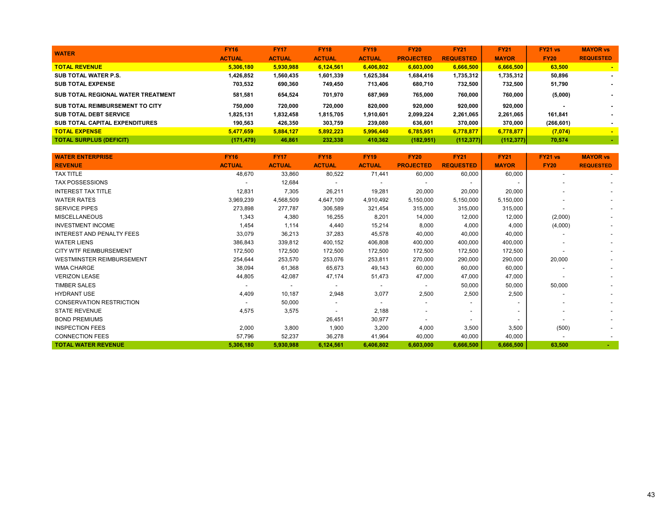| <b>WATER</b>                       | <b>FY16</b>   | <b>FY17</b>   | <b>FY18</b>   | <b>FY19</b>   | <b>FY20</b>      | <b>FY21</b>      | <b>FY21</b>  | FY21 vs     | <b>MAYOR vs</b>  |
|------------------------------------|---------------|---------------|---------------|---------------|------------------|------------------|--------------|-------------|------------------|
|                                    | <b>ACTUAL</b> | <b>ACTUAL</b> | <b>ACTUAL</b> | <b>ACTUAL</b> | <b>PROJECTED</b> | <b>REQUESTED</b> | <b>MAYOR</b> | <b>FY20</b> | <b>REQUESTED</b> |
| <b>TOTAL REVENUE</b>               | 5.306.180     | 5,930,988     | 6.124.561     | 6.406.802     | 6.603.000        | 6.666.500        | 6,666,500    | 63.500      |                  |
| SUB TOTAL WATER P.S.               | 1,426,852     | 1,560,435     | 1,601,339     | 1,625,384     | 1,684,416        | 1,735,312        | 1,735,312    | 50,896      |                  |
| <b>SUB TOTAL EXPENSE</b>           | 703,532       | 690.360       | 749.450       | 713,406       | 680,710          | 732,500          | 732.500      | 51,790      |                  |
| SUB TOTAL REGIONAL WATER TREATMENT | 581.581       | 654.524       | 701.970       | 687.969       | 765.000          | 760.000          | 760.000      | (5,000)     |                  |
| SUB TOTAL REIMBURSEMENT TO CITY    | 750.000       | 720.000       | 720.000       | 820.000       | 920.000          | 920.000          | 920.000      |             |                  |
| <b>SUB TOTAL DEBT SERVICE</b>      | 1,825,131     | 1,832,458     | 1,815,705     | 1,910,601     | 2,099,224        | 2,261,065        | 2,261,065    | 161.841     |                  |
| SUB TOTAL CAPITAL EXPENDITURES     | 190,563       | 426,350       | 303.759       | 239,080       | 636,601          | 370,000          | 370.000      | (266, 601)  |                  |
| <b>TOTAL EXPENSE</b>               | 5.477.659     | 5,884,127     | 5.892.223     | 5.996.440     | 6,785,951        | 6,778,877        | 6,778,877    | (7,074)     |                  |
| <b>TOTAL SURPLUS (DEFICIT)</b>     | (171, 479)    | 46,861        | 232.338       | 410.362       | (182, 951)       | (112, 377)       | (112, 377)   | 70,574      |                  |

| <b>WATER ENTERPRISE</b>          | <b>FY16</b>   | <b>FY17</b>              | <b>FY18</b>              | <b>FY19</b>              | <b>FY20</b>              | <b>FY21</b>              | <b>FY21</b>  | FY21 vs     | <b>MAYOR vs</b>          |
|----------------------------------|---------------|--------------------------|--------------------------|--------------------------|--------------------------|--------------------------|--------------|-------------|--------------------------|
| <b>REVENUE</b>                   | <b>ACTUAL</b> | <b>ACTUAL</b>            | <b>ACTUAL</b>            | <b>ACTUAL</b>            | <b>PROJECTED</b>         | <b>REQUESTED</b>         | <b>MAYOR</b> | <b>FY20</b> | <b>REQUESTED</b>         |
| <b>TAX TITLE</b>                 | 48,670        | 33,860                   | 80,522                   | 71,441                   | 60,000                   | 60,000                   | 60,000       |             |                          |
| <b>TAX POSSESSIONS</b>           |               | 12,684                   |                          | $\overline{\phantom{a}}$ |                          | $\overline{\phantom{0}}$ |              |             |                          |
| <b>INTEREST TAX TITLE</b>        | 12,831        | 7,305                    | 26,211                   | 19,281                   | 20,000                   | 20,000                   | 20,000       |             |                          |
| <b>WATER RATES</b>               | 3,969,239     | 4,568,509                | 4,647,109                | 4,910,492                | 5,150,000                | 5,150,000                | 5,150,000    |             |                          |
| <b>SERVICE PIPES</b>             | 273,898       | 277,787                  | 306,589                  | 321,454                  | 315,000                  | 315,000                  | 315,000      |             |                          |
| <b>MISCELLANEOUS</b>             | 1,343         | 4,380                    | 16,255                   | 8,201                    | 14,000                   | 12,000                   | 12,000       | (2,000)     | $\overline{\phantom{a}}$ |
| <b>INVESTMENT INCOME</b>         | 1,454         | 1,114                    | 4,440                    | 15,214                   | 8,000                    | 4,000                    | 4,000        | (4,000)     |                          |
| <b>INTEREST AND PENALTY FEES</b> | 33,079        | 36,213                   | 37,283                   | 45,578                   | 40,000                   | 40,000                   | 40,000       |             | $\overline{\phantom{a}}$ |
| <b>WATER LIENS</b>               | 386,843       | 339,812                  | 400,152                  | 406,808                  | 400,000                  | 400,000                  | 400,000      |             |                          |
| <b>CITY WTF REIMBURSEMENT</b>    | 172,500       | 172,500                  | 172,500                  | 172,500                  | 172,500                  | 172,500                  | 172,500      |             |                          |
| <b>WESTMINSTER REIMBURSEMENT</b> | 254,644       | 253,570                  | 253,076                  | 253,811                  | 270,000                  | 290,000                  | 290,000      | 20,000      |                          |
| <b>WMA CHARGE</b>                | 38,094        | 61,368                   | 65,673                   | 49,143                   | 60,000                   | 60,000                   | 60,000       |             |                          |
| <b>VERIZON LEASE</b>             | 44,805        | 42,087                   | 47,174                   | 51,473                   | 47,000                   | 47,000                   | 47,000       |             |                          |
| <b>TIMBER SALES</b>              |               | $\overline{\phantom{a}}$ | $\overline{\phantom{a}}$ | $\overline{\phantom{a}}$ | $\overline{a}$           | 50,000                   | 50,000       | 50,000      |                          |
| <b>HYDRANT USE</b>               | 4,409         | 10,187                   | 2,948                    | 3,077                    | 2,500                    | 2,500                    | 2,500        |             |                          |
| <b>CONSERVATION RESTRICTION</b>  |               | 50,000                   | $\overline{\phantom{a}}$ | $\overline{\phantom{a}}$ | $\blacksquare$           |                          |              |             |                          |
| <b>STATE REVENUE</b>             | 4,575         | 3,575                    |                          | 2,188                    | $\overline{\phantom{a}}$ | $\overline{\phantom{a}}$ |              |             |                          |
| <b>BOND PREMIUMS</b>             |               |                          | 26,451                   | 30,977                   | $\overline{\phantom{a}}$ | $\overline{\phantom{a}}$ |              |             |                          |
| <b>INSPECTION FEES</b>           | 2,000         | 3,800                    | 1,900                    | 3,200                    | 4,000                    | 3,500                    | 3,500        | (500)       |                          |
| <b>CONNECTION FEES</b>           | 57,796        | 52,237                   | 36,278                   | 41,964                   | 40,000                   | 40,000                   | 40,000       |             |                          |
| <b>TOTAL WATER REVENUE</b>       | 5,306,180     | 5,930,988                | 6,124,561                | 6,406,802                | 6,603,000                | 6,666,500                | 6,666,500    | 63,500      |                          |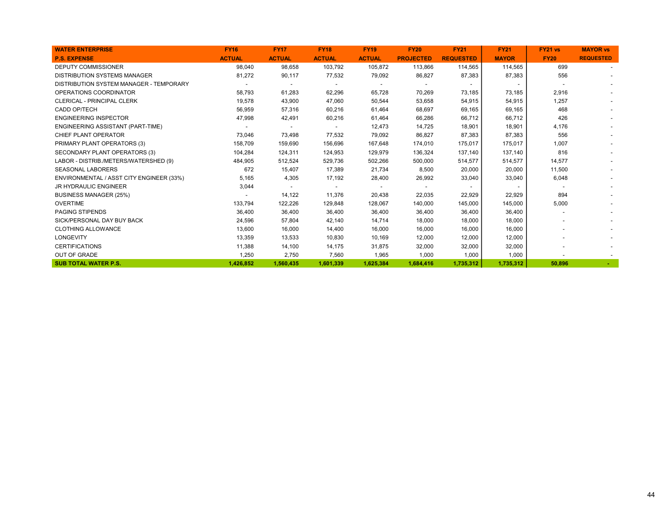| <b>WATER ENTERPRISE</b>                  | <b>FY16</b>   | <b>FY17</b>    | <b>FY18</b>    | <b>FY19</b>              | <b>FY20</b>      | <b>FY21</b>      | <b>FY21</b>  | FY21 vs     | <b>MAYOR vs</b>  |
|------------------------------------------|---------------|----------------|----------------|--------------------------|------------------|------------------|--------------|-------------|------------------|
| <b>P.S. EXPENSE</b>                      | <b>ACTUAL</b> | <b>ACTUAL</b>  | <b>ACTUAL</b>  | <b>ACTUAL</b>            | <b>PROJECTED</b> | <b>REQUESTED</b> | <b>MAYOR</b> | <b>FY20</b> | <b>REQUESTED</b> |
| <b>DEPUTY COMMISSIONER</b>               | 98,040        | 98,658         | 103,792        | 105,872                  | 113,866          | 114,565          | 114,565      | 699         |                  |
| <b>DISTRIBUTION SYSTEMS MANAGER</b>      | 81,272        | 90,117         | 77,532         | 79,092                   | 86,827           | 87,383           | 87,383       | 556         |                  |
| DISTRIBUTION SYSTEM MANAGER - TEMPORARY  |               | $\overline{a}$ |                | $\overline{\phantom{a}}$ |                  |                  |              |             |                  |
| OPERATIONS COORDINATOR                   | 58,793        | 61,283         | 62,296         | 65,728                   | 70,269           | 73,185           | 73,185       | 2,916       |                  |
| <b>CLERICAL - PRINCIPAL CLERK</b>        | 19,578        | 43,900         | 47,060         | 50,544                   | 53,658           | 54,915           | 54,915       | 1,257       |                  |
| CADD OP/TECH                             | 56,959        | 57,316         | 60,216         | 61,464                   | 68,697           | 69,165           | 69,165       | 468         |                  |
| <b>ENGINEERING INSPECTOR</b>             | 47,998        | 42,491         | 60,216         | 61,464                   | 66,286           | 66,712           | 66,712       | 426         |                  |
| ENGINEERING ASSISTANT (PART-TIME)        |               |                |                | 12,473                   | 14,725           | 18,901           | 18,901       | 4,176       |                  |
| CHIEF PLANT OPERATOR                     | 73,046        | 73,498         | 77,532         | 79,092                   | 86,827           | 87.383           | 87,383       | 556         |                  |
| PRIMARY PLANT OPERATORS (3)              | 158,709       | 159,690        | 156,696        | 167,648                  | 174,010          | 175,017          | 175,017      | 1,007       |                  |
| SECONDARY PLANT OPERATORS (3)            | 104,284       | 124,311        | 124,953        | 129,979                  | 136,324          | 137.140          | 137,140      | 816         |                  |
| LABOR - DISTRIB./METERS/WATERSHED (9)    | 484,905       | 512,524        | 529,736        | 502,266                  | 500,000          | 514,577          | 514,577      | 14,577      |                  |
| <b>SEASONAL LABORERS</b>                 | 672           | 15,407         | 17,389         | 21,734                   | 8,500            | 20,000           | 20,000       | 11,500      |                  |
| ENVIRONMENTAL / ASST CITY ENGINEER (33%) | 5,165         | 4,305          | 17,192         | 28,400                   | 26,992           | 33,040           | 33,040       | 6,048       |                  |
| <b>JR HYDRAULIC ENGINEER</b>             | 3,044         |                | $\blacksquare$ | $\overline{\phantom{a}}$ |                  | $\overline{a}$   |              |             |                  |
| <b>BUSINESS MANAGER (25%)</b>            |               | 14,122         | 11,376         | 20,438                   | 22,035           | 22,929           | 22,929       | 894         |                  |
| <b>OVERTIME</b>                          | 133,794       | 122,226        | 129,848        | 128,067                  | 140,000          | 145,000          | 145,000      | 5,000       |                  |
| <b>PAGING STIPENDS</b>                   | 36,400        | 36,400         | 36,400         | 36,400                   | 36,400           | 36,400           | 36,400       |             |                  |
| SICK/PERSONAL DAY BUY BACK               | 24,596        | 57,804         | 42,140         | 14,714                   | 18,000           | 18,000           | 18,000       |             |                  |
| <b>CLOTHING ALLOWANCE</b>                | 13,600        | 16,000         | 14,400         | 16,000                   | 16,000           | 16,000           | 16,000       |             |                  |
| LONGEVITY                                | 13,359        | 13,533         | 10,830         | 10,169                   | 12,000           | 12,000           | 12,000       |             |                  |
| <b>CERTIFICATIONS</b>                    | 11,388        | 14,100         | 14,175         | 31,875                   | 32,000           | 32,000           | 32,000       |             |                  |
| <b>OUT OF GRADE</b>                      | 1,250         | 2,750          | 7,560          | 1,965                    | 1,000            | 1,000            | 1,000        |             |                  |
| <b>SUB TOTAL WATER P.S.</b>              | 1,426,852     | 1,560,435      | 1,601,339      | 1,625,384                | 1,684,416        | 1,735,312        | 1,735,312    | 50,896      |                  |
|                                          |               |                |                |                          |                  |                  |              |             |                  |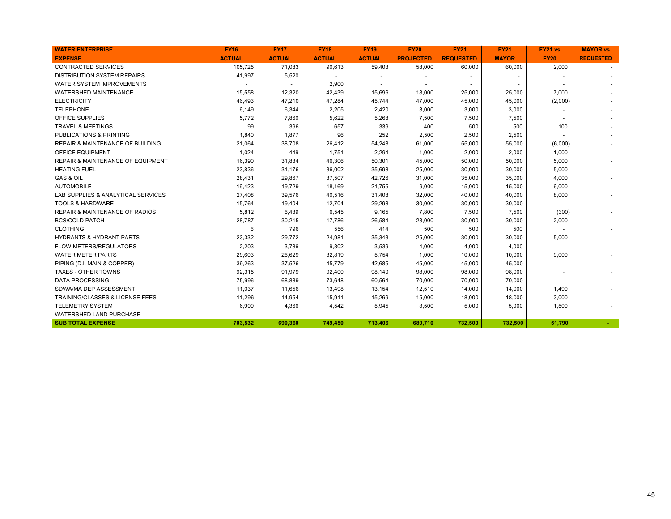| <b>WATER ENTERPRISE</b>                      | <b>FY16</b>   | <b>FY17</b>              | <b>FY18</b>              | <b>FY19</b>   | <b>FY20</b>              | <b>FY21</b>              | <b>FY21</b>  | FY21 vs                  | <b>MAYOR vs</b>  |
|----------------------------------------------|---------------|--------------------------|--------------------------|---------------|--------------------------|--------------------------|--------------|--------------------------|------------------|
| <b>EXPENSE</b>                               | <b>ACTUAL</b> | <b>ACTUAL</b>            | <b>ACTUAL</b>            | <b>ACTUAL</b> | <b>PROJECTED</b>         | <b>REQUESTED</b>         | <b>MAYOR</b> | <b>FY20</b>              | <b>REQUESTED</b> |
| <b>CONTRACTED SERVICES</b>                   | 105,725       | 71,083                   | 90,613                   | 59,403        | 58,000                   | 60,000                   | 60,000       | 2,000                    |                  |
| <b>DISTRIBUTION SYSTEM REPAIRS</b>           | 41,997        | 5,520                    | $\overline{\phantom{a}}$ |               |                          |                          |              |                          |                  |
| <b>WATER SYSTEM IMPROVEMENTS</b>             |               | $\overline{\phantom{a}}$ | 2,900                    |               | $\overline{\phantom{a}}$ | $\overline{\phantom{a}}$ |              |                          |                  |
| <b>WATERSHED MAINTENANCE</b>                 | 15,558        | 12,320                   | 42,439                   | 15,696        | 18,000                   | 25,000                   | 25,000       | 7,000                    |                  |
| <b>ELECTRICITY</b>                           | 46,493        | 47,210                   | 47,284                   | 45,744        | 47,000                   | 45,000                   | 45,000       | (2,000)                  |                  |
| <b>TELEPHONE</b>                             | 6,149         | 6,344                    | 2,205                    | 2,420         | 3,000                    | 3,000                    | 3,000        |                          |                  |
| OFFICE SUPPLIES                              | 5,772         | 7,860                    | 5,622                    | 5,268         | 7,500                    | 7,500                    | 7,500        |                          |                  |
| <b>TRAVEL &amp; MEETINGS</b>                 | 99            | 396                      | 657                      | 339           | 400                      | 500                      | 500          | 100                      |                  |
| <b>PUBLICATIONS &amp; PRINTING</b>           | 1,840         | 1,877                    | 96                       | 252           | 2,500                    | 2,500                    | 2,500        |                          |                  |
| <b>REPAIR &amp; MAINTENANCE OF BUILDING</b>  | 21,064        | 38,708                   | 26,412                   | 54,248        | 61,000                   | 55,000                   | 55,000       | (6,000)                  |                  |
| OFFICE EQUIPMENT                             | 1,024         | 449                      | 1,751                    | 2,294         | 1,000                    | 2,000                    | 2,000        | 1,000                    |                  |
| <b>REPAIR &amp; MAINTENANCE OF EQUIPMENT</b> | 16,390        | 31,834                   | 46,306                   | 50,301        | 45,000                   | 50,000                   | 50,000       | 5,000                    |                  |
| <b>HEATING FUEL</b>                          | 23,836        | 31,176                   | 36,002                   | 35,698        | 25,000                   | 30,000                   | 30,000       | 5,000                    |                  |
| <b>GAS &amp; OIL</b>                         | 28,431        | 29,867                   | 37,507                   | 42,726        | 31,000                   | 35,000                   | 35,000       | 4,000                    |                  |
| <b>AUTOMOBILE</b>                            | 19,423        | 19,729                   | 18,169                   | 21,755        | 9,000                    | 15,000                   | 15,000       | 6,000                    |                  |
| LAB SUPPLIES & ANALYTICAL SERVICES           | 27,408        | 39,576                   | 40,516                   | 31,408        | 32,000                   | 40,000                   | 40,000       | 8,000                    |                  |
| <b>TOOLS &amp; HARDWARE</b>                  | 15,764        | 19,404                   | 12,704                   | 29,298        | 30,000                   | 30,000                   | 30,000       | $\overline{\phantom{a}}$ |                  |
| <b>REPAIR &amp; MAINTENANCE OF RADIOS</b>    | 5,812         | 6,439                    | 6,545                    | 9,165         | 7,800                    | 7,500                    | 7,500        | (300)                    |                  |
| <b>BCS/COLD PATCH</b>                        | 28,787        | 30,215                   | 17,786                   | 26,584        | 28,000                   | 30,000                   | 30,000       | 2,000                    |                  |
| <b>CLOTHING</b>                              | 6             | 796                      | 556                      | 414           | 500                      | 500                      | 500          |                          |                  |
| <b>HYDRANTS &amp; HYDRANT PARTS</b>          | 23,332        | 29,772                   | 24,981                   | 35,343        | 25,000                   | 30,000                   | 30,000       | 5,000                    |                  |
| FLOW METERS/REGULATORS                       | 2,203         | 3,786                    | 9,802                    | 3,539         | 4,000                    | 4,000                    | 4,000        |                          |                  |
| <b>WATER METER PARTS</b>                     | 29,603        | 26,629                   | 32,819                   | 5,754         | 1,000                    | 10,000                   | 10,000       | 9,000                    |                  |
| PIPING (D.I. MAIN & COPPER)                  | 39,263        | 37,526                   | 45,779                   | 42,685        | 45,000                   | 45,000                   | 45,000       |                          |                  |
| <b>TAXES - OTHER TOWNS</b>                   | 92,315        | 91,979                   | 92,400                   | 98,140        | 98,000                   | 98,000                   | 98,000       |                          |                  |
| <b>DATA PROCESSING</b>                       | 75,996        | 68,889                   | 73,648                   | 60,564        | 70,000                   | 70,000                   | 70,000       |                          |                  |
| SDWA/MA DEP ASSESSMENT                       | 11,037        | 11,656                   | 13,498                   | 13,154        | 12,510                   | 14,000                   | 14,000       | 1,490                    |                  |
| <b>TRAINING/CLASSES &amp; LICENSE FEES</b>   | 11,296        | 14,954                   | 15,911                   | 15,269        | 15,000                   | 18,000                   | 18,000       | 3,000                    |                  |
| <b>TELEMETRY SYSTEM</b>                      | 6,909         | 4,366                    | 4,542                    | 5,945         | 3,500                    | 5,000                    | 5,000        | 1,500                    |                  |
| <b>WATERSHED LAND PURCHASE</b>               |               |                          |                          |               |                          |                          |              |                          |                  |
| <b>SUB TOTAL EXPENSE</b>                     | 703,532       | 690,360                  | 749,450                  | 713,406       | 680,710                  | 732,500                  | 732,500      | 51,790                   | $\sim$           |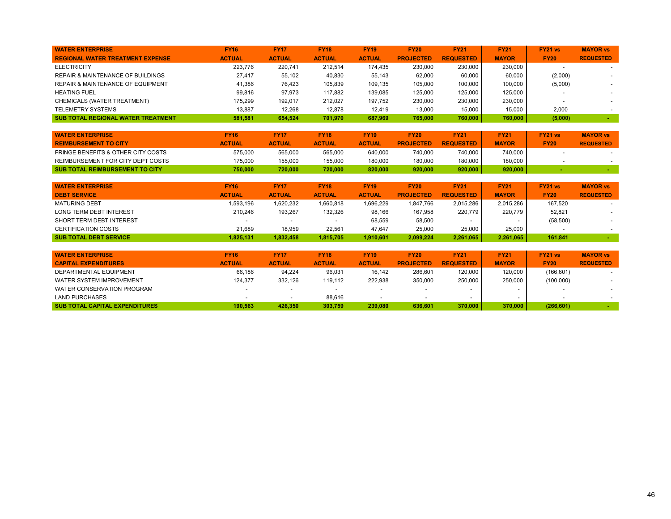| <b>WATER ENTERPRISE</b>                      | <b>FY16</b>   | <b>FY17</b>   | <b>FY18</b>   | <b>FY19</b>   | <b>FY20</b>      | <b>FY21</b>      | <b>FY21</b>  | FY21 vs     | <b>MAYOR vs</b>          |
|----------------------------------------------|---------------|---------------|---------------|---------------|------------------|------------------|--------------|-------------|--------------------------|
| <b>REGIONAL WATER TREATMENT EXPENSE</b>      | <b>ACTUAL</b> | <b>ACTUAL</b> | <b>ACTUAL</b> | <b>ACTUAL</b> | <b>PROJECTED</b> | <b>REQUESTED</b> | <b>MAYOR</b> | <b>FY20</b> | <b>REQUESTED</b>         |
| <b>ELECTRICITY</b>                           | 223.776       | 220.741       | 212.514       | 174.435       | 230.000          | 230.000          | 230.000      |             |                          |
| REPAIR & MAINTENANCE OF BUILDINGS            | 27.417        | 55.102        | 40,830        | 55.143        | 62.000           | 60.000           | 60.000       | (2,000)     |                          |
| <b>REPAIR &amp; MAINTENANCE OF EQUIPMENT</b> | 41.386        | 76,423        | 105.839       | 109.135       | 105.000          | 100.000          | 100.000      | (5,000)     | $\overline{\phantom{0}}$ |
| <b>HEATING FUEL</b>                          | 99.816        | 97.973        | 117.882       | 139.085       | 125.000          | 125.000          | 125.000      |             | $\overline{\phantom{a}}$ |
| CHEMICALS (WATER TREATMENT)                  | 175.299       | 192.017       | 212.027       | 197.752       | 230,000          | 230.000          | 230.000      |             | $\overline{\phantom{0}}$ |
| TELEMETRY SYSTEMS                            | 13.887        | 12.268        | 12.878        | 12.419        | 13,000           | 15.000           | 15.000       | 2.000       |                          |
| <b>SUB TOTAL REGIONAL WATER TREATMENT</b>    | 581.581       | 654.524       | 701.970       | 687.969       | 765,000          | 760.000          | 760.000      | (5,000)     |                          |

| <b>WATER ENTERPRISE</b>                       | <b>FY16</b>   | <b>FY17</b>   | <b>FY18</b>   | <b>FY19</b>   | <b>FY20</b>      | <b>FY21</b>      | <b>FY21</b>  | FY21 vs     | <b>MAYOR vs</b>  |
|-----------------------------------------------|---------------|---------------|---------------|---------------|------------------|------------------|--------------|-------------|------------------|
| <b>REIMBURSEMENT TO CITY</b>                  | <b>ACTUAL</b> | <b>ACTUAL</b> | <b>ACTUAL</b> | <b>ACTUAL</b> | <b>PROJECTED</b> | <b>REQUESTED</b> | <b>MAYOR</b> | <b>FY20</b> | <b>REQUESTED</b> |
| <b>FRINGE BENEFITS &amp; OTHER CITY COSTS</b> | 575.000       | 565.000       | 565.000       | 640.000       | 740.000          | 740.000          | 740.000      |             |                  |
| REIMBURSEMENT FOR CITY DEPT COSTS             | 175.000       | 155.000       | 155.000       | 180,000       | 180.000          | 180.000          | 180.000      |             |                  |
| <b>SUB TOTAL REIMBURSEMENT TO CITY</b>        | 750.000       | 720,000       | 720.000       | 820,000       | 920.000          | 920.000          | 920.000      |             |                  |

| <b>WATER ENTERPRISE</b>       | <b>FY16</b>   | <b>FY17</b>              | <b>FY18</b>   | <b>FY19</b>   | <b>FY20</b>      | <b>FY21</b>      | <b>FY21</b>  | FY21 vs     | <b>MAYOR vs</b>          |
|-------------------------------|---------------|--------------------------|---------------|---------------|------------------|------------------|--------------|-------------|--------------------------|
| <b>DEBT SERVICE</b>           | <b>ACTUAL</b> | <b>ACTUAL</b>            | <b>ACTUAL</b> | <b>ACTUAL</b> | <b>PROJECTED</b> | <b>REQUESTED</b> | <b>MAYOR</b> | <b>FY20</b> | <b>REQUESTED</b>         |
| <b>MATURING DEBT</b>          | 1,593,196     | 1,620,232                | 1,660,818     | 1,696,229     | 1.847.766        | 2,015,286        | 2,015,286    | 167,520     |                          |
| LONG TERM DEBT INTEREST       | 210.246       | 193.267                  | 132.326       | 98.166        | 167.958          | 220.779          | 220.779      | 52,821      | $\overline{\phantom{0}}$ |
| SHORT TERM DEBT INTEREST      |               | $\overline{\phantom{0}}$ |               | 68.559        | 58,500           |                  |              | (58, 500)   | $\overline{\phantom{a}}$ |
| <b>CERTIFICATION COSTS</b>    | 21.689        | 18.959                   | 22.561        | 47.647        | 25.000           | 25.000           | 25.000       |             |                          |
| <b>SUB TOTAL DEBT SERVICE</b> | 1.825.131     | 1.832.458                | 1.815.705     | 1.910.601     | 2.099.224        | 2.261.065        | 2.261.065    | 161.841     |                          |

| <b>WATER ENTERPRISE</b>               | <b>FY16</b>              | <b>FY17</b>              | <b>FY18</b>   | <b>FY19</b>   | <b>FY20</b>              | <b>FY21</b>      | <b>FY21</b>  | FY21 vs     | <b>MAYOR vs</b>          |
|---------------------------------------|--------------------------|--------------------------|---------------|---------------|--------------------------|------------------|--------------|-------------|--------------------------|
| <b>CAPITAL EXPENDITURES</b>           | <b>ACTUAL</b>            | <b>ACTUAL</b>            | <b>ACTUAL</b> | <b>ACTUAL</b> | <b>PROJECTED</b>         | <b>REQUESTED</b> | <b>MAYOR</b> | <b>FY20</b> | <b>REQUESTED</b>         |
| DEPARTMENTAL EQUIPMENT                | 66,186                   | 94,224                   | 96,031        | 16.142        | 286,601                  | 120.000          | 120.000      | (166, 601)  | $\overline{\phantom{0}}$ |
| WATER SYSTEM IMPROVEMENT              | 124.377                  | 332.126                  | 119.112       | 222.938       | 350,000                  | 250,000          | 250.000      | (100,000)   | $\overline{\phantom{0}}$ |
| WATER CONSERVATION PROGRAM            | $\overline{\phantom{a}}$ |                          | -             |               | $\overline{\phantom{0}}$ |                  |              |             |                          |
| <b>LAND PURCHASES</b>                 |                          | $\overline{\phantom{0}}$ | 88.616        |               |                          |                  |              |             |                          |
| <b>SUB TOTAL CAPITAL EXPENDITURES</b> | 190.563                  | 426.350                  | 303.759       | 239,080       | 636.601                  | 370.000          | 370.000      | (266, 601)  |                          |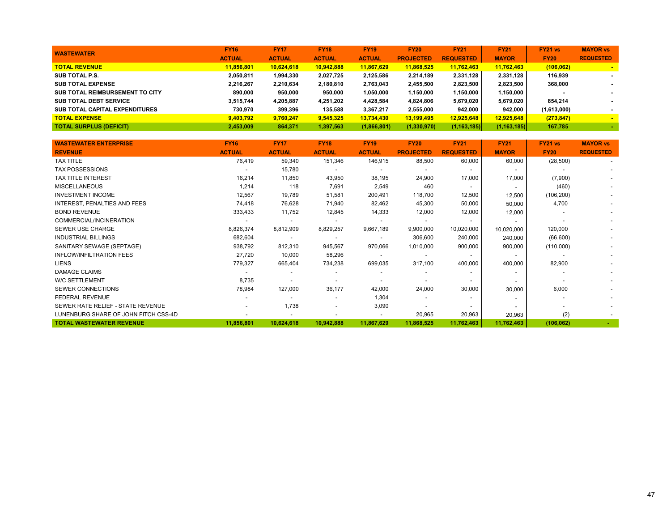| <b>WASTEWATER</b>                     | <b>FY16</b>   | <b>FY17</b>   | <b>FY18</b>   | <b>FY19</b>   | <b>FY20</b>      | <b>FY21</b>      | <b>FY21</b>   | FY21 vs     | <b>MAYOR vs</b>  |
|---------------------------------------|---------------|---------------|---------------|---------------|------------------|------------------|---------------|-------------|------------------|
|                                       | <b>ACTUAL</b> | <b>ACTUAL</b> | <b>ACTUAL</b> | <b>ACTUAL</b> | <b>PROJECTED</b> | <b>REQUESTED</b> | <b>MAYOR</b>  | <b>FY20</b> | <b>REQUESTED</b> |
| <b>TOTAL REVENUE</b>                  | 11.856.801    | 10.624.618    | 10,942,888    | 11.867.629    | 11.868.525       | 11,762,463       | 11,762,463    | (106, 062)  |                  |
| SUB TOTAL P.S.                        | 2,050,811     | 1,994,330     | 2,027,725     | 2,125,586     | 2,214,189        | 2,331,128        | 2,331,128     | 116.939     |                  |
| <b>SUB TOTAL EXPENSE</b>              | 2,216,267     | 2,210,634     | 2,180,810     | 2,763,043     | 2,455,500        | 2,823,500        | 2,823,500     | 368,000     |                  |
| SUB TOTAL REIMBURSEMENT TO CITY       | 890.000       | 950,000       | 950,000       | 1,050,000     | 1,150,000        | 1,150,000        | 1,150,000     |             |                  |
| <b>SUB TOTAL DEBT SERVICE</b>         | 3,515,744     | 4,205,887     | 4,251,202     | 4,428,584     | 4,824,806        | 5,679,020        | 5,679,020     | 854.214     |                  |
| <b>SUB TOTAL CAPITAL EXPENDITURES</b> | 730.970       | 399,396       | 135.588       | 3,367,217     | 2,555,000        | 942.000          | 942.000       | (1,613,000) |                  |
| <b>TOTAL EXPENSE</b>                  | 9.403.792     | 9,760,247     | 9,545,325     | 13,734,430    | 13.199.495       | 12,925,648       | 12.925.648    | (273, 847)  |                  |
| <b>TOTAL SURPLUS (DEFICIT)</b>        | 2,453,009     | 864,371       | 1,397,563     | (1,866,801)   | (1,330,970)      | (1, 163, 185)    | (1, 163, 185) | 167,785     |                  |

| <b>WASTEWATER ENTERPRISE</b>         | <b>FY16</b>   | <b>FY17</b>              | <b>FY18</b>              | <b>FY19</b>              | <b>FY20</b>              | <b>FY21</b>              | <b>FY21</b>              | FY21 vs                  | <b>MAYOR vs</b>  |
|--------------------------------------|---------------|--------------------------|--------------------------|--------------------------|--------------------------|--------------------------|--------------------------|--------------------------|------------------|
| <b>REVENUE</b>                       | <b>ACTUAL</b> | <b>ACTUAL</b>            | <b>ACTUAL</b>            | <b>ACTUAL</b>            | <b>PROJECTED</b>         | <b>REQUESTED</b>         | <b>MAYOR</b>             | <b>FY20</b>              | <b>REQUESTED</b> |
| <b>TAX TITLE</b>                     | 76,419        | 59,340                   | 151,346                  | 146,915                  | 88,500                   | 60,000                   | 60,000                   | (28, 500)                |                  |
| <b>TAX POSSESSIONS</b>               |               | 15,780                   | $\overline{\phantom{a}}$ | $\overline{\phantom{a}}$ | $\overline{\phantom{a}}$ | $\overline{\phantom{a}}$ | $\overline{\phantom{0}}$ |                          |                  |
| <b>TAX TITLE INTEREST</b>            | 16,214        | 11,850                   | 43,950                   | 38,195                   | 24,900                   | 17,000                   | 17,000                   | (7,900)                  |                  |
| <b>MISCELLANEOUS</b>                 | 1,214         | 118                      | 7,691                    | 2,549                    | 460                      | $\overline{a}$           | $\overline{\phantom{0}}$ | (460)                    |                  |
| <b>INVESTMENT INCOME</b>             | 12,567        | 19,789                   | 51,581                   | 200,491                  | 118,700                  | 12,500                   | 12,500                   | (106, 200)               |                  |
| <b>INTEREST, PENALTIES AND FEES</b>  | 74,418        | 76,628                   | 71,940                   | 82,462                   | 45,300                   | 50,000                   | 50,000                   | 4,700                    |                  |
| <b>BOND REVENUE</b>                  | 333,433       | 11,752                   | 12,845                   | 14,333                   | 12,000                   | 12,000                   | 12,000                   |                          |                  |
| COMMERCIAL/INCINERATION              |               | $\overline{\phantom{0}}$ | $\overline{\phantom{a}}$ | $\overline{\phantom{a}}$ | $\blacksquare$           | $\overline{a}$           | $\overline{\phantom{a}}$ |                          |                  |
| SEWER USE CHARGE                     | 8,826,374     | 8,812,909                | 8,829,257                | 9,667,189                | 9,900,000                | 10,020,000               | 10,020,000               | 120,000                  |                  |
| <b>INDUSTRIAL BILLINGS</b>           | 682,604       | $\overline{\phantom{a}}$ | $\overline{\phantom{a}}$ | $\overline{\phantom{a}}$ | 306,600                  | 240,000                  | 240,000                  | (66, 600)                |                  |
| SANITARY SEWAGE (SEPTAGE)            | 938,792       | 812,310                  | 945,567                  | 970,066                  | 1,010,000                | 900,000                  | 900,000                  | (110,000)                |                  |
| <b>INFLOW/INFILTRATION FEES</b>      | 27,720        | 10,000                   | 58,296                   | $\overline{\phantom{a}}$ | $\overline{\phantom{a}}$ | $\overline{\phantom{0}}$ | $\sim$                   | $\overline{\phantom{a}}$ |                  |
| <b>LIENS</b>                         | 779,327       | 665,404                  | 734,238                  | 699,035                  | 317,100                  | 400,000                  | 400,000                  | 82,900                   |                  |
| <b>DAMAGE CLAIMS</b>                 |               | $\overline{\phantom{a}}$ | $\overline{\phantom{a}}$ |                          | $\overline{\phantom{a}}$ | $\overline{a}$           | $\overline{\phantom{a}}$ |                          |                  |
| <b>W/C SETTLEMENT</b>                | 8,735         |                          | $\overline{a}$           |                          |                          |                          | $\overline{\phantom{0}}$ |                          |                  |
| SEWER CONNECTIONS                    | 78,984        | 127,000                  | 36,177                   | 42,000                   | 24,000                   | 30,000                   | 30,000                   | 6,000                    |                  |
| <b>FEDERAL REVENUE</b>               |               |                          | $\overline{\phantom{a}}$ | 1,304                    |                          | $\overline{\phantom{0}}$ | $\blacksquare$           |                          |                  |
| SEWER RATE RELIEF - STATE REVENUE    |               | 1,738                    | $\overline{a}$           | 3,090                    |                          |                          | $\blacksquare$           |                          |                  |
| LUNENBURG SHARE OF JOHN FITCH CSS-4D |               | $\overline{\phantom{a}}$ | $\overline{\phantom{a}}$ | $\overline{\phantom{a}}$ | 20,965                   | 20,963                   | 20,963                   | (2)                      |                  |
| <b>TOTAL WASTEWATER REVENUE</b>      | 11,856,801    | 10,624,618               | 10,942,888               | 11,867,629               | 11,868,525               | 11,762,463               | 11,762,463               | (106, 062)               | $\sim$           |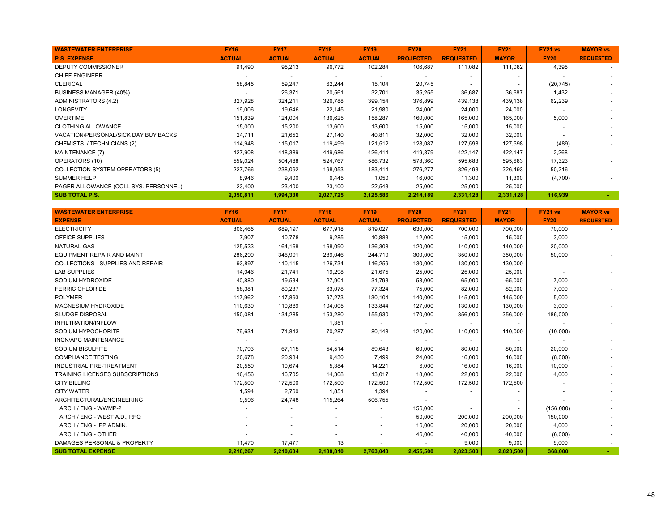| <b>WASTEWATER ENTERPRISE</b>          | <b>FY16</b>   | <b>FY17</b>              | <b>FY18</b>   | <b>FY19</b>              | <b>FY20</b>      | <b>FY21</b>              | <b>FY21</b>  | <b>FY21 vs</b> | <b>MAYOR vs</b>          |
|---------------------------------------|---------------|--------------------------|---------------|--------------------------|------------------|--------------------------|--------------|----------------|--------------------------|
| <b>P.S. EXPENSE</b>                   | <b>ACTUAL</b> | <b>ACTUAL</b>            | <b>ACTUAL</b> | <b>ACTUAL</b>            | <b>PROJECTED</b> | <b>REQUESTED</b>         | <b>MAYOR</b> | <b>FY20</b>    | <b>REQUESTED</b>         |
| <b>DEPUTY COMMISSIONER</b>            | 91,490        | 95,213                   | 96,772        | 102,284                  | 106,687          | 111,082                  | 111,082      | 4,395          | $\sim$                   |
| <b>CHIEF ENGINEER</b>                 |               | $\overline{\phantom{0}}$ |               | $\overline{\phantom{a}}$ |                  |                          |              |                |                          |
| <b>CLERICAL</b>                       | 58,845        | 59,247                   | 62,244        | 15,104                   | 20,745           | $\overline{\phantom{a}}$ |              | (20, 745)      | $\overline{\phantom{a}}$ |
| BUSINESS MANAGER (40%)                |               | 26,371                   | 20,561        | 32,701                   | 35,255           | 36,687                   | 36,687       | 1,432          | $\overline{\phantom{a}}$ |
| <b>ADMINISTRATORS (4.2)</b>           | 327,928       | 324,211                  | 326,788       | 399,154                  | 376,899          | 439,138                  | 439,138      | 62,239         | $\overline{\phantom{a}}$ |
| LONGEVITY                             | 19,006        | 19,646                   | 22,145        | 21,980                   | 24,000           | 24,000                   | 24,000       |                |                          |
| <b>OVERTIME</b>                       | 151,839       | 124,004                  | 136,625       | 158,287                  | 160,000          | 165,000                  | 165,000      | 5,000          |                          |
| <b>CLOTHING ALLOWANCE</b>             | 15,000        | 15,200                   | 13,600        | 13,600                   | 15,000           | 15,000                   | 15,000       |                |                          |
| VACATION/PERSONAL/SICK DAY BUY BACKS  | 24,711        | 21,652                   | 27,140        | 40,811                   | 32,000           | 32,000                   | 32,000       |                |                          |
| CHEMISTS / TECHNICIANS (2)            | 114,948       | 115,017                  | 119,499       | 121,512                  | 128,087          | 127,598                  | 127,598      | (489)          |                          |
| MAINTENANCE (7)                       | 427,908       | 418,389                  | 449,686       | 426,414                  | 419,879          | 422,147                  | 422,147      | 2,268          |                          |
| OPERATORS (10)                        | 559,024       | 504,488                  | 524,767       | 586,732                  | 578,360          | 595,683                  | 595,683      | 17,323         |                          |
| COLLECTION SYSTEM OPERATORS (5)       | 227,766       | 238,092                  | 198,053       | 183,414                  | 276,277          | 326,493                  | 326,493      | 50,216         |                          |
| <b>SUMMER HELP</b>                    | 8,946         | 9,400                    | 6,445         | 1,050                    | 16,000           | 11,300                   | 11,300       | (4,700)        |                          |
| PAGER ALLOWANCE (COLL SYS. PERSONNEL) | 23,400        | 23,400                   | 23,400        | 22,543                   | 25,000           | 25,000                   | 25,000       |                |                          |
| <b>SUB TOTAL P.S.</b>                 | 2,050,811     | 1,994,330                | 2,027,725     | 2,125,586                | 2,214,189        | 2,331,128                | 2,331,128    | 116,939        |                          |

| <b>WASTEWATER ENTERPRISE</b>             | <b>FY16</b>   | <b>FY17</b>              | <b>FY18</b>              | <b>FY19</b>              | <b>FY20</b>      | <b>FY21</b>      | <b>FY21</b>  | FY21 vs                  | <b>MAYOR vs</b>  |
|------------------------------------------|---------------|--------------------------|--------------------------|--------------------------|------------------|------------------|--------------|--------------------------|------------------|
| <b>EXPENSE</b>                           | <b>ACTUAL</b> | <b>ACTUAL</b>            | <b>ACTUAL</b>            | <b>ACTUAL</b>            | <b>PROJECTED</b> | <b>REQUESTED</b> | <b>MAYOR</b> | <b>FY20</b>              | <b>REQUESTED</b> |
| <b>ELECTRICITY</b>                       | 806,465       | 689,197                  | 677,918                  | 819,027                  | 630,000          | 700,000          | 700,000      | 70,000                   |                  |
| <b>OFFICE SUPPLIES</b>                   | 7,907         | 10,778                   | 9,285                    | 10,883                   | 12,000           | 15,000           | 15,000       | 3,000                    |                  |
| <b>NATURAL GAS</b>                       | 125,533       | 164,168                  | 168,090                  | 136,308                  | 120,000          | 140,000          | 140,000      | 20,000                   |                  |
| <b>EQUIPMENT REPAIR AND MAINT</b>        | 286,299       | 346,991                  | 289,046                  | 244,719                  | 300,000          | 350,000          | 350,000      | 50,000                   |                  |
| <b>COLLECTIONS - SUPPLIES AND REPAIR</b> | 93,897        | 110,115                  | 126,734                  | 116,259                  | 130,000          | 130,000          | 130,000      |                          |                  |
| <b>LAB SUPPLIES</b>                      | 14,946        | 21,741                   | 19,298                   | 21,675                   | 25,000           | 25,000           | 25,000       | $\overline{\phantom{a}}$ |                  |
| SODIUM HYDROXIDE                         | 40,880        | 19,534                   | 27,901                   | 31,793                   | 58,000           | 65,000           | 65,000       | 7,000                    |                  |
| <b>FERRIC CHLORIDE</b>                   | 58,381        | 80,237                   | 63,078                   | 77,324                   | 75,000           | 82,000           | 82,000       | 7,000                    |                  |
| <b>POLYMER</b>                           | 117,962       | 117,893                  | 97,273                   | 130,104                  | 140,000          | 145,000          | 145,000      | 5,000                    |                  |
| MAGNESIUM HYDROXIDE                      | 110,639       | 110,889                  | 104,005                  | 133,844                  | 127,000          | 130,000          | 130,000      | 3,000                    |                  |
| <b>SLUDGE DISPOSAL</b>                   | 150,081       | 134,285                  | 153,280                  | 155,930                  | 170,000          | 356,000          | 356,000      | 186,000                  |                  |
| <b>INFILTRATION/INFLOW</b>               |               |                          | 1,351                    |                          |                  |                  |              |                          |                  |
| SODIUM HYPOCHORITE                       | 79,631        | 71,843                   | 70,287                   | 80,148                   | 120,000          | 110,000          | 110,000      | (10,000)                 |                  |
| <b>INCN/APC MAINTENANCE</b>              |               | $\overline{\phantom{a}}$ | $\overline{\phantom{a}}$ | $\sim$                   |                  | $\sim$           |              |                          |                  |
| <b>SODIUM BISULFITE</b>                  | 70,793        | 67,115                   | 54,514                   | 89,643                   | 60,000           | 80,000           | 80,000       | 20,000                   |                  |
| <b>COMPLIANCE TESTING</b>                | 20,678        | 20,984                   | 9,430                    | 7,499                    | 24,000           | 16,000           | 16,000       | (8,000)                  |                  |
| <b>INDUSTRIAL PRE-TREATMENT</b>          | 20,559        | 10,674                   | 5,384                    | 14,221                   | 6,000            | 16,000           | 16,000       | 10,000                   |                  |
| <b>TRAINING LICENSES SUBSCRIPTIONS</b>   | 16,456        | 16,705                   | 14,308                   | 13,017                   | 18,000           | 22,000           | 22,000       | 4,000                    |                  |
| <b>CITY BILLING</b>                      | 172,500       | 172,500                  | 172,500                  | 172,500                  | 172,500          | 172,500          | 172,500      |                          |                  |
| <b>CITY WATER</b>                        | 1,594         | 2,760                    | 1,851                    | 1,394                    |                  |                  |              |                          |                  |
| ARCHITECTURAL/ENGINEERING                | 9,596         | 24,748                   | 115,264                  | 506,755                  |                  |                  |              |                          |                  |
| ARCH / ENG - WWMP-2                      |               |                          |                          |                          | 156,000          |                  |              | (156,000)                |                  |
| ARCH / ENG - WEST A.D., RFQ              |               |                          |                          | $\overline{\phantom{a}}$ | 50,000           | 200,000          | 200,000      | 150,000                  |                  |
| ARCH / ENG - IPP ADMIN.                  |               |                          |                          | $\overline{\phantom{a}}$ | 16,000           | 20,000           | 20,000       | 4,000                    |                  |
| ARCH / ENG - OTHER                       |               |                          |                          | $\overline{\phantom{a}}$ | 46,000           | 40,000           | 40,000       | (6,000)                  |                  |
| DAMAGES PERSONAL & PROPERTY              | 11,470        | 17,477                   | 13                       |                          |                  | 9,000            | 9,000        | 9,000                    |                  |
| <b>SUB TOTAL EXPENSE</b>                 | 2.216.267     | 2.210.634                | 2.180.810                | 2.763.043                | 2.455.500        | 2.823.500        | 2.823.500    | 368,000                  |                  |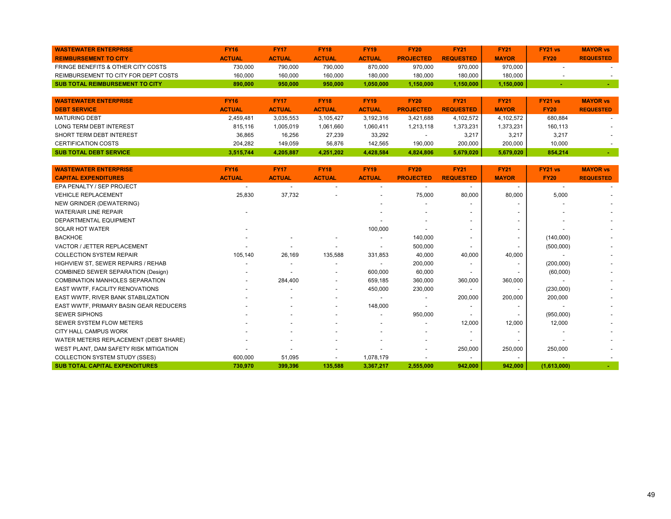| <b>WASTEWATER ENTERPRISE</b>           | <b>FY16</b>   | <b>FY17</b>   | <b>FY18</b>   | <b>FY19</b>   | <b>FY20</b>      | <b>FY21</b>      | <b>FY21</b>  | <b>FY21 vs</b> | <b>MAYOR vs</b>  |
|----------------------------------------|---------------|---------------|---------------|---------------|------------------|------------------|--------------|----------------|------------------|
| <b>REIMBURSEMENT TO CITY</b>           | <b>ACTUAL</b> | <b>ACTUAL</b> | <b>ACTUAL</b> | <b>ACTUAL</b> | <b>PROJECTED</b> | <b>REQUESTED</b> | <b>MAYOR</b> | <b>FY20</b>    | <b>REQUESTED</b> |
| FRINGE BENEFITS & OTHER CITY COSTS     | 730.000       | 790.000       | 790.000       | 870.000       | 970,000          | 970.000          | 970.000      |                |                  |
| REIMBURSEMENT TO CITY FOR DEPT COSTS   | 160.000       | 160,000       | 160,000       | 180.000       | 180.000          | 180.000          | 180.000      |                |                  |
| <b>SUB TOTAL REIMBURSEMENT TO CITY</b> | 890.000       | 950.000       | 950.000       | 1.050.000     | .150.000         | 1.150.000        | .150.000     |                |                  |

| <b>WASTEWATER ENTERPRISE</b>   | <b>FY16</b>   | <b>FY17</b>   | <b>FY18</b>   | <b>FY19</b>   | <b>FY20</b>      | <b>FY21</b>      | <b>FY21</b>  | <b>FY21 vs</b> | <b>MAYOR vs</b>  |
|--------------------------------|---------------|---------------|---------------|---------------|------------------|------------------|--------------|----------------|------------------|
| <b>DEBT SERVICE</b>            | <b>ACTUAL</b> | <b>ACTUAL</b> | <b>ACTUAL</b> | <b>ACTUAL</b> | <b>PROJECTED</b> | <b>REQUESTED</b> | <b>MAYOR</b> | <b>FY20</b>    | <b>REQUESTED</b> |
| <b>MATURING DEBT</b>           | 2.459.481     | 3.035.553     | 3.105.427     | 3.192.316     | 3.421.688        | 4.102.572        | 4.102.572    | 680.884        |                  |
| <b>LONG TERM DEBT INTEREST</b> | 815,116       | 005,019       | 1.061.660     | 1,060,411     | 1.213.118        | 1.373.231        | 1.373.231    | 160.113        |                  |
| SHORT TERM DEBT INTEREST       | 36.865        | 16.256        | 27.239        | 33.292        |                  | 3.217            | 3.217        | 3.217          |                  |
| <b>CERTIFICATION COSTS</b>     | 204.282       | 149,059       | 56.876        | 142.565       | 190.000          | 200,000          | 200,000      | 10.000         |                  |
| <b>SUB TOTAL DEBT SERVICE</b>  | 3.515.744     | 4.205.887     | 4.251.202     | 4.428.584     | 4.824.806        | 5.679.020        | 5.679.020    | 854.214        |                  |

| <b>WASTEWATER ENTERPRISE</b>               | <b>FY16</b>              | <b>FY17</b>              | <b>FY18</b>              | <b>FY19</b>              | <b>FY20</b>      | <b>FY21</b>              | <b>FY21</b>              | <b>FY21 vs</b> | <b>MAYOR vs</b>  |
|--------------------------------------------|--------------------------|--------------------------|--------------------------|--------------------------|------------------|--------------------------|--------------------------|----------------|------------------|
| <b>CAPITAL EXPENDITURES</b>                | <b>ACTUAL</b>            | <b>ACTUAL</b>            | <b>ACTUAL</b>            | <b>ACTUAL</b>            | <b>PROJECTED</b> | <b>REQUESTED</b>         | <b>MAYOR</b>             | <b>FY20</b>    | <b>REQUESTED</b> |
| EPA PENALTY / SEP PROJECT                  | $\overline{\phantom{a}}$ | $\overline{\phantom{0}}$ | $\overline{\phantom{a}}$ |                          |                  | $\sim$                   | $\overline{\phantom{a}}$ |                |                  |
| <b>VEHICLE REPLACEMENT</b>                 | 25,830                   | 37,732                   |                          | $\overline{\phantom{a}}$ | 75,000           | 80,000                   | 80,000                   | 5,000          |                  |
| NEW GRINDER (DEWATERING)                   |                          |                          |                          |                          |                  |                          | $\overline{\phantom{a}}$ |                |                  |
| <b>WATER/AIR LINE REPAIR</b>               |                          |                          |                          |                          |                  |                          |                          |                |                  |
| DEPARTMENTAL EQUIPMENT                     |                          |                          |                          |                          |                  | $\overline{\phantom{0}}$ | $\overline{\phantom{a}}$ |                |                  |
| <b>SOLAR HOT WATER</b>                     |                          |                          |                          | 100,000                  |                  |                          |                          |                |                  |
| <b>BACKHOE</b>                             |                          |                          | $\overline{\phantom{a}}$ | $\overline{\phantom{a}}$ | 140.000          | $\overline{\phantom{0}}$ | $\blacksquare$           | (140,000)      |                  |
| VACTOR / JETTER REPLACEMENT                |                          |                          |                          |                          | 500,000          | $\overline{\phantom{a}}$ | $\overline{\phantom{a}}$ | (500,000)      |                  |
| <b>COLLECTION SYSTEM REPAIR</b>            | 105,140                  | 26,169                   | 135,588                  | 331,853                  | 40,000           | 40,000                   | 40,000                   |                |                  |
| HIGHVIEW ST, SEWER REPAIRS / REHAB         |                          |                          | $\overline{\phantom{a}}$ | $\overline{\phantom{a}}$ | 200,000          | $\overline{\phantom{0}}$ | $\overline{\phantom{a}}$ | (200,000)      |                  |
| COMBINED SEWER SEPARATION (Design)         |                          |                          | $\overline{\phantom{a}}$ | 600,000                  | 60,000           |                          |                          | (60,000)       |                  |
| <b>COMBINATION MANHOLES SEPARATION</b>     | $\overline{\phantom{0}}$ | 284,400                  | $\overline{\phantom{a}}$ | 659,185                  | 360,000          | 360,000                  | 360,000                  |                |                  |
| <b>EAST WWTF, FACILITY RENOVATIONS</b>     |                          |                          | $\overline{\phantom{a}}$ | 450,000                  | 230,000          |                          |                          | (230,000)      |                  |
| <b>EAST WWTF, RIVER BANK STABILIZATION</b> |                          |                          |                          |                          |                  | 200,000                  | 200,000                  | 200,000        |                  |
| EAST WWTF, PRIMARY BASIN GEAR REDUCERS     |                          |                          |                          | 148,000                  |                  |                          |                          |                |                  |
| <b>SEWER SIPHONS</b>                       |                          |                          |                          |                          | 950,000          |                          |                          | (950,000)      |                  |
| SEWER SYSTEM FLOW METERS                   |                          |                          |                          |                          |                  | 12,000                   | 12,000                   | 12,000         |                  |
| CITY HALL CAMPUS WORK                      |                          |                          |                          |                          |                  |                          |                          |                |                  |
| WATER METERS REPLACEMENT (DEBT SHARE)      |                          |                          |                          |                          |                  |                          |                          |                |                  |
| WEST PLANT, DAM SAFETY RISK MITIGATION     |                          |                          |                          |                          |                  | 250,000                  | 250,000                  | 250,000        |                  |
| COLLECTION SYSTEM STUDY (SSES)             | 600,000                  | 51,095                   | $\overline{\phantom{a}}$ | 1,078,179                |                  | $\overline{\phantom{a}}$ | $\overline{\phantom{a}}$ |                |                  |
| <b>SUB TOTAL CAPITAL EXPENDITURES</b>      | 730,970                  | 399,396                  | 135,588                  | 3,367,217                | 2,555,000        | 942,000                  | 942,000                  | (1,613,000)    |                  |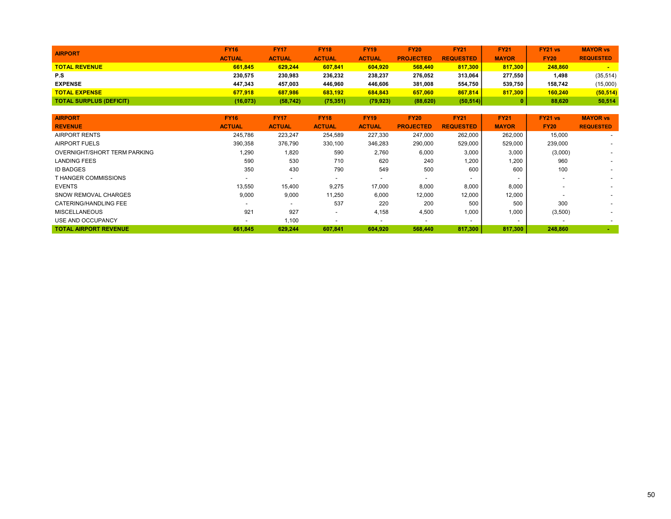| <b>AIRPORT</b>                 | <b>FY16</b>   | <b>FY17</b>   | <b>FY18</b>   | <b>FY19</b>   | <b>FY20</b>      | <b>FY21</b>      | <b>FY21</b>  | <b>FY21 vs</b> | <b>MAYOR vs</b>  |
|--------------------------------|---------------|---------------|---------------|---------------|------------------|------------------|--------------|----------------|------------------|
|                                | <b>ACTUAL</b> | <b>ACTUAL</b> | <b>ACTUAL</b> | <b>ACTUAL</b> | <b>PROJECTED</b> | <b>REQUESTED</b> | <b>MAYOR</b> | <b>FY20</b>    | <b>REQUESTED</b> |
| <b>TOTAL REVENUE</b>           | 661.845       | 629.244       | 607.841       | 604.920       | 568,440          | 817.300          | 817.300      | 248,860        |                  |
| P.S                            | 230,575       | 230.983       | 236.232       | 238,237       | 276.052          | 313.064          | 277.550      | 1.498          | (35, 514)        |
| <b>EXPENSE</b>                 | 447.343       | 457.003       | 446.960       | 446.606       | 381.008          | 554.750          | 539.750      | 158.742        | (15,000)         |
| <b>TOTAL EXPENSE</b>           | 677.918       | 687.986       | 683.192       | 684.843       | 657.060          | 867,814          | 817.300      | 160.240        | (50, 514)        |
| <b>TOTAL SURPLUS (DEFICIT)</b> | (16,073)      | (58, 742)     | (75, 351)     | (79, 923)     | (88, 620)        | (50, 514)        |              | 88.620         | 50,514           |

| <b>AIRPORT</b>               | <b>FY16</b>              | <b>FY17</b>              | <b>FY18</b>              | <b>FY19</b>   | <b>FY20</b>              | <b>FY21</b>      | <b>FY21</b>  | <b>FY21 vs</b>           | <b>MAYOR vs</b>          |
|------------------------------|--------------------------|--------------------------|--------------------------|---------------|--------------------------|------------------|--------------|--------------------------|--------------------------|
| <b>REVENUE</b>               | <b>ACTUAL</b>            | <b>ACTUAL</b>            | <b>ACTUAL</b>            | <b>ACTUAL</b> | <b>PROJECTED</b>         | <b>REQUESTED</b> | <b>MAYOR</b> | <b>FY20</b>              | <b>REQUESTED</b>         |
| <b>AIRPORT RENTS</b>         | 245,786                  | 223,247                  | 254,589                  | 227,330       | 247,000                  | 262,000          | 262,000      | 15,000                   |                          |
| AIRPORT FUELS                | 390,358                  | 376,790                  | 330,100                  | 346,283       | 290,000                  | 529,000          | 529,000      | 239,000                  |                          |
| OVERNIGHT/SHORT TERM PARKING | 1,290                    | 1,820                    | 590                      | 2,760         | 6,000                    | 3,000            | 3,000        | (3,000)                  |                          |
| <b>LANDING FEES</b>          | 590                      | 530                      | 710                      | 620           | 240                      | 1,200            | 1,200        | 960                      |                          |
| <b>ID BADGES</b>             | 350                      | 430                      | 790                      | 549           | 500                      | 600              | 600          | 100                      |                          |
| <b>THANGER COMMISSIONS</b>   | $\overline{\phantom{0}}$ | $\overline{\phantom{0}}$ | $\overline{\phantom{0}}$ |               | $\overline{\phantom{a}}$ |                  |              | $\overline{\phantom{0}}$ |                          |
| <b>EVENTS</b>                | 13,550                   | 15,400                   | 9,275                    | 17,000        | 8,000                    | 8,000            | 8,000        |                          |                          |
| <b>SNOW REMOVAL CHARGES</b>  | 9,000                    | 9,000                    | 11,250                   | 6,000         | 12,000                   | 12,000           | 12,000       |                          |                          |
| CATERING/HANDLING FEE        | $\overline{\phantom{0}}$ | $\overline{\phantom{a}}$ | 537                      | 220           | 200                      | 500              | 500          | 300                      | $\overline{\phantom{0}}$ |
| <b>MISCELLANEOUS</b>         | 921                      | 927                      | $\overline{\phantom{0}}$ | 4,158         | 4,500                    | 1,000            | 1.000        | (3,500)                  |                          |
| USE AND OCCUPANCY            | $\overline{\phantom{0}}$ | 1,100                    |                          |               | $\overline{\phantom{a}}$ |                  |              | $\overline{\phantom{a}}$ |                          |
| <b>TOTAL AIRPORT REVENUE</b> | 661.845                  | 629.244                  | 607.841                  | 604.920       | 568,440                  | 817.300          | 817.300      | 248.860                  | <b>CONTRACTOR</b>        |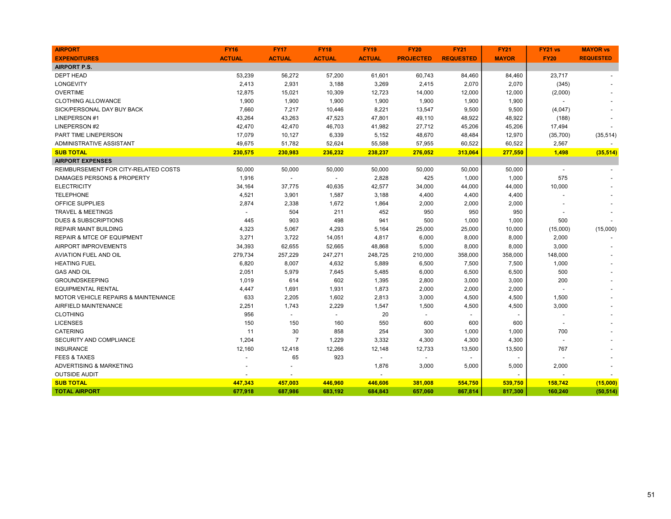| <b>AIRPORT</b>                        | <b>FY16</b>   | <b>FY17</b>    | <b>FY18</b>    | <b>FY19</b>    | <b>FY20</b>      | <b>FY21</b>      | <b>FY21</b>  | <b>FY21 vs</b>           | <b>MAYOR vs</b>  |
|---------------------------------------|---------------|----------------|----------------|----------------|------------------|------------------|--------------|--------------------------|------------------|
| <b>EXPENDITURES</b>                   | <b>ACTUAL</b> | <b>ACTUAL</b>  | <b>ACTUAL</b>  | <b>ACTUAL</b>  | <b>PROJECTED</b> | <b>REQUESTED</b> | <b>MAYOR</b> | <b>FY20</b>              | <b>REQUESTED</b> |
| <b>AIRPORT P.S.</b>                   |               |                |                |                |                  |                  |              |                          |                  |
| <b>DEPT HEAD</b>                      | 53,239        | 56,272         | 57,200         | 61,601         | 60,743           | 84,460           | 84,460       | 23,717                   |                  |
| <b>LONGEVITY</b>                      | 2,413         | 2,931          | 3,188          | 3,269          | 2,415            | 2,070            | 2,070        | (345)                    |                  |
| <b>OVERTIME</b>                       | 12,875        | 15,021         | 10,309         | 12,723         | 14,000           | 12,000           | 12,000       | (2,000)                  |                  |
| <b>CLOTHING ALLOWANCE</b>             | 1,900         | 1,900          | 1,900          | 1,900          | 1,900            | 1,900            | 1,900        |                          |                  |
| SICK/PERSONAL DAY BUY BACK            | 7,660         | 7,217          | 10,446         | 8,221          | 13,547           | 9,500            | 9,500        | (4,047)                  |                  |
| LINEPERSON #1                         | 43,264        | 43,263         | 47,523         | 47,801         | 49,110           | 48,922           | 48,922       | (188)                    |                  |
| <b>LINEPERSON #2</b>                  | 42,470        | 42,470         | 46,703         | 41,982         | 27,712           | 45,206           | 45,206       | 17,494                   |                  |
| PART TIME LINEPERSON                  | 17,079        | 10,127         | 6,339          | 5,152          | 48,670           | 48,484           | 12,970       | (35,700)                 | (35, 514)        |
| ADMINISTRATIVE ASSISTANT              | 49,675        | 51,782         | 52,624         | 55,588         | 57,955           | 60,522           | 60,522       | 2,567                    |                  |
| <b>SUB TOTAL</b>                      | 230,575       | 230,983        | 236,232        | 238,237        | 276,052          | 313,064          | 277,550      | 1,498                    | (35, 514)        |
| <b>AIRPORT EXPENSES</b>               |               |                |                |                |                  |                  |              |                          |                  |
| REIMBURSEMENT FOR CITY-RELATED COSTS  | 50,000        | 50,000         | 50,000         | 50,000         | 50,000           | 50,000           | 50,000       | $\overline{a}$           |                  |
| DAMAGES PERSONS & PROPERTY            | 1,916         | $\blacksquare$ | $\overline{a}$ | 2,828          | 425              | 1,000            | 1,000        | 575                      |                  |
| <b>ELECTRICITY</b>                    | 34,164        | 37,775         | 40,635         | 42,577         | 34,000           | 44,000           | 44,000       | 10,000                   |                  |
| <b>TELEPHONE</b>                      | 4,521         | 3,901          | 1,587          | 3,188          | 4,400            | 4,400            | 4,400        |                          |                  |
| <b>OFFICE SUPPLIES</b>                | 2,874         | 2,338          | 1,672          | 1,864          | 2,000            | 2,000            | 2,000        |                          |                  |
| <b>TRAVEL &amp; MEETINGS</b>          |               | 504            | 211            | 452            | 950              | 950              | 950          |                          |                  |
| <b>DUES &amp; SUBSCRIPTIONS</b>       | 445           | 903            | 498            | 941            | 500              | 1,000            | 1,000        | 500                      |                  |
| <b>REPAIR MAINT BUILDING</b>          | 4,323         | 5,067          | 4,293          | 5,164          | 25,000           | 25,000           | 10,000       | (15,000)                 | (15,000)         |
| <b>REPAIR &amp; MTCE OF EQUIPMENT</b> | 3,271         | 3,722          | 14,051         | 4,817          | 6,000            | 8,000            | 8,000        | 2,000                    |                  |
| AIRPORT IMPROVEMENTS                  | 34,393        | 62,655         | 52,665         | 48,868         | 5,000            | 8,000            | 8,000        | 3,000                    |                  |
| <b>AVIATION FUEL AND OIL</b>          | 279,734       | 257,229        | 247,271        | 248,725        | 210,000          | 358,000          | 358,000      | 148,000                  |                  |
| <b>HEATING FUEL</b>                   | 6,820         | 8,007          | 4,632          | 5,889          | 6,500            | 7,500            | 7,500        | 1,000                    |                  |
| <b>GAS AND OIL</b>                    | 2,051         | 5,979          | 7,645          | 5,485          | 6,000            | 6,500            | 6,500        | 500                      |                  |
| <b>GROUNDSKEEPING</b>                 | 1,019         | 614            | 602            | 1,395          | 2,800            | 3,000            | 3,000        | 200                      |                  |
| <b>EQUIPMENTAL RENTAL</b>             | 4,447         | 1,691          | 1,931          | 1,873          | 2,000            | 2,000            | 2,000        |                          |                  |
| MOTOR VEHICLE REPAIRS & MAINTENANCE   | 633           | 2,205          | 1,602          | 2,813          | 3,000            | 4,500            | 4,500        | 1,500                    |                  |
| AIRFIELD MAINTENANCE                  | 2,251         | 1,743          | 2,229          | 1,547          | 1,500            | 4,500            | 4,500        | 3,000                    |                  |
| <b>CLOTHING</b>                       | 956           | $\blacksquare$ | $\overline{a}$ | 20             | $\sim$           |                  |              |                          |                  |
| <b>LICENSES</b>                       | 150           | 150            | 160            | 550            | 600              | 600              | 600          | $\overline{\phantom{a}}$ |                  |
| <b>CATERING</b>                       | 11            | 30             | 858            | 254            | 300              | 1,000            | 1,000        | 700                      |                  |
| SECURITY AND COMPLIANCE               | 1,204         | $\overline{7}$ | 1,229          | 3,332          | 4,300            | 4,300            | 4,300        | $\overline{\phantom{a}}$ |                  |
| <b>INSURANCE</b>                      | 12,160        | 12,418         | 12,266         | 12,148         | 12,733           | 13,500           | 13,500       | 767                      |                  |
| <b>FEES &amp; TAXES</b>               |               | 65             | 923            | $\blacksquare$ | $\sim$           | $\overline{a}$   |              |                          |                  |
| ADVERTISING & MARKETING               |               |                |                | 1,876          | 3,000            | 5,000            | 5,000        | 2,000                    |                  |
| <b>OUTSIDE AUDIT</b>                  |               |                |                |                |                  |                  |              |                          |                  |
| <b>SUB TOTAL</b>                      | 447,343       | 457,003        | 446,960        | 446,606        | 381,008          | 554,750          | 539,750      | 158,742                  | (15,000)         |
| <b>TOTAL AIRPORT</b>                  | 677,918       | 687,986        | 683,192        | 684,843        | 657,060          | 867,814          | 817,300      | 160,240                  | (50, 514)        |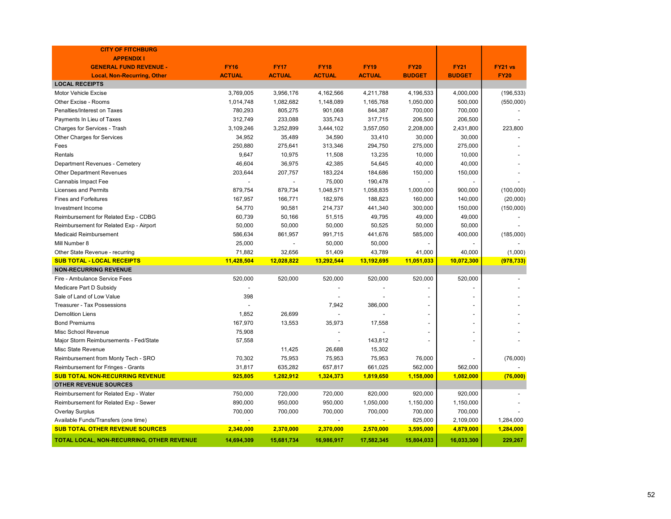| <b>CITY OF FITCHBURG</b>                  |               |               |               |               |               |                |             |
|-------------------------------------------|---------------|---------------|---------------|---------------|---------------|----------------|-------------|
| <b>APPENDIX I</b>                         |               |               |               |               |               |                |             |
| <b>GENERAL FUND REVENUE -</b>             | <b>FY16</b>   | <b>FY17</b>   | <b>FY18</b>   | <b>FY19</b>   | <b>FY20</b>   | <b>FY21</b>    | FY21 vs     |
| <b>Local, Non-Recurring, Other</b>        | <b>ACTUAL</b> | <b>ACTUAL</b> | <b>ACTUAL</b> | <b>ACTUAL</b> | <b>BUDGET</b> | <b>BUDGET</b>  | <b>FY20</b> |
| <b>LOCAL RECEIPTS</b>                     |               |               |               |               |               |                |             |
| <b>Motor Vehicle Excise</b>               | 3,769,005     | 3,956,176     | 4,162,566     | 4,211,788     | 4,196,533     | 4,000,000      | (196, 533)  |
| Other Excise - Rooms                      | 1,014,748     | 1,082,682     | 1,148,089     | 1,165,768     | 1,050,000     | 500,000        | (550,000)   |
| Penalties/Interest on Taxes               | 780,293       | 805,275       | 901,068       | 844,387       | 700,000       | 700,000        |             |
| Payments In Lieu of Taxes                 | 312,749       | 233,088       | 335,743       | 317,715       | 206,500       | 206,500        |             |
| Charges for Services - Trash              | 3,109,246     | 3,252,899     | 3,444,102     | 3,557,050     | 2,208,000     | 2,431,800      | 223,800     |
| Other Charges for Services                | 34,952        | 35,489        | 34,590        | 33,410        | 30,000        | 30,000         |             |
| Fees                                      | 250,880       | 275,641       | 313,346       | 294,750       | 275,000       | 275,000        |             |
| Rentals                                   | 9,647         | 10,975        | 11,508        | 13,235        | 10,000        | 10,000         |             |
| Department Revenues - Cemetery            | 46,604        | 36,975        | 42,385        | 54,645        | 40,000        | 40,000         |             |
| <b>Other Department Revenues</b>          | 203,644       | 207,757       | 183,224       | 184,686       | 150,000       | 150,000        |             |
| Cannabis Impact Fee                       |               |               | 75,000        | 190,478       |               |                |             |
| Licenses and Permits                      | 879,754       | 879,734       | 1,048,571     | 1,058,835     | 1,000,000     | 900,000        | (100,000)   |
| <b>Fines and Forfeitures</b>              | 167,957       | 166,771       | 182,976       | 188,823       | 160,000       | 140,000        | (20,000)    |
| Investment Income                         | 54,770        | 90,581        | 214,737       | 441,340       | 300,000       | 150,000        | (150,000)   |
| Reimbursement for Related Exp - CDBG      | 60,739        | 50,166        | 51,515        | 49,795        | 49,000        | 49,000         |             |
| Reimbursement for Related Exp - Airport   | 50,000        | 50,000        | 50,000        | 50,525        | 50,000        | 50,000         |             |
| <b>Medicaid Reimbursement</b>             | 586,634       | 861,957       | 991,715       | 441,676       | 585,000       | 400,000        | (185,000)   |
| Mill Number 8                             | 25,000        |               | 50,000        | 50,000        |               |                |             |
| Other State Revenue - recurring           | 71,882        | 32,656        | 51,409        | 43,789        | 41,000        | 40,000         | (1,000)     |
| <b>SUB TOTAL - LOCAL RECEIPTS</b>         | 11,428,504    | 12,028,822    | 13,292,544    | 13,192,695    | 11,051,033    | 10,072,300     | (978, 733)  |
| <b>NON-RECURRING REVENUE</b>              |               |               |               |               |               |                |             |
| Fire - Ambulance Service Fees             | 520,000       | 520,000       | 520,000       | 520,000       | 520,000       | 520,000        |             |
| Medicare Part D Subsidy                   |               |               |               |               |               |                |             |
| Sale of Land of Low Value                 | 398           |               |               |               |               |                |             |
| <b>Treasurer - Tax Possessions</b>        |               |               | 7,942         | 386,000       |               | $\overline{a}$ |             |
| <b>Demolition Liens</b>                   | 1,852         | 26,699        |               |               |               | $\overline{a}$ |             |
| <b>Bond Premiums</b>                      | 167,970       | 13,553        | 35,973        | 17,558        |               |                |             |
| Misc School Revenue                       | 75,908        |               |               |               |               | $\overline{a}$ |             |
| Major Storm Reimbursements - Fed/State    | 57,558        |               |               | 143,812       |               |                |             |
| Misc State Revenue                        |               | 11,425        | 26,688        | 15,302        |               |                |             |
| Reimbursement from Monty Tech - SRO       | 70,302        | 75,953        | 75,953        | 75,953        | 76,000        |                | (76,000)    |
| Reimbursement for Fringes - Grants        | 31,817        | 635,282       | 657,817       | 661,025       | 562,000       | 562,000        |             |
| <b>SUB TOTAL NON-RECURRING REVENUE</b>    | 925,805       | 1,282,912     | 1,324,373     | 1,819,650     | 1,158,000     | 1,082,000      | (76,000)    |
| <b>OTHER REVENUE SOURCES</b>              |               |               |               |               |               |                |             |
| Reimbursement for Related Exp - Water     | 750,000       | 720,000       | 720,000       | 820,000       | 920,000       | 920,000        |             |
| Reimbursement for Related Exp - Sewer     | 890,000       | 950,000       | 950,000       | 1,050,000     | 1,150,000     | 1,150,000      |             |
| <b>Overlay Surplus</b>                    | 700,000       | 700,000       | 700,000       | 700,000       | 700,000       | 700,000        |             |
| Available Funds/Transfers (one time)      |               |               |               |               | 825,000       | 2,109,000      | 1,284,000   |
| <b>SUB TOTAL OTHER REVENUE SOURCES</b>    | 2,340,000     | 2,370,000     | 2,370,000     | 2,570,000     | 3,595,000     | 4,879,000      | 1,284,000   |
| TOTAL LOCAL, NON-RECURRING, OTHER REVENUE | 14,694,309    | 15,681,734    | 16,986,917    | 17,582,345    | 15,804,033    | 16,033,300     | 229,267     |